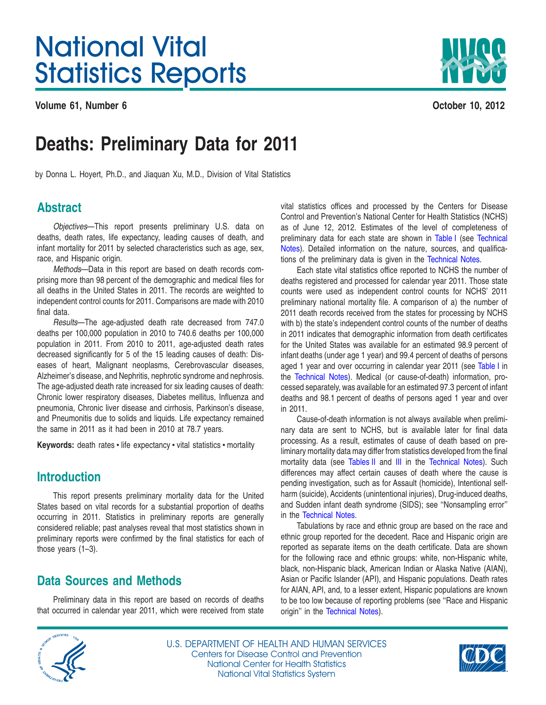# <span id="page-0-0"></span>National Vital Statistics Reports

**Volume 61, Number 6 October 10, 2012**



## **Deaths: Preliminary Data for 2011**

by Donna L. Hoyert, Ph.D., and Jiaquan Xu, M.D., Division of Vital Statistics

## **Abstract**

Objectives—This report presents preliminary U.S. data on deaths, death rates, life expectancy, leading causes of death, and infant mortality for 2011 by selected characteristics such as age, sex, race, and Hispanic origin.

Methods—Data in this report are based on death records comprising more than 98 percent of the demographic and medical files for all deaths in the United States in 2011. The records are weighted to independent control counts for 2011. Comparisons are made with 2010 final data.

Results—The age-adjusted death rate decreased from 747.0 deaths per 100,000 population in 2010 to 740.6 deaths per 100,000 population in 2011. From 2010 to 2011, age-adjusted death rates decreased significantly for 5 of the 15 leading causes of death: Diseases of heart, Malignant neoplasms, Cerebrovascular diseases, Alzheimer's disease, and Nephritis, nephrotic syndrome and nephrosis. The age-adjusted death rate increased for six leading causes of death: Chronic lower respiratory diseases, Diabetes mellitus, Influenza and pneumonia, Chronic liver disease and cirrhosis, Parkinson's disease, and Pneumonitis due to solids and liquids. Life expectancy remained the same in 2011 as it had been in 2010 at 78.7 years.

Keywords: death rates · life expectancy · vital statistics · mortality

## **Introduction**

This report presents preliminary mortality data for the United States based on vital records for a substantial proportion of deaths occurring in 2011. Statistics in preliminary reports are generally considered reliable; past analyses reveal that most statistics shown in preliminary reports were confirmed by the final statistics for each of those years (1–3).

## **Data Sources and Methods**

Preliminary data in this report are based on records of deaths that occurred in calendar year 2011, which were received from state vital statistics offices and processed by the Centers for Disease Control and Prevention's National Center for Health Statistics (NCHS) as of June 12, 2012. Estimates of the level of completeness of [preliminary](#page-33-0) data for each state are shown in [Table](#page-34-0) I (see [Technical](#page-33-0) Notes). Detailed information on the nature, sources, and qualifications of the preliminary data is given in the [Technical](#page-33-0) Notes.

Each state vital statistics office reported to NCHS the number of deaths registered and processed for calendar year 2011. Those state counts were used as independent control counts for NCHS' 2011 preliminary national mortality file. A comparison of a) the number of 2011 death records received from the states for processing by NCHS with b) the state's independent control counts of the number of deaths in 2011 indicates that demographic information from death certificates for the United States was available for an estimated 98.9 percent of infant deaths (under age 1 year) and 99.4 percent of deaths of persons aged 1 year and over occurring in calendar year 2011 (see [Table](#page-34-0) I in the [Technical](#page-33-0) Notes). Medical (or cause-of-death) information, processed separately, was available for an estimated 97.3 percent of infant deaths and 98.1 percent of deaths of persons aged 1 year and over in 2011.

Cause-of-death information is not always available when preliminary data are sent to NCHS, but is available later for final data processing. As a result, estimates of cause of death based on preliminary mortality data may differ from statistics developed from the final mortality data (see [Tables](#page-38-0) II and III in the [Technical](#page-33-0) Notes). Such differences may affect certain c[auses](#page-42-0) of death where the cause is pending investigation, such as for Assault (homicide), Intentional selfharm (suicide), Accidents (unintentional injuries), Drug-induced deaths, and Sudden infant death syndrome (SIDS); see ''Nonsampling error'' in the [Technical](#page-33-0) Notes.

Tabulations by race and ethnic group are based on the race and ethnic group reported for the decedent. Race and Hispanic origin are reported as separate items on the death certificate. Data are shown for the following race and ethnic groups: white, non-Hispanic white, black, non-Hispanic black, American Indian or Alaska Native (AIAN), Asian or Pacific Islander (API), and Hispanic populations. Death rates for AIAN, API, and, to a lesser extent, Hispanic populations are known to be too low because of reporting problems (see ''Race and Hispanic origin'' in the [Technical](#page-33-0) Notes).



U.S. DEPARTMENT OF HEALTH AND HUMAN SERVICES Centers for Disease Control and Prevention National Center for Health Statistics National Vital Statistics System

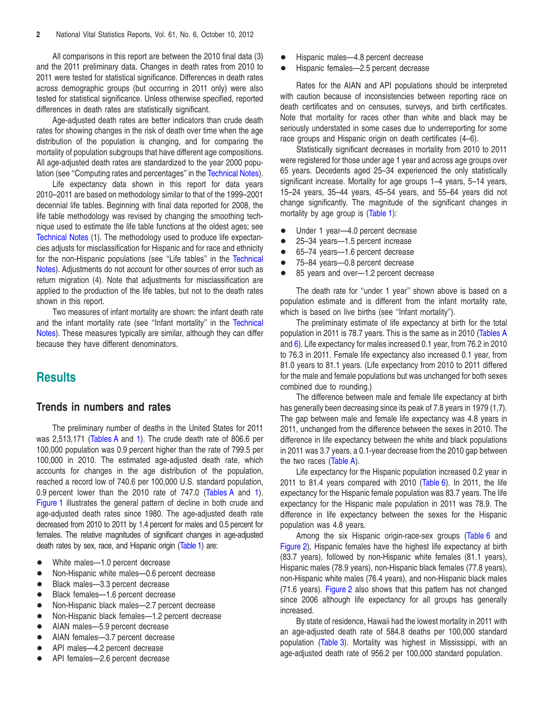<span id="page-1-0"></span>All comparisons in this report are between the 2010 final data (3) and the 2011 preliminary data. Changes in death rates from 2010 to 2011 were tested for statistical significance. Differences in death rates across demographic groups (but occurring in 2011 only) were also tested for statistical significance. Unless otherwise specified, reported differences in death rates are statistically significant.

Age-adjusted death rates are better indicators than crude death rates for showing changes in the risk of death over time when the age distribution of the population is changing, and for comparing the mortality of population subgroups that have different age compositions. All age-adjusted death rates are standardized to the year 2000 population (see ''Computing rates and percentages'' in the [Technical](#page-33-0) Notes).

Life expectancy data shown in this report for data years 2010–2011 are based on methodology similar to that of the 1999–2001 decennial life tables. Beginning with final data reported for 2008, the life table methodology was revised by changing the smoothing technique used to estimate the life table functions at the oldest ages; see [Technical](#page-33-0) Notes (1). The methodology used to produce life expectancies adjusts for misclassification for Hispanic and for race and ethnicity for the non-Hispanic populations (see "Life tables" in the [Technical](#page-33-0) Notes). [Adjustments](#page-33-0) do not account for other sources of error such as return migration (4). Note that adjustments for misclassification are applied to the production of the life tables, but not to the death rates shown in this report.

Two measures of infant mortality are shown: the infant death rate and the infant mortality rate (see "Infant mortality" in the [Technical](#page-33-0) [Notes\).](#page-33-0) These measures typically are similar, although they can differ because they have different denominators.

## **Results**

#### **Trends in numbers and rates**

The pre[liminary](#page-2-0) number of deaths in the United States for 2011 was 2,513,171 (Tables A and [1\).](#page-7-0) The crude death rate of 806.6 per 100,000 population was 0.9 percent higher than the rate of 799.5 per 100,000 in 2010. The estimated age-adjusted death rate, which accounts for changes in the age distribution of the population, reached a record low of 740.6 per 100,000 U.S. [standard](#page-2-0) popul[ation,](#page-7-0) 0.9 percent lower than the 2010 rate of 747.0 (Tables A and 1). Figure 1 illustrates the general pattern of decline in both crude and [age-adjusted](#page-2-0) death rates since 1980. The age-adjusted death rate decreased from 2010 to 2011 by 1.4 percent for males and 0.5 percent for females. The relative magnitudes of significant [changes](#page-7-0) in age-adjusted death rates by sex, race, and Hispanic origin (Table 1) are:

- White males-1.0 percent decrease
- Non-Hispanic white males-0.6 percent decrease
- Black males-3.3 percent decrease
- Black females—1.6 percent decrease
- Non-Hispanic black males-2.7 percent decrease
- Non-Hispanic black females-1.2 percent decrease
- AIAN males-5.9 percent decrease
- AIAN females-3.7 percent decrease
- API males—4.2 percent decrease
- API females-2.6 percent decrease
- Hispanic males-4.8 percent decrease
- $\bullet$  Hispanic females—2.5 percent decrease

Rates for the AIAN and API populations should be interpreted with caution because of inconsistencies between reporting race on death certificates and on censuses, surveys, and birth certificates. Note that mortality for races other than white and black may be seriously understated in some cases due to underreporting for some race groups and Hispanic origin on death certificates (4–6).

Statistically significant decreases in mortality from 2010 to 2011 were registered for those under age 1 year and across age groups over 65 years. Decedents aged 25–34 experienced the only statistically significant increase. Mortality for age groups 1–4 years, 5–14 years, 15–24 years, 35–44 years, 45–54 years, and 55–64 years did not change significantly. The magnitude of the significant changes in mortality by age group is [\(Table](#page-7-0) 1):

- Under 1 year-4.0 percent decrease
- 25–34 years—1.5 percent increase
- 65–74 years—1.6 percent decrease
- 75–84 years—0.8 percent decrease
- 85 years and over-1.2 percent decrease

The death rate for "under 1 year" shown above is based on a population estimate and is different from the infant mortality rate, which is based on live births (see "Infant mortality").

The preliminary estimate of life expectancy at birth for the total p[opulation](#page-25-0) in 2011 is 78.7 years. This is the same as in 2010 [\(Tables](#page-2-0) A and 6). Life expectancy for males increased 0.1 year, from 76.2 in 2010 to 76.3 in 2011. Female life expectancy also increased 0.1 year, from 81.0 years to 81.1 years. (Life expectancy from 2010 to 2011 differed for the male and female populations but was unchanged for both sexes combined due to rounding.)

The difference between male and female life expectancy at birth has generally been decreasing since its peak of 7.8 years in 1979 (1,7). The gap between male and female life expectancy was 4.8 years in 2011, unchanged from the difference between the sexes in 2010. The difference in life expectancy between the white and black populations in 2011 was 3.7 years, a 0.1-year decrease from the 2010 gap between the two races (Table A).

Life [expectancy](#page-2-0) for the Hispanic population increased 0.2 year in 2011 to 81.4 years compared with 2010 ([Table](#page-25-0) 6). In 2011, the life expectancy for the Hispanic female population was 83.7 years. The life expectancy for the Hispanic male population in 2011 was 78.9. The difference in life expectancy between the sexes for the Hispanic population was 4.8 years.

Among the six Hispanic origin-race-sex groups [\(Table](#page-25-0) 6 and [Figure](#page-2-0) 2), Hispanic females have the highest life expectancy at birth (83.7 years), followed by non-Hispanic white females (81.1 years), Hispanic males (78.9 years), non-Hispanic black females (77.8 years), non-Hispanic white males (76.4 years), and non-Hispanic black males (71.6 years). [Figure](#page-2-0) 2 also shows that this pattern has not changed since 2006 although life expectancy for all groups has generally increased.

By state of residence, Hawaii had the lowest mortality in 2011 with an age-adjusted death rate of 584.8 deaths per 100,000 standard population [\(Table](#page-19-0) 3). Mortality was highest in Mississippi, with an age-adjusted death rate of 956.2 per 100,000 standard population.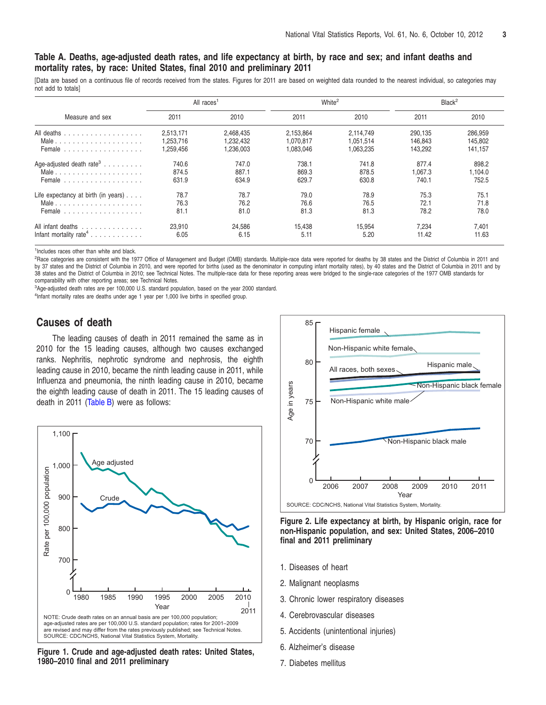#### <span id="page-2-0"></span>Table A. Deaths, age-adjusted death rates, and life expectancy at birth, by race and sex; and infant deaths and **mortality rates, by race: United States, final 2010 and preliminary 2011**

[Data are based on a continuous file of records received from the states. Figures for 2011 are based on weighted data rounded to the nearest individual, so categories may not add to totals]

|                                                             |           | All races <sup>1</sup> |           | White <sup>2</sup> |         | Black <sup>2</sup> |
|-------------------------------------------------------------|-----------|------------------------|-----------|--------------------|---------|--------------------|
| Measure and sex                                             | 2011      | 2010                   | 2011      | 2010               | 2011    | 2010               |
|                                                             | 2,513,171 | 2,468,435              | 2.153.864 | 2.114.749          | 290.135 | 286,959            |
| Male                                                        | 1,253,716 | 1,232,432              | 1.070.817 | 1.051.514          | 146.843 | 145,802            |
| Female $\ldots$ , $\ldots$ , $\ldots$ , $\ldots$ , $\ldots$ | 1,259,456 | 1,236,003              | 1,083,046 | 1,063,235          | 143.292 | 141,157            |
| Age-adjusted death rate <sup>3</sup>                        | 740.6     | 747.0                  | 738.1     | 741.8              | 877.4   | 898.2              |
| Male                                                        | 874.5     | 887.1                  | 869.3     | 878.5              | 1.067.3 | 1.104.0            |
| Female                                                      | 631.9     | 634.9                  | 629.7     | 630.8              | 740.1   | 752.5              |
| Life expectancy at birth (in years) $\ldots$ .              | 78.7      | 78.7                   | 79.0      | 78.9               | 75.3    | 75.1               |
|                                                             | 76.3      | 76.2                   | 76.6      | 76.5               | 72.1    | 71.8               |
| Female                                                      | 81.1      | 81.0                   | 81.3      | 81.3               | 78.2    | 78.0               |
| All infant deaths                                           | 23.910    | 24.586                 | 15.438    | 15.954             | 7.234   | 7.401              |
| Infant mortality $rate4$                                    | 6.05      | 6.15                   | 5.11      | 5.20               | 11.42   | 11.63              |

<sup>1</sup>Includes races other than white and black.

<sup>2</sup>Race categories are consistent with the 1977 Office of Management and Budget (OMB) standards. Multiple-race data were reported for deaths by 38 states and the District of Columbia in 2011 and by 37 states and the District of Columbia in 2010, and were reported for births (used as the denominator in computing infant mortality rates), by 40 states and the District of Columbia in 2011 and by 38 states and the District of Columbia in 2010; see Technical Notes. The multiple-race data for these reporting areas were bridged to the single-race categories of the 1977 OMB standards for comparability with other reporting areas; see Technical Notes.

<sup>3</sup>[Age-adjusted](#page-5-0) death rates are per 100,000 U.S. standard population, based on the year 2000 standard.

<sup>4</sup>[Infant](#page-5-0) mortality rates are deaths under age 1 year per 1,000 live births in specified group.

#### **Causes of death**

The leading causes of death in 2011 remained the same as in 2010 for the 15 leading causes, although two causes exchanged ranks. Nephritis, nephrotic syndrome and nephrosis, the eighth leading cause in 2010, became the ninth leading cause in 2011, while Influenza and pneumonia, the ninth leading cause in 2010, became the eighth leading cause of death in 2011. The 15 leading causes of death in 2011 [\(Table](#page-3-0) B) were as follows:



**Figure 1. Crude and age-adjusted death rates: United States, 1980–2010 final and 2011 preliminary**



**Figure 2. Life expectancy at birth, by Hispanic origin, race for non-Hispanic population, and sex: United States, 2006–2010 final and 2011 preliminary**

- 1. Diseases of heart
- 2. Malignant neoplasms
- 3. Chronic lower respiratory diseases
- 4. Cerebrovascular diseases
- 5. Accidents (unintentional injuries)
- 6. Alzheimer's disease
- 7. Diabetes mellitus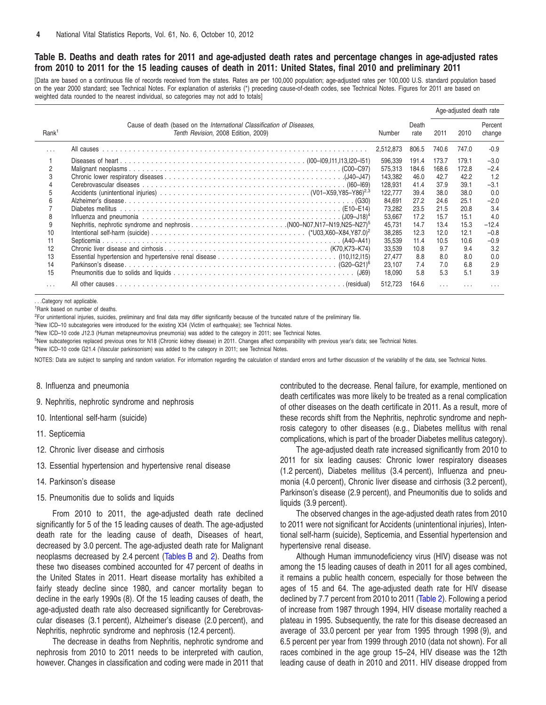#### <span id="page-3-0"></span>Table B. Deaths and death rates for 2011 and age-adjusted death rates and percentage changes in age-adjusted rates from 2010 to 2011 for the 15 leading causes of death in 2011: United States, final 2010 and preliminary 2011

[Data are based on a continuous file of records received from the states. Rates are per 100,000 population; age-adjusted rates per 100,000 U.S. standard population based on the year 2000 standard; see Technical Notes. For explanation of asterisks (\*) preceding cause-of-death codes, see Technical Notes. Figures for 2011 are based on weighted data rounded to the nearest individual, so categories may not add to totals]

|                   |                                                                                                               |           |               |       | Age-adjusted death rate |         |
|-------------------|---------------------------------------------------------------------------------------------------------------|-----------|---------------|-------|-------------------------|---------|
| Rank <sup>1</sup> | Cause of death (based on the International Classification of Diseases,<br>Tenth Revision, 2008 Edition, 2009) | Number    | Death<br>rate | 2011  | 2010                    | Percent |
|                   |                                                                                                               |           |               |       |                         | change  |
| .                 |                                                                                                               | 2,512,873 | 806.5         | 740.6 | 747.0                   | $-0.9$  |
|                   |                                                                                                               | 596,339   | 191.4         | 173.7 | 179.1                   | $-3.0$  |
| 2                 |                                                                                                               | 575,313   | 184.6         | 168.6 | 172.8                   | $-2.4$  |
| 3                 |                                                                                                               | 143.382   | 46.0          | 42.7  | 42.2                    | 1.2     |
|                   |                                                                                                               | 128.931   | 41.4          | 37.9  | 39.1                    | $-3.1$  |
|                   |                                                                                                               | 122,777   | 39.4          | 38.0  | 38.0                    | 0.0     |
|                   |                                                                                                               | 84.691    | 27.2          | 24.6  | 25.1                    | $-2.0$  |
|                   |                                                                                                               | 73.282    | 23.5          | 21.5  | 20.8                    | 3.4     |
| 8                 |                                                                                                               | 53.667    | 17.2          | 15.7  | 15.1                    | 4.0     |
| 9                 |                                                                                                               | 45.731    | 14.7          | 13.4  | 15.3                    | $-12.4$ |
| 10                |                                                                                                               | 38.285    | 12.3          | 12.0  | 12.1                    | $-0.8$  |
| 11                |                                                                                                               | 35.539    | 11.4          | 10.5  | 10.6                    | $-0.9$  |
| 12                |                                                                                                               | 33.539    | 10.8          | 9.7   | 9.4                     | 3.2     |
| 13                |                                                                                                               | 27.477    | 8.8           | 8.0   | 8.0                     | 0.0     |
| 14                |                                                                                                               | 23,107    | 7.4           | 7.0   | 6.8                     | 2.9     |
| 15                |                                                                                                               | 18.090    | 5.8           | 5.3   | 5.1                     | 3.9     |
| .                 |                                                                                                               | 512.723   | 164.6         |       |                         |         |

. . .Category not applicable.

<sup>1</sup>Rank based on number of deaths.

<sup>2</sup>For unintentional injuries, suicides, preliminary and final data may differ significantly because of the truncated nature of the preliminary file.

<sup>3</sup>[New](#page-5-0) ICD–10 subcategories were introduced for the existing X34 (Victim of earthquake); see Technical Notes.

<sup>4</sup>[New](#page-5-0) ICD–10 code J12.3 (Human metapneumovirus pneumonia) was added to the category in 2011; see Technical Notes.

<sup>5</sup>[New](#page-5-0) subcategories replaced previous ones for N18 (Chronic kidney disease) in 2011. Changes affect comparability with previous year's data; see Technical Notes.

<sup>6</sup>[New](#page-5-0) ICD-10 code G21.4 (Vascular parkinsonism) was added to the category in 2011; see Technical Notes.

NOTES: Data are subject to sampling and random variation. For information regarding the calculation of standard errors and further discussion of the variability of the data, see Technical Notes.

- 8. Influenza and pneumonia
- 9. Nephritis, nephrotic syndrome and nephrosis
- 10. Intentional self-harm (suicide)
- 11. Septicemia
- 12. Chronic liver disease and cirrhosis
- 13. Essential hypertension and hypertensive renal disease
- 14. Parkinson's disease
- 15. Pneumonitis due to solids and liquids

From 2010 to 2011, the age-adjusted death rate declined significantly for 5 of the 15 leading causes of death. The age-adjusted death rate for the leading cause of death, Diseases of heart, decreased by 3.0 percent. The age-adjusted death rate for Malignant neoplasms decreased by 2.4 percent (Tables B and 2). Deaths from these two diseases combined accounted for 47 p[ercent](#page-15-0) of deaths in the United States in 2011. Heart disease mortality has exhibited a fairly steady decline since 1980, and cancer mortality began to decline in the early 1990s (8). Of the 15 leading causes of death, the age-adjusted death rate also decreased significantly for Cerebrovascular diseases (3.1 percent), Alzheimer's disease (2.0 percent), and Nephritis, nephrotic syndrome and nephrosis (12.4 percent).

The decrease in deaths from Nephritis, nephrotic syndrome and nephrosis from 2010 to 2011 needs to be interpreted with caution, however. Changes in classification and coding were made in 2011 that contributed to the decrease. Renal failure, for example, mentioned on death certificates was more likely to be treated as a renal complication of other diseases on the death certificate in 2011. As a result, more of these records shift from the Nephritis, nephrotic syndrome and nephrosis category to other diseases (e.g., Diabetes mellitus with renal complications, which is part of the broader Diabetes mellitus category).

The age-adjusted death rate increased significantly from 2010 to 2011 for six leading causes: Chronic lower respiratory diseases (1.2 percent), Diabetes mellitus (3.4 percent), Influenza and pneumonia (4.0 percent), Chronic liver disease and cirrhosis (3.2 percent), Parkinson's disease (2.9 percent), and Pneumonitis due to solids and liquids (3.9 percent).

The observed changes in the age-adjusted death rates from 2010 to 2011 were not significant for Accidents (unintentional injuries), Intentional self-harm (suicide), Septicemia, and Essential hypertension and hypertensive renal disease.

Although Human immunodeficiency virus (HIV) disease was not among the 15 leading causes of death in 2011 for all ages combined, it remains a public health concern, especially for those between the ages of 15 and 64. The age-adjusted death rate for HIV disease declined by 7.7 percent from 2010 to 2011 [\(Table](#page-15-0) 2). Following a period of increase from 1987 through 1994, HIV disease mortality reached a plateau in 1995. Subsequently, the rate for this disease decreased an average of 33.0 percent per year from 1995 through 1998 (9), and 6.5 percent per year from 1999 through 2010 (data not shown). For all races combined in the age group 15–24, HIV disease was the 12th leading cause of death in 2010 and 2011. HIV disease dropped from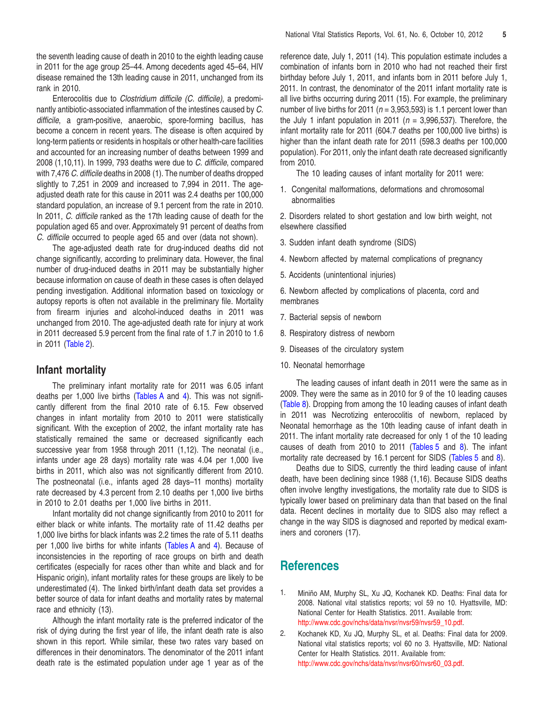<span id="page-4-0"></span>the seventh leading cause of death in 2010 to the eighth leading cause in 2011 for the age group 25–44. Among decedents aged 45–64, HIV disease remained the 13th leading cause in 2011, unchanged from its rank in 2010.

Enterocolitis due to Clostridium difficile (C. difficile), a predominantly antibiotic-associated inflammation of the intestines caused by C. difficile, a gram-positive, anaerobic, spore-forming bacillus, has become a concern in recent years. The disease is often acquired by long-term patients or residents in hospitals or other health-care facilities and accounted for an increasing number of deaths between 1999 and 2008 (1,10,11). In 1999, 793 deaths were due to C. difficile, compared with 7,476 C. difficile deaths in 2008 (1). The number of deaths dropped slightly to 7,251 in 2009 and increased to 7,994 in 2011. The ageadjusted death rate for this cause in 2011 was 2.4 deaths per 100,000 standard population, an increase of 9.1 percent from the rate in 2010. In 2011, C. difficile ranked as the 17th leading cause of death for the population aged 65 and over. Approximately 91 percent of deaths from C. difficile occurred to people aged 65 and over (data not shown).

The age-adjusted death rate for drug-induced deaths did not change significantly, according to preliminary data. However, the final number of drug-induced deaths in 2011 may be substantially higher because information on cause of death in these cases is often delayed pending investigation. Additional information based on toxicology or autopsy reports is often not available in the preliminary file. Mortality from firearm injuries and alcohol-induced deaths in 2011 was unchanged from 2010. The age-adjusted death rate for injury at work in 2011 decreased 5.9 percent from the final rate of 1.7 in 2010 to 1.6 in 2011 [\(Table](#page-15-0) 2).

#### **Infant mortality**

The preliminary infant mortality rate for 2011 was 6.05 infant deaths per 1,000 live births [\(Tables](#page-2-0) A and 4). This was not significantly different from the final 2010 rate of 6.15. Few observed changes in infant mortality from 2010 to [2011](#page-20-0) were statistically significant. With the exception of 2002, the infant mortality rate has statistically remained the same or decreased significantly each successive year from 1958 through 2011 (1,12). The neonatal (i.e., infants under age 28 days) mortality rate was 4.04 per 1,000 live births in 2011, which also was not significantly different from 2010. The postneonatal (i.e., infants aged 28 days–11 months) mortality rate decreased by 4.3 percent from 2.10 deaths per 1,000 live births in 2010 to 2.01 deaths per 1,000 live births in 2011.

Infant mortality did not change significantly from 2010 to 2011 for either black or white infants. The mortality rate of [11.42](#page-20-0) deaths per 1,000 live births for black infants was 2.2 times the rate of 5.11 deaths per 1,000 live births for white infants [\(Tables](#page-2-0) A and 4). Because of inconsistencies in the reporting of race groups on birth and death certificates (especially for races other than white and black and for Hispanic origin), infant mortality rates for these groups are likely to be underestimated (4). The linked birth/infant death data set provides a better source of data for infant deaths and mortality rates by maternal race and ethnicity (13).

Although the infant mortality rate is the preferred indicator of the risk of dying during the first year of life, the infant death rate is also shown in this report. While similar, these two rates vary based on differences in their denominators. The denominator of the 2011 infant death rate is the estimated population under age 1 year as of the

reference date, July 1, 2011 (14). This population estimate includes a combination of infants born in 2010 who had not reached their first birthday before July 1, 2011, and infants born in 2011 before July 1, 2011. In contrast, the denominator of the 2011 infant mortality rate is all live births occurring during 2011 (15). For example, the preliminary number of live births for 2011 ( $n = 3,953,593$ ) is 1.1 percent lower than the July 1 infant population in 2011 ( $n = 3,996,537$ ). Therefore, the infant mortality rate for 2011 (604.7 deaths per 100,000 live births) is higher than the infant death rate for 2011 (598.3 deaths per 100,000 population). For 2011, only the infant death rate decreased significantly from 2010.

The 10 leading causes of infant mortality for 2011 were:

1. Congenital malformations, deformations and chromosomal abnormalities

2. Disorders related to short gestation and low birth weight, not elsewhere classified

- 3. Sudden infant death syndrome (SIDS)
- 4. Newborn affected by maternal complications of pregnancy
- 5. Accidents (unintentional injuries)

6. Newborn affected by complications of placenta, cord and membranes

- 7. Bacterial sepsis of newborn
- 8. Respiratory distress of newborn
- 9. Diseases of the circulatory system
- 10. Neonatal hemorrhage

The leading causes of infant death in 2011 were the same as in 2009. They were the same as in 2010 for 9 of the 10 leading causes [\(Table](#page-31-0) 8). Dropping from among the 10 leading causes of infant death in 2011 was Necrotizing enterocolitis of newborn, replaced by Neonatal hemorrhage as the 10th leading cause of [infa](#page-31-0)nt death in 2011. The infant mortality rate decreased for only 1 of the 10 leading causes of death from 2010 to 2011 [\(Tables](#page-21-0) 5 and 8). The [infan](#page-31-0)t mortality rate decreased by 16.1 percent for SIDS [\(Tables](#page-21-0) 5 and 8).

Deaths due to SIDS, currently the third leading cause of infant death, have been declining since 1988 (1,16). Because SIDS deaths often involve lengthy investigations, the mortality rate due to SIDS is typically lower based on preliminary data than that based on the final data. Recent declines in mortality due to SIDS also may reflect a change in the way SIDS is diagnosed and reported by medical examiners and coroners (17).

## **References**

- 1. Miniño AM, Murphy SL, Xu JQ, Kochanek KD. Deaths: Final data for 2008. National vital statistics reports; vol 59 no 10. Hyattsville, MD: National Center for Health Statistics. 2011. Available from: http://www.cdc.gov/nchs/data/nvsr/nvsr59/nvsr59\_10.pdf.
- 2. Kochanek KD, Xu JQ, Murphy SL, et al. Deaths: Final data for 2009. National vital statistics reports; vol 60 no 3. Hyattsville, MD: National Center for Health Statistics. 2011. Available from: http://www.cdc.gov/nchs/data/nvsr/nvsr60/nvsr60\_03.pdf.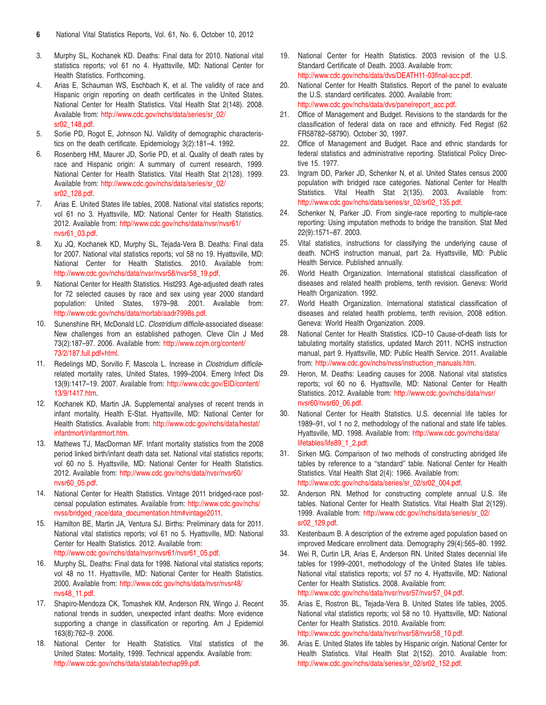- <span id="page-5-0"></span>3. Murphy SL, Kochanek KD. Deaths: Final data for 2010. National vital statistics reports; vol 61 no 4. Hyattsville, MD: National Center for Health Statistics. Forthcoming.
- 4. Arias E, Schauman WS, Eschbach K, et al. The validity of race and Hispanic origin reporting on death certificates in the United States. National Center for Health Statistics. Vital Health Stat 2(148). 2008. Available from: [http://www.cdc.gov/nchs/data/series/sr\\_02/](http://www.cdc.gov/nchs/data/series/sr_02/sr02_148.pdf) sr02\_148.pdf.
- 5. Sorlie PD, Rogot E, Johnson NJ. Validity of demographic characteristics on the death certificate. Epidemiology 3(2):181–4. 1992.
- 6. Rosenberg HM, Maurer JD, Sorlie PD, et al. Quality of death rates by race and Hispanic origin: A summary of current research, 1999. National Center for Health Statistics. Vital Health Stat 2(128). 1999. Available from: [http://www.cdc.gov/nchs/data/series/sr\\_02/](http://www.cdc.gov/nchs/data/series/sr_02/sr02_128.pdf) sr02\_128.pdf.
- 7. Arias E. United States life tables, 2008. National vital statistics reports; vol 61 no 3. Hyattsville, MD: National Center for Health Statistics. 2012. Available from: [http//www.cdc.gov/nchs/data/nvsr/nvsr61/](http://www.cdc.gov/nchs/data/nvsr/nvsr61/nvsr61_03.pdf) nvsr61\_03.pdf.
- 8. Xu JQ, Kochanek KD, Murphy SL, Tejada-Vera B. Deaths: Final data for 2007. National vital statistics reports; vol 58 no 19. Hyattsville, MD: National Center for Health Statistics. 2010. Available from: http://www.cdc.gov/nchs/data/nvsr/nvsr58/nvsr58\_19.pdf.
- 9. National Center for Health Statistics. Hist293. Age-adjusted death rates for 72 selected causes by race and sex using year 2000 standard population: United States, 1979–98. 2001. Available from: http://www.cdc.gov/nchs/data/mortab/aadr7998s.pdf.
- 10. Sunenshine RH, McDonald LC. Clostridium difficile-associated disease: New challenges from an established pathogen. Cleve Clin J Med 73(2):187–97. 2006. Available from: [http://www.ccjm.org/content/](http://www.ccjm.org/content/73/2/187.full.pdf+html) 73/2/187.full.pdf+html.
- 11. Redelings MD, Sorvillo F, Mascola L. Increase in Clostridium difficilerelated mortality rates, United States, 1999–2004. Emerg Infect Dis 13(9):1417–19. 2007. Available from: [http://www.cdc.gov/EID/content/](http://www.cdc.gov/EID/content/13/9/1417.htm) 13/9/1417.htm.
- 12. Kochanek KD, Martin JA. Supplemental analyses of recent trends in infant mortality. Health E-Stat. Hyattsville, MD: National Center for Health Statistics. Available from: [http://www.cdc.gov/nchs/data/hestat/](http://www.cdc.gov/nchs/data/hestat/infantmort/infantmort.htm) infantmort/infantmort.htm.
- 13. Mathews TJ, MacDorman MF. Infant mortality statistics from the 2008 period linked birth/infant death data set. National vital statistics reports; vol 60 no 5. Hyattsville, MD: National Center for Health Statistics. 2012. Available from: [http://www.cdc.gov/nchs/data/nvsr/nvsr60/](http://www.cdc.gov/nchs/data/nvsr/nvsr60/nvsr60_05.pdf) nvsr60\_05.pdf.
- 14. National Center for Health Statistics. Vintage 2011 bridged-race postcensal population estimates. Available from: http://www.cdc.gov/nchs/ [nvss/bridged\\_race/data\\_documentation.htm#vintage2011.](http://www.cdc.gov/nchs/nvss/bridged_race/data_documentation.htm#vintage2011)
- 15. Hamilton BE, Martin JA, Ventura SJ. Births: Preliminary data for 2011. National vital statistics reports; vol 61 no 5. Hyattsville, MD: National Center for Health Statistics. 2012. Available from: http://www.cdc.gov/nchs/data/nvsr/nvsr61/nvsr61\_05.pdf.
- 16. Murphy SL. Deaths: Final data for 1998. National vital statistics reports; vol 48 no 11. Hyattsville, MD: National Center for Health Statistics. 2000. Available from: [http://www.cdc.gov/nchs/data/nvsr/nvsr48/](http://www.cdc.gov/nchs/data/nvsr/nvsr48/nvs48_11.pdf) nvs48\_11.pdf.
- 17. Shapiro-Mendoza CK, Tomashek KM, Anderson RN, Wingo J. Recent national trends in sudden, unexpected infant deaths: More evidence supporting a change in classification or reporting. Am J Epidemiol 163(8):762–9. 2006.
- 18. National Center for Health Statistics. Vital statistics of the United States: Mortality, 1999. Technical appendix. Available from: http://www.cdc.gov/nchs/data/statab/techap99.pdf.
- 19. National Center for Health Statistics. 2003 revision of the U.S. Standard Certificate of Death. 2003. Available from: http://www.cdc.gov/nchs/data/dvs/DEATH11-03final-acc.pdf.
- 20. National Center for Health Statistics. Report of the panel to evaluate the U.S. standard certificates. 2000. Available from: http://www.cdc.gov/nchs/data/dvs/panelreport\_acc.pdf.
- 21. Office of Management and Budget. Revisions to the standards for the classification of federal data on race and ethnicity. Fed Regist (62 FR58782–58790). October 30, 1997.
- 22. Office of Management and Budget. Race and ethnic standards for federal statistics and administrative reporting. Statistical Policy Directive 15. 1977.
- 23. Ingram DD, Parker JD, Schenker N, et al. United States census 2000 population with bridged race categories. National Center for Health Statistics. Vital Health Stat 2(135). 2003. Available from: http://www.cdc.gov/nchs/data/series/sr\_02/sr02\_135.pdf.
- 24. Schenker N, Parker JD. From single-race reporting to multiple-race reporting: Using imputation methods to bridge the transition. Stat Med 22(9):1571–87. 2003.
- 25. Vital statistics, instructions for classifying the underlying cause of death. NCHS instruction manual, part 2a. Hyattsville, MD: Public Health Service. Published annually.
- 26. World Health Organization. International statistical classification of diseases and related health problems, tenth revision. Geneva: World Health Organization. 1992.
- 27. World Health Organization. International statistical classification of diseases and related health problems, tenth revision, 2008 edition. Geneva: World Health Organization. 2009.
- 28. National Center for Health Statistics. ICD–10 Cause-of-death lists for tabulating mortality statistics, updated March 2011. NCHS instruction manual, part 9. Hyattsville, MD: Public Health Service. 2011. Available from: http://www.cdc.gov/nchs/nvss/instruction\_manuals.htm.
- 29. Heron, M. Deaths: Leading causes for 2008. National vital statistics reports; vol 60 no 6. Hyattsville, MD: National Center for Health Statistics. 2012. Available from: [http://www.cdc.gov/nchs/data/nvsr/](http://www.cdc.gov/nchs/data/nvsr/nvsr60/nvsr60_06.pdf) nvsr60/nvsr60\_06.pdf.
- 30. National Center for Health Statistics. U.S. decennial life tables for 1989–91, vol 1 no 2, methodology of the national and state life tables. Hyattsville, MD. 1998. Available from: [http://www.cdc.gov/nchs/data/](http://www.cdc.gov/nchs/data/lifetables/life89_1_2.pdf) lifetables/life89\_1\_2.pdf.
- 31. Sirken MG. Comparison of two methods of constructing abridged life tables by reference to a ''standard'' table. National Center for Health Statistics. Vital Health Stat 2(4): 1966. Available from: http://www.cdc.gov/nchs/data/series/sr\_02/sr02\_004.pdf.
- Anderson RN. Method for constructing complete annual U.S. life tables. National Center for Health Statistics. Vital Health Stat 2(129). 1999. Available from: [http://www.cdc.gov//nchs/data/series/sr\\_02/](http://www.cdc.gov//nchs/data/series/sr_02/sr02_129.pdf) sr02\_129.pdf.
- 33. Kestenbaum B. A description of the extreme aged population based on improved Medicare enrollment data. Demography 29(4):565–80. 1992.
- 34. Wei R, Curtin LR, Arias E, Anderson RN. United States decennial life tables for 1999–2001, methodology of the United States life tables. National vital statistics reports; vol 57 no 4. Hyattsville, MD: National Center for Health Statistics. 2008. Available from: http://www.cdc.gov/nchs/data/nvsr/nvsr57/nvsr57\_04.pdf.
- 35. Arias E, Rostron BL, Tejada-Vera B. United States life tables, 2005. National vital statistics reports; vol 58 no 10. Hyattsville, MD: National Center for Health Statistics. 2010. Available from: http://www.cdc.gov/nchs/data/nvsr/nvsr58/nvsr58\_10.pdf.
- 36. Arias E. United States life tables by Hispanic origin. National Center for Health Statistics. Vital Health Stat 2(152). 2010. Available from: http://www.cdc.gov/nchs/data/series/sr\_02/sr02\_152.pdf.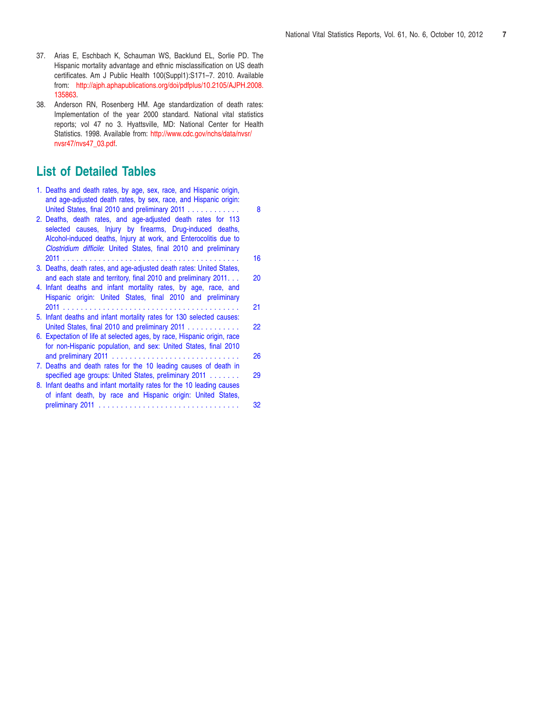- <span id="page-6-0"></span>37. Arias E, Eschbach K, Schauman WS, Backlund EL, Sorlie PD. The Hispanic mortality advantage and ethnic misclassification on US death certificates. Am J Public Health 100(Suppl1):S171–7. 2010. Available from: [http://ajph.aphapublications.org/doi/pdfplus/10.2105/AJPH.2008.](http://ajph.aphapublications.org/doi/pdfplus/10.2105/AJPH.2008.135863) 135863.
- 38. Anderson RN, Rosenberg HM. Age standardization of death rates: Implementation of the year 2000 standard. National vital statistics reports; vol 47 no 3. Hyattsville, MD: National Center for Health Statistics. 1998. Available from: [http://www.cdc.gov/nchs/data/nvsr/](http://www.cdc.gov/nchs/data/nvsr/nvsr47/nvs47_03.pdf) nvsr47/nvs47\_03.pdf.

## **List of Detailed Tables**

| 1. Deaths and death rates, by age, sex, race, and Hispanic origin,                                                                   |    |
|--------------------------------------------------------------------------------------------------------------------------------------|----|
| and age-adjusted death rates, by sex, race, and Hispanic origin:<br>United States, final 2010 and preliminary 2011                   | 8  |
| 2. Deaths, death rates, and age-adjusted death rates for 113                                                                         |    |
| selected causes, Injury by firearms, Drug-induced deaths,                                                                            |    |
| Alcohol-induced deaths, Injury at work, and Enterocolitis due to<br>Clostridium difficile: United States, final 2010 and preliminary |    |
|                                                                                                                                      | 16 |
| 3. Deaths, death rates, and age-adjusted death rates: United States,                                                                 |    |
| and each state and territory, final 2010 and preliminary 2011                                                                        | 20 |
| 4. Infant deaths and infant mortality rates, by age, race, and                                                                       |    |
| Hispanic origin: United States, final 2010 and preliminary                                                                           |    |
| 5. Infant deaths and infant mortality rates for 130 selected causes:                                                                 | 21 |
| United States, final 2010 and preliminary 2011                                                                                       | 22 |
| 6. Expectation of life at selected ages, by race, Hispanic origin, race                                                              |    |
| for non-Hispanic population, and sex: United States, final 2010                                                                      |    |
| and preliminary 2011                                                                                                                 | 26 |
| 7. Deaths and death rates for the 10 leading causes of death in                                                                      |    |
| specified age groups: United States, preliminary 2011                                                                                | 29 |
| 8. Infant deaths and infant mortality rates for the 10 leading causes                                                                |    |
| of infant death, by race and Hispanic origin: United States,                                                                         | 32 |
|                                                                                                                                      |    |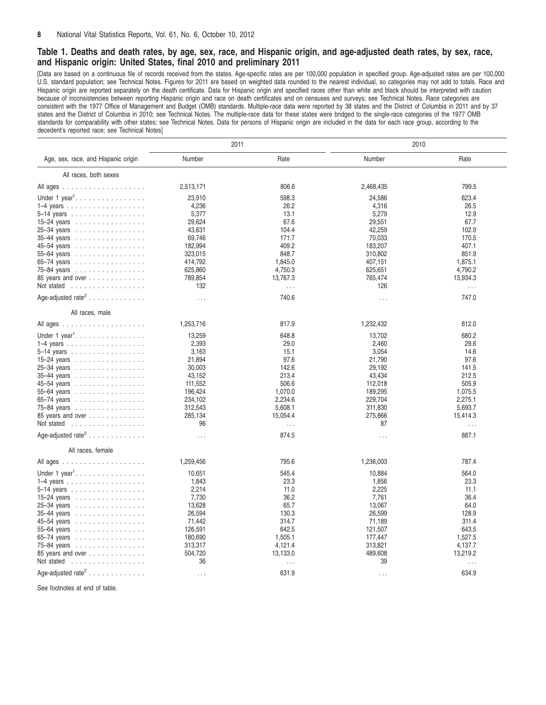<span id="page-7-0"></span>[Data are based on a continuous file of records received from the states. Age-specific rates are per 100,000 population in specified group. Age-adjusted rates are per 100,000 U.S. standard population; see Technical Notes. Figures for 2011 are based on weighted data rounded to the nearest individual, so categories may not add to totals. Race and Hispanic origin are reported separately on the death certificate. Data for Hispanic origin and specified races other than white and black should be interpreted with caution because of inconsistencies between reporting Hispanic origin and race on death certificates and on censuses and surveys; see Technical Notes. Race categories are consistent with the 1977 Office of Management and Budget (OMB) standards. Multiple-race data were reported by 38 states and the District of Columbia in 2011 and by 37 states and the District of Columbia in 2010; see Technical Notes. The multiple-race data for these states were bridged to the single-race categories of the 1977 OMB standards for comparability with other states; see Technical Notes. Data for persons of Hispanic origin are included in the data for each race group, according to the decedent's reported race; see Technical Notes]

|                                                 | 2011      |          | 2010      |          |  |
|-------------------------------------------------|-----------|----------|-----------|----------|--|
| Age, sex, race, and Hispanic origin             | Number    | Rate     | Number    | Rate     |  |
| All races, both sexes                           |           |          |           |          |  |
|                                                 | 2,513,171 | 806.6    | 2,468,435 | 799.5    |  |
| Under 1 year <sup>1</sup>                       | 23,910    | 598.3    | 24,586    | 623.4    |  |
| $1-4$ years                                     | 4,236     | 26.2     | 4,316     | 26.5     |  |
| 5-14 years                                      | 5,377     | 13.1     | 5,279     | 12.9     |  |
| 15-24 years                                     | 29,624    | 67.6     | 29,551    | 67.7     |  |
| 25-34 years                                     | 43,631    | 104.4    | 42,259    | 102.9    |  |
| 35-44 years                                     | 69,746    | 171.7    | 70,033    | 170.5    |  |
| 45-54 years                                     | 182,994   | 409.2    | 183,207   | 407.1    |  |
| 55-64 years                                     | 323,015   | 848.7    | 310,802   | 851.9    |  |
| 65-74 years                                     | 414,792   | 1,845.0  | 407,151   | 1,875.1  |  |
| 75-84 years                                     | 625,860   | 4,750.3  | 625,651   | 4,790.2  |  |
| 85 years and over $\ldots \ldots \ldots \ldots$ | 789,854   | 13,767.3 | 765,474   | 13,934.3 |  |
| Not stated                                      | 132       | $\ldots$ | 126       | $\ldots$ |  |
| Age-adjusted rate <sup>2</sup>                  |           | 740.6    |           | 747.0    |  |
|                                                 | $\ldots$  |          | $\cdots$  |          |  |
| All races, male                                 |           |          |           |          |  |
|                                                 | 1,253,716 | 817.9    | 1,232,432 | 812.0    |  |
| Under $1$ year <sup>1</sup> .                   | 13,259    | 648.8    | 13,702    | 680.2    |  |
|                                                 | 2,393     | 29.0     | 2,460     | 29.6     |  |
| 5-14 years                                      | 3,163     | 15.1     | 3,054     | 14.6     |  |
| 15-24 years                                     | 21,894    | 97.6     | 21,790    | 97.6     |  |
| 25-34 years                                     | 30,003    | 142.6    | 29,192    | 141.5    |  |
| 35-44 years                                     | 43,152    | 213.4    | 43,434    | 212.5    |  |
| 45-54 years                                     | 111,552   | 506.6    | 112,018   | 505.9    |  |
| 55-64 years                                     | 196,424   | 1,070.0  | 189,295   | 1,075.5  |  |
| 65-74 years                                     | 234,102   | 2.234.6  | 229.704   | 2.275.1  |  |
| 75-84 years                                     | 312,543   | 5,608.1  | 311,830   | 5,693.7  |  |
| 85 years and over                               | 285,134   | 15,054.4 | 275,866   | 15,414.3 |  |
| Not stated                                      | 96        | $\ldots$ | 87        | $\ldots$ |  |
| Age-adjusted rate <sup>2</sup>                  |           | 874.5    |           | 887.1    |  |
|                                                 | $\ldots$  |          | $\cdots$  |          |  |
| All races, female                               |           |          |           |          |  |
|                                                 | 1,259,456 | 795.6    | 1,236,003 | 787.4    |  |
| Under $1$ year'                                 | 10.651    | 545.4    | 10,884    | 564.0    |  |
| $1-4$ years                                     | 1,843     | 23.3     | 1,856     | 23.3     |  |
| 5-14 years                                      | 2,214     | 11.0     | 2,225     | 11.1     |  |
| 15-24 years                                     | 7,730     | 36.2     | 7,761     | 36.4     |  |
| 25-34 years                                     | 13,628    | 65.7     | 13,067    | 64.0     |  |
| 35-44 years                                     | 26,594    | 130.3    | 26,599    | 128.9    |  |
| 45-54 years                                     | 71,442    | 314.7    | 71,189    | 311.4    |  |
| 55-64 years                                     | 126,591   | 642.5    | 121,507   | 643.5    |  |
| 65-74 years                                     | 180,690   | 1,505.1  | 177,447   | 1,527.5  |  |
| 75-84 years                                     | 313,317   | 4,121.4  | 313,821   | 4,137.7  |  |
| 85 years and over                               | 504,720   | 13,133.0 | 489,608   | 13,219.2 |  |
| Not stated                                      | 36        | $\cdots$ | 39        | $\ldots$ |  |
| Age-adjusted rate <sup>2</sup>                  | $\cdots$  | 631.9    | $\cdots$  | 634.9    |  |
|                                                 |           |          |           |          |  |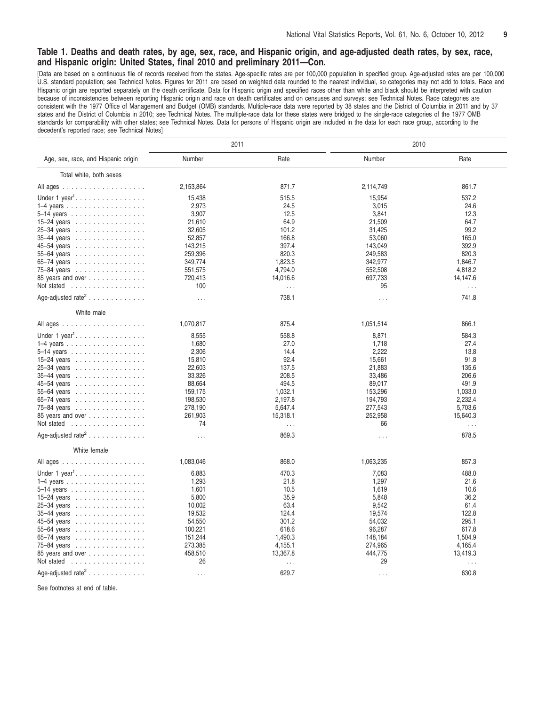[Data are based on a continuous file of records received from the states. Age-specific rates are per 100,000 population in specified group. Age-adjusted rates are per 100,000 U.S. standard population; see Technical Notes. Figures for 2011 are based on weighted data rounded to the nearest individual, so categories may not add to totals. Race and Hispanic origin are reported separately on the death certificate. Data for Hispanic origin and specified races other than white and black should be interpreted with caution because of inconsistencies between reporting Hispanic origin and race on death certificates and on censuses and surveys; see Technical Notes. Race categories are consistent with the 1977 Office of Management and Budget (OMB) standards. Multiple-race data were reported by 38 states and the District of Columbia in 2011 and by 37 states and the District of Columbia in 2010; see Technical Notes. The multiple-race data for these states were bridged to the single-race categories of the 1977 OMB standards for comparability with other states; see Technical Notes. Data for persons of Hispanic origin are included in the data for each race group, according to the decedent's reported race; see Technical Notes]

|                                                 | 2011      |          | 2010      |          |  |
|-------------------------------------------------|-----------|----------|-----------|----------|--|
| Age, sex, race, and Hispanic origin             | Number    | Rate     | Number    | Rate     |  |
| Total white, both sexes                         |           |          |           |          |  |
|                                                 | 2,153,864 | 871.7    | 2,114,749 | 861.7    |  |
| Under 1 year <sup>1</sup> .                     | 15,438    | 515.5    | 15,954    | 537.2    |  |
| 1–4 years $\ldots \ldots \ldots \ldots \ldots$  | 2,973     | 24.5     | 3,015     | 24.6     |  |
| 5-14 years                                      | 3,907     | 12.5     | 3,841     | 12.3     |  |
| 15-24 years                                     | 21,610    | 64.9     | 21,509    | 64.7     |  |
| 25-34 years                                     | 32,605    | 101.2    | 31,425    | 99.2     |  |
| 35-44 years                                     | 52,857    | 166.8    | 53,060    | 165.0    |  |
| 45-54 years                                     | 143,215   | 397.4    | 143,049   | 392.9    |  |
| 55-64 years                                     | 259,396   | 820.3    | 249,583   | 820.3    |  |
|                                                 | 349,774   | 1,823.5  | 342,977   | 1,846.7  |  |
| 65-74 years                                     |           | 4,794.0  | 552,508   | 4,818.2  |  |
| 75-84 years                                     | 551,575   |          |           |          |  |
| 85 years and over                               | 720,413   | 14,016.6 | 697,733   | 14,147.6 |  |
| Not stated                                      | 100       | $\ldots$ | 95        | $\ldots$ |  |
| Age-adjusted rate <sup>2</sup>                  | $\cdots$  | 738.1    | $\cdots$  | 741.8    |  |
| White male                                      |           |          |           |          |  |
|                                                 | 1,070,817 | 875.4    | 1,051,514 | 866.1    |  |
| Under $1$ year <sup>1</sup> .                   | 8,555     | 558.8    | 8,871     | 584.3    |  |
| $1-4$ years                                     | 1,680     | 27.0     | 1,718     | 27.4     |  |
| 5-14 years                                      | 2,306     | 14.4     | 2,222     | 13.8     |  |
| 15-24 years                                     | 15,810    | 92.4     | 15,661    | 91.8     |  |
| 25-34 years                                     | 22,603    | 137.5    | 21,883    | 135.6    |  |
| 35-44 years                                     | 33,326    | 208.5    | 33,486    | 206.6    |  |
| 45-54 years                                     | 88,664    | 494.5    | 89,017    | 491.9    |  |
| 55-64 years                                     | 159,175   | 1,032.1  | 153,296   | 1,033.0  |  |
|                                                 | 198,530   | 2,197.8  | 194,793   | 2,232.4  |  |
| 65-74 years $\ldots \ldots \ldots \ldots$       | 278,190   | 5,647.4  | 277,543   | 5,703.6  |  |
| 75-84 years                                     |           |          |           |          |  |
| 85 years and over $\ldots \ldots \ldots \ldots$ | 261,903   | 15,318.1 | 252,958   | 15,640.3 |  |
| Not stated                                      | 74        | $\cdots$ | 66        | $\ldots$ |  |
| Age-adjusted rate <sup>2</sup>                  | $\cdots$  | 869.3    | $\cdots$  | 878.5    |  |
| White female                                    |           |          |           |          |  |
|                                                 | 1,083,046 | 868.0    | 1,063,235 | 857.3    |  |
| Under $1$ year <sup>1</sup> .                   | 6,883     | 470.3    | 7,083     | 488.0    |  |
| $1-4$ years                                     | 1,293     | 21.8     | 1,297     | 21.6     |  |
| 5-14 years                                      | 1,601     | 10.5     | 1,619     | 10.6     |  |
| 15-24 years                                     | 5,800     | 35.9     | 5,848     | 36.2     |  |
| 25-34 years                                     | 10,002    | 63.4     | 9,542     | 61.4     |  |
| 35-44 years                                     | 19,532    | 124.4    | 19,574    | 122.8    |  |
| 45-54 years                                     | 54,550    | 301.2    | 54,032    | 295.1    |  |
| 55-64 years                                     | 100,221   | 618.6    | 96,287    | 617.8    |  |
| 65-74 years                                     | 151,244   | 1,490.3  | 148,184   | 1,504.9  |  |
| 75-84 years                                     | 273,385   | 4,155.1  | 274,965   | 4,165.4  |  |
| 85 years and over $\ldots \ldots \ldots \ldots$ | 458,510   | 13,367.8 | 444,775   | 13,419.3 |  |
| Not stated                                      | 26        |          | 29        |          |  |
|                                                 |           | $\cdots$ |           | $\cdots$ |  |
| Age-adjusted rate <sup>2</sup>                  | $\cdots$  | 629.7    | .         | 630.8    |  |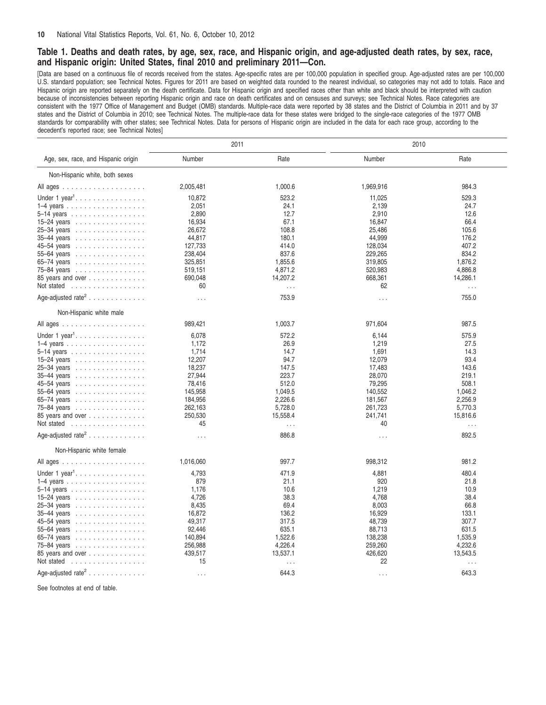[Data are based on a continuous file of records received from the states. Age-specific rates are per 100,000 population in specified group. Age-adjusted rates are per 100,000 U.S. standard population; see Technical Notes. Figures for 2011 are based on weighted data rounded to the nearest individual, so categories may not add to totals. Race and Hispanic origin are reported separately on the death certificate. Data for Hispanic origin and specified races other than white and black should be interpreted with caution because of inconsistencies between reporting Hispanic origin and race on death certificates and on censuses and surveys; see Technical Notes. Race categories are consistent with the 1977 Office of Management and Budget (OMB) standards. Multiple-race data were reported by 38 states and the District of Columbia in 2011 and by 37 states and the District of Columbia in 2010; see Technical Notes. The multiple-race data for these states were bridged to the single-race categories of the 1977 OMB standards for comparability with other states; see Technical Notes. Data for persons of Hispanic origin are included in the data for each race group, according to the decedent's reported race; see Technical Notes]

|                                                    | 2011      |          | 2010      |          |  |
|----------------------------------------------------|-----------|----------|-----------|----------|--|
| Age, sex, race, and Hispanic origin                | Number    | Rate     | Number    | Rate     |  |
| Non-Hispanic white, both sexes                     |           |          |           |          |  |
|                                                    | 2,005,481 | 1,000.6  | 1,969,916 | 984.3    |  |
| Under 1 year <sup>1</sup> .                        | 10.872    | 523.2    | 11,025    | 529.3    |  |
| 1–4 years $\ldots \ldots \ldots \ldots \ldots$     | 2,051     | 24.1     | 2,139     | 24.7     |  |
| 5-14 years                                         | 2,890     | 12.7     | 2,910     | 12.6     |  |
| 15-24 years                                        | 16,934    | 67.1     | 16,847    | 66.4     |  |
| 25-34 years                                        | 26,672    | 108.8    | 25,486    | 105.6    |  |
| $35-44$ years                                      | 44,817    | 180.1    | 44,999    | 176.2    |  |
| 45-54 years                                        | 127,733   | 414.0    | 128,034   | 407.2    |  |
| 55-64 years                                        | 238,404   | 837.6    | 229,265   | 834.2    |  |
| $65-74$ years $\ldots \ldots \ldots \ldots \ldots$ | 325,851   | 1,855.6  | 319,805   | 1,876.2  |  |
|                                                    | 519,151   | 4,871.2  | 520,983   | 4,886.8  |  |
| 75-84 years                                        |           |          |           |          |  |
| 85 years and over                                  | 690,048   | 14,207.2 | 668,361   | 14,286.1 |  |
| Not stated                                         | 60        | $\ldots$ | 62        | $\ldots$ |  |
| Age-adjusted rate <sup>2</sup>                     | $\cdots$  | 753.9    | .         | 755.0    |  |
| Non-Hispanic white male                            |           |          |           |          |  |
|                                                    | 989,421   | 1,003.7  | 971,604   | 987.5    |  |
| Under $1$ year <sup>1</sup> .                      | 6.078     | 572.2    | 6,144     | 575.9    |  |
|                                                    | 1,172     | 26.9     | 1,219     | 27.5     |  |
| 5-14 years                                         | 1,714     | 14.7     | 1,691     | 14.3     |  |
| 15-24 years                                        | 12,207    | 94.7     | 12,079    | 93.4     |  |
| 25-34 years                                        | 18,237    | 147.5    | 17,483    | 143.6    |  |
| 35-44 years                                        | 27,944    | 223.7    | 28,070    | 219.1    |  |
| 45-54 years                                        | 78,416    | 512.0    | 79,295    | 508.1    |  |
| 55-64 years                                        | 145,958   | 1,049.5  | 140,552   | 1,046.2  |  |
| 65-74 years                                        | 184,956   | 2,226.6  | 181,567   | 2,256.9  |  |
|                                                    | 262,163   | 5,728.0  | 261,723   | 5,770.3  |  |
| 75-84 years                                        |           |          |           |          |  |
| 85 years and over                                  | 250,530   | 15,558.4 | 241,741   | 15,816.6 |  |
| Not stated                                         | 45        | $\ldots$ | 40        | $\ldots$ |  |
| Age-adjusted rate <sup>2</sup>                     | $\cdots$  | 886.8    | $\cdots$  | 892.5    |  |
| Non-Hispanic white female                          |           |          |           |          |  |
|                                                    | 1,016,060 | 997.7    | 998,312   | 981.2    |  |
| Under 1 year <sup>1</sup> .                        | 4,793     | 471.9    | 4,881     | 480.4    |  |
| $1-4$ years                                        | 879       | 21.1     | 920       | 21.8     |  |
| 5-14 years                                         | 1,176     | 10.6     | 1,219     | 10.9     |  |
| 15-24 years $\ldots \ldots \ldots \ldots \ldots$   | 4,726     | 38.3     | 4,768     | 38.4     |  |
| 25-34 years                                        | 8,435     | 69.4     | 8,003     | 66.8     |  |
| 35-44 years                                        | 16,872    | 136.2    | 16,929    | 133.1    |  |
| 45-54 years                                        | 49,317    | 317.5    | 48,739    | 307.7    |  |
| 55-64 years                                        | 92,446    | 635.1    | 88,713    | 631.5    |  |
| 65-74 years                                        | 140,894   | 1,522.6  | 138,238   | 1,535.9  |  |
| 75-84 years                                        | 256,988   | 4,226.4  | 259,260   | 4,232.6  |  |
| 85 years and over $\ldots \ldots \ldots \ldots$    | 439,517   | 13,537.1 | 426,620   | 13,543.5 |  |
| Not stated                                         | 15        |          | 22        |          |  |
|                                                    |           | $\cdots$ |           | $\ldots$ |  |
| Age-adjusted rate <sup>2</sup>                     | $\cdots$  | 644.3    | $\cdots$  | 643.3    |  |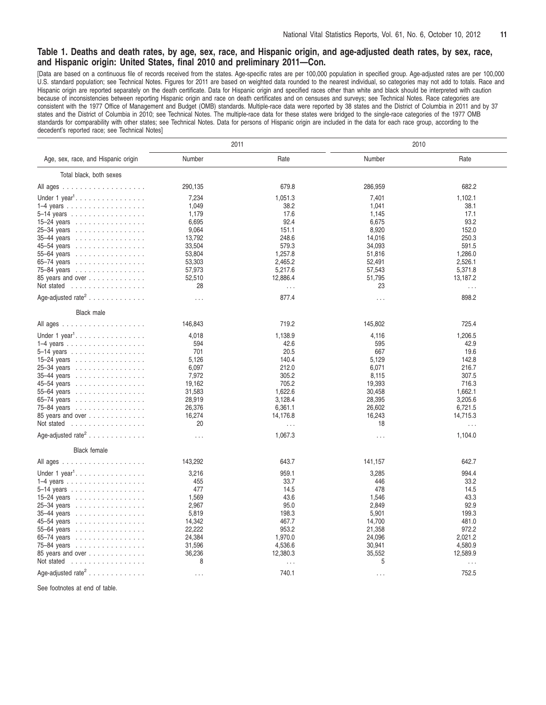[Data are based on a continuous file of records received from the states. Age-specific rates are per 100,000 population in specified group. Age-adjusted rates are per 100,000 U.S. standard population; see Technical Notes. Figures for 2011 are based on weighted data rounded to the nearest individual, so categories may not add to totals. Race and Hispanic origin are reported separately on the death certificate. Data for Hispanic origin and specified races other than white and black should be interpreted with caution because of inconsistencies between reporting Hispanic origin and race on death certificates and on censuses and surveys; see Technical Notes. Race categories are consistent with the 1977 Office of Management and Budget (OMB) standards. Multiple-race data were reported by 38 states and the District of Columbia in 2011 and by 37 states and the District of Columbia in 2010; see Technical Notes. The multiple-race data for these states were bridged to the single-race categories of the 1977 OMB standards for comparability with other states; see Technical Notes. Data for persons of Hispanic origin are included in the data for each race group, according to the decedent's reported race; see Technical Notes]

|                                                  | 2011     |          | 2010     |          |  |
|--------------------------------------------------|----------|----------|----------|----------|--|
| Age, sex, race, and Hispanic origin              | Number   | Rate     | Number   | Rate     |  |
| Total black, both sexes                          |          |          |          |          |  |
|                                                  | 290,135  | 679.8    | 286,959  | 682.2    |  |
| Under 1 year <sup>1</sup> .                      | 7,234    | 1,051.3  | 7,401    | 1,102.1  |  |
| $1-4$ years                                      | 1,049    | 38.2     | 1,041    | 38.1     |  |
| 5-14 years                                       | 1,179    | 17.6     | 1,145    | 17.1     |  |
| 15-24 years                                      | 6,695    | 92.4     | 6,675    | 93.2     |  |
| 25-34 years                                      | 9,064    | 151.1    | 8,920    | 152.0    |  |
| 35-44 years                                      | 13,792   | 248.6    | 14,016   | 250.3    |  |
| 45-54 years                                      | 33,504   | 579.3    | 34,093   | 591.5    |  |
| 55-64 years                                      | 53,804   | 1,257.8  | 51,816   | 1,286.0  |  |
| 65-74 years                                      | 53,303   | 2,465.2  | 52,491   | 2,526.1  |  |
| 75-84 years                                      | 57,973   | 5,217.6  | 57,543   | 5,371.8  |  |
| 85 years and over $\ldots \ldots \ldots \ldots$  | 52,510   | 12,886.4 | 51,795   | 13,187.2 |  |
| Not stated                                       | 28       | $\cdots$ | 23       | $\ldots$ |  |
| Age-adjusted rate <sup>2</sup>                   | $\cdots$ | 877.4    | $\cdots$ | 898.2    |  |
|                                                  |          |          |          |          |  |
| Black male                                       |          |          |          |          |  |
|                                                  | 146,843  | 719.2    | 145,802  | 725.4    |  |
| Under 1 year <sup>1</sup> .                      | 4,018    | 1,138.9  | 4,116    | 1,206.5  |  |
| $1-4$ years                                      | 594      | 42.6     | 595      | 42.9     |  |
| 5-14 years                                       | 701      | 20.5     | 667      | 19.6     |  |
| 15-24 years $\ldots \ldots \ldots \ldots \ldots$ | 5,126    | 140.4    | 5,129    | 142.8    |  |
| 25-34 years                                      | 6,097    | 212.0    | 6,071    | 216.7    |  |
| 35-44 years                                      | 7,972    | 305.2    | 8,115    | 307.5    |  |
| 45-54 years                                      | 19,162   | 705.2    | 19,393   | 716.3    |  |
| 55-64 years                                      | 31,583   | 1,622.6  | 30,458   | 1,662.1  |  |
| 65-74 years                                      | 28,919   | 3,128.4  | 28,395   | 3,205.6  |  |
| 75-84 years                                      | 26,376   | 6,361.1  | 26,602   | 6,721.5  |  |
| 85 years and over                                | 16,274   | 14,176.8 | 16,243   | 14,715.3 |  |
| Not stated                                       | 20       | $\ldots$ | 18       | $\cdots$ |  |
| Age-adjusted rate <sup>2</sup>                   | $\cdots$ | 1,067.3  | $\cdots$ | 1,104.0  |  |
| <b>Black female</b>                              |          |          |          |          |  |
|                                                  | 143,292  | 643.7    | 141,157  | 642.7    |  |
| Under $1$ year <sup>1</sup> .                    | 3,216    | 959.1    | 3,285    | 994.4    |  |
| $1-4$ years                                      | 455      | 33.7     | 446      | 33.2     |  |
| 5-14 years                                       | 477      | 14.5     | 478      | 14.5     |  |
| 15-24 years $\ldots \ldots \ldots \ldots \ldots$ | 1,569    | 43.6     | 1,546    | 43.3     |  |
| 25-34 years                                      | 2,967    | 95.0     | 2,849    | 92.9     |  |
| 35-44 years                                      | 5,819    | 198.3    | 5,901    | 199.3    |  |
| 45-54 years                                      | 14,342   | 467.7    | 14,700   | 481.0    |  |
| 55-64 years                                      | 22,222   | 953.2    | 21,358   | 972.2    |  |
| 65-74 years                                      | 24,384   | 1,970.0  | 24,096   | 2,021.2  |  |
| 75-84 years                                      | 31,596   | 4,536.6  | 30,941   | 4,580.9  |  |
| 85 years and over                                | 36,236   | 12,380.3 | 35,552   | 12,589.9 |  |
| Not stated<br>.                                  | 8        |          | 5        |          |  |
|                                                  |          | $\cdots$ |          | $\ldots$ |  |
| Age-adjusted rate <sup>2</sup>                   | $\cdots$ | 740.1    | $\cdots$ | 752.5    |  |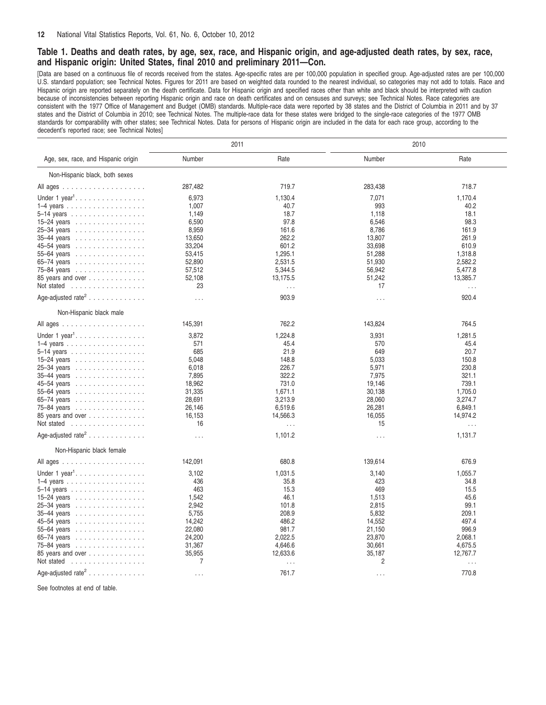[Data are based on a continuous file of records received from the states. Age-specific rates are per 100,000 population in specified group. Age-adjusted rates are per 100,000 U.S. standard population; see Technical Notes. Figures for 2011 are based on weighted data rounded to the nearest individual, so categories may not add to totals. Race and Hispanic origin are reported separately on the death certificate. Data for Hispanic origin and specified races other than white and black should be interpreted with caution because of inconsistencies between reporting Hispanic origin and race on death certificates and on censuses and surveys; see Technical Notes. Race categories are consistent with the 1977 Office of Management and Budget (OMB) standards. Multiple-race data were reported by 38 states and the District of Columbia in 2011 and by 37 states and the District of Columbia in 2010; see Technical Notes. The multiple-race data for these states were bridged to the single-race categories of the 1977 OMB standards for comparability with other states; see Technical Notes. Data for persons of Hispanic origin are included in the data for each race group, according to the decedent's reported race; see Technical Notes]

|                                                    | 2011     |          | 2010     |          |  |
|----------------------------------------------------|----------|----------|----------|----------|--|
| Age, sex, race, and Hispanic origin                | Number   | Rate     | Number   | Rate     |  |
| Non-Hispanic black, both sexes                     |          |          |          |          |  |
|                                                    | 287,482  | 719.7    | 283,438  | 718.7    |  |
| Under 1 year <sup>1</sup> .                        | 6.973    | 1,130.4  | 7.071    | 1,170.4  |  |
| 1–4 years $\ldots \ldots \ldots \ldots \ldots$     | 1,007    | 40.7     | 993      | 40.2     |  |
| 5-14 years                                         | 1,149    | 18.7     | 1,118    | 18.1     |  |
| 15-24 years                                        | 6,590    | 97.8     | 6,546    | 98.3     |  |
| 25-34 years                                        | 8,959    | 161.6    | 8,786    | 161.9    |  |
| 35-44 years                                        | 13,650   | 262.2    | 13,807   | 261.9    |  |
| 45-54 years                                        | 33,204   | 601.2    | 33,698   | 610.9    |  |
| 55-64 years                                        | 53,415   | 1,295.1  | 51,288   | 1,318.8  |  |
| $65-74$ years $\ldots \ldots \ldots \ldots \ldots$ | 52,890   | 2,531.5  | 51,930   | 2,582.2  |  |
| 75-84 years                                        | 57,512   | 5,344.5  | 56,942   | 5,477.8  |  |
|                                                    |          |          |          |          |  |
| 85 years and over                                  | 52,108   | 13,175.5 | 51,242   | 13,385.7 |  |
| Not stated                                         | 23       | $\ldots$ | 17       | $\ldots$ |  |
| Age-adjusted rate <sup>2</sup>                     | .        | 903.9    | $\cdots$ | 920.4    |  |
| Non-Hispanic black male                            |          |          |          |          |  |
|                                                    | 145,391  | 762.2    | 143,824  | 764.5    |  |
| Under $1$ year <sup>1</sup> .                      | 3,872    | 1.224.8  | 3,931    | 1,281.5  |  |
|                                                    | 571      | 45.4     | 570      | 45.4     |  |
| 5-14 years                                         | 685      | 21.9     | 649      | 20.7     |  |
| 15-24 years                                        | 5,048    | 148.8    | 5,033    | 150.8    |  |
| 25-34 years                                        | 6,018    | 226.7    | 5,971    | 230.8    |  |
| 35-44 years                                        | 7,895    | 322.2    | 7,975    | 321.1    |  |
| 45-54 years                                        | 18,962   | 731.0    | 19,146   | 739.1    |  |
| 55-64 years                                        | 31,335   | 1,671.1  | 30,138   | 1,705.0  |  |
| 65-74 years                                        | 28,691   | 3,213.9  | 28,060   | 3.274.7  |  |
|                                                    | 26,146   | 6,519.6  | 26,281   | 6,849.1  |  |
| 75-84 years                                        |          |          |          |          |  |
| 85 years and over                                  | 16,153   | 14,566.3 | 16,055   | 14,974.2 |  |
| Not stated                                         | 16       | $\cdots$ | 15       | $\cdots$ |  |
| Age-adjusted rate <sup>2</sup>                     | $\ldots$ | 1,101.2  | $\cdots$ | 1,131.7  |  |
| Non-Hispanic black female                          |          |          |          |          |  |
|                                                    | 142,091  | 680.8    | 139,614  | 676.9    |  |
| Under 1 year <sup>1</sup> .                        | 3,102    | 1,031.5  | 3,140    | 1,055.7  |  |
| $1-4$ years                                        | 436      | 35.8     | 423      | 34.8     |  |
| 5-14 years                                         | 463      | 15.3     | 469      | 15.5     |  |
| 15-24 years $\ldots \ldots \ldots \ldots \ldots$   | 1,542    | 46.1     | 1,513    | 45.6     |  |
| 25-34 years                                        | 2,942    | 101.8    | 2,815    | 99.1     |  |
| 35-44 years                                        | 5,755    | 208.9    | 5,832    | 209.1    |  |
| 45-54 years                                        | 14,242   | 486.2    | 14,552   | 497.4    |  |
| 55-64 years                                        | 22,080   | 981.7    | 21,150   | 996.9    |  |
| 65-74 years                                        | 24,200   | 2,022.5  | 23,870   | 2,068.1  |  |
| 75-84 years                                        | 31,367   | 4,646.6  | 30,661   | 4,675.5  |  |
|                                                    | 35,955   | 12,633.6 | 35,187   | 12,767.7 |  |
| 85 years and over<br>Not stated                    | 7        |          | 2        |          |  |
|                                                    |          | $\cdots$ |          | $\cdots$ |  |
| Age-adjusted rate <sup>2</sup>                     | $\cdots$ | 761.7    | $\cdots$ | 770.8    |  |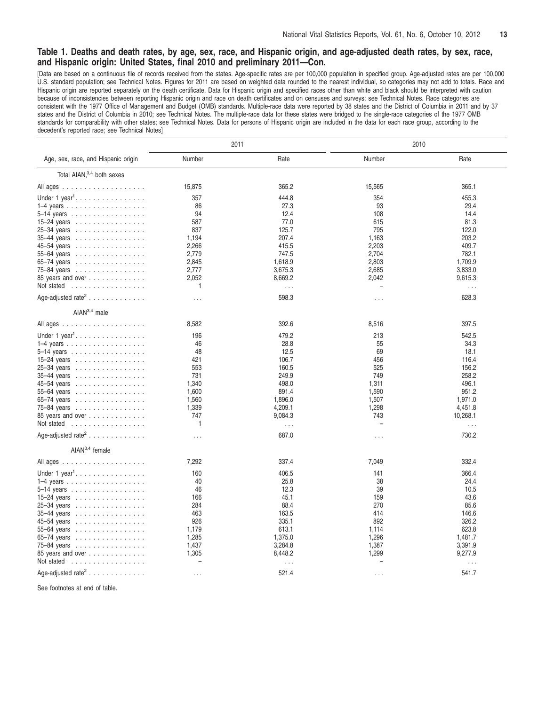[Data are based on a continuous file of records received from the states. Age-specific rates are per 100,000 population in specified group. Age-adjusted rates are per 100,000 U.S. standard population; see Technical Notes. Figures for 2011 are based on weighted data rounded to the nearest individual, so categories may not add to totals. Race and Hispanic origin are reported separately on the death certificate. Data for Hispanic origin and specified races other than white and black should be interpreted with caution because of inconsistencies between reporting Hispanic origin and race on death certificates and on censuses and surveys; see Technical Notes. Race categories are consistent with the 1977 Office of Management and Budget (OMB) standards. Multiple-race data were reported by 38 states and the District of Columbia in 2011 and by 37 states and the District of Columbia in 2010; see Technical Notes. The multiple-race data for these states were bridged to the single-race categories of the 1977 OMB standards for comparability with other states; see Technical Notes. Data for persons of Hispanic origin are included in the data for each race group, according to the decedent's reported race; see Technical Notes]

|                                                          | 2011     |          | 2010     |          |  |
|----------------------------------------------------------|----------|----------|----------|----------|--|
| Age, sex, race, and Hispanic origin                      | Number   | Rate     | Number   | Rate     |  |
| Total AIAN, 3,4 both sexes                               |          |          |          |          |  |
|                                                          | 15,875   | 365.2    | 15,565   | 365.1    |  |
| Under 1 year <sup>1</sup> .                              | 357      | 444.8    | 354      | 455.3    |  |
| $1-4$ years                                              | 86       | 27.3     | 93       | 29.4     |  |
| 5-14 years                                               | 94       | 12.4     | 108      | 14.4     |  |
| 15-24 years                                              | 587      | 77.0     | 615      | 81.3     |  |
| 25-34 years                                              | 837      | 125.7    | 795      | 122.0    |  |
| 35-44 years                                              | 1,194    | 207.4    | 1,163    | 203.2    |  |
| 45-54 years                                              | 2,266    | 415.5    | 2,203    | 409.7    |  |
| 55-64 years                                              | 2,779    | 747.5    | 2,704    | 782.1    |  |
| 65-74 years                                              | 2,845    | 1,618.9  | 2,803    | 1,709.9  |  |
| 75-84 years                                              | 2,777    | 3,675.3  | 2,685    | 3,833.0  |  |
| 85 years and over                                        | 2,052    | 8,669.2  | 2,042    | 9,615.3  |  |
| Not stated                                               | 1        | $\cdots$ |          | $\ldots$ |  |
| Age-adjusted $\text{rate}^2 \ldots \ldots \ldots \ldots$ | $\cdots$ | 598.3    | $\cdots$ | 628.3    |  |
| AIA $N^{3,4}$ male                                       |          |          |          |          |  |
|                                                          | 8,582    | 392.6    | 8,516    | 397.5    |  |
| Under 1 year <sup>1</sup> .                              | 196      | 479.2    | 213      | 542.5    |  |
| $1-4$ years                                              | 46       | 28.8     | 55       | 34.3     |  |
| 5-14 years                                               | 48       | 12.5     | 69       | 18.1     |  |
| 15-24 years                                              | 421      | 106.7    | 456      | 116.4    |  |
| 25-34 years<br>.                                         | 553      | 160.5    | 525      | 156.2    |  |
| 35–44 years<br>.                                         | 731      | 249.9    | 749      | 258.2    |  |
| $45 - 54$ years<br>.                                     | 1,340    | 498.0    | 1,311    | 496.1    |  |
| 55-64 years                                              | 1,600    | 891.4    | 1,590    | 951.2    |  |
| 65-74 years                                              | 1,560    | 1,896.0  | 1,507    | 1,971.0  |  |
| 75-84 years                                              | 1,339    | 4,209.1  | 1,298    | 4,451.8  |  |
| 85 years and over $\ldots \ldots \ldots \ldots$          | 747      | 9,084.3  | 743      | 10,268.1 |  |
| Not stated                                               | 1        | $\cdots$ |          | $\cdots$ |  |
| Age-adjusted rate <sup>2</sup>                           |          | 687.0    |          | 730.2    |  |
|                                                          | $\cdots$ |          | $\cdots$ |          |  |
| $AIAN3,4$ female                                         |          |          |          |          |  |
|                                                          | 7,292    | 337.4    | 7,049    | 332.4    |  |
| Under 1 year <sup>1</sup> .                              | 160      | 406.5    | 141      | 366.4    |  |
| $1-4$ years                                              | 40       | 25.8     | 38       | 24.4     |  |
| 5-14 years                                               | 46       | 12.3     | 39       | 10.5     |  |
| 15-24 years                                              | 166      | 45.1     | 159      | 43.6     |  |
| 25-34 years                                              | 284      | 88.4     | 270      | 85.6     |  |
| 35-44 years                                              | 463      | 163.5    | 414      | 146.6    |  |
| 45-54 years                                              | 926      | 335.1    | 892      | 326.2    |  |
| 55-64 years<br>.                                         | 1,179    | 613.1    | 1,114    | 623.8    |  |
| 65-74 years                                              | 1,285    | 1,375.0  | 1,296    | 1,481.7  |  |
| 75-84 years                                              | 1,437    | 3,284.8  | 1,387    | 3,391.9  |  |
| 85 years and over $\ldots \ldots \ldots \ldots$          | 1,305    | 8,448.2  | 1,299    | 9,277.9  |  |
| Not stated<br>.                                          |          | $\cdots$ |          | $\ldots$ |  |
| Age-adjusted rate <sup>2</sup>                           | .        | 521.4    | $\cdots$ | 541.7    |  |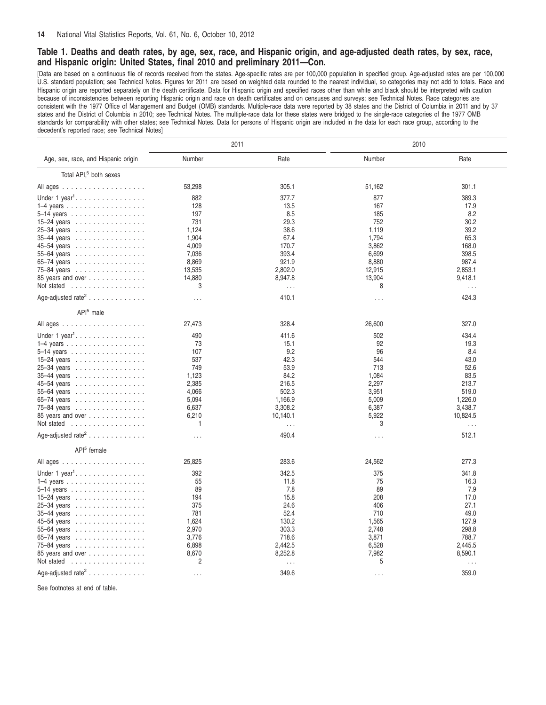[Data are based on a continuous file of records received from the states. Age-specific rates are per 100,000 population in specified group. Age-adjusted rates are per 100,000 U.S. standard population; see Technical Notes. Figures for 2011 are based on weighted data rounded to the nearest individual, so categories may not add to totals. Race and Hispanic origin are reported separately on the death certificate. Data for Hispanic origin and specified races other than white and black should be interpreted with caution because of inconsistencies between reporting Hispanic origin and race on death certificates and on censuses and surveys; see Technical Notes. Race categories are consistent with the 1977 Office of Management and Budget (OMB) standards. Multiple-race data were reported by 38 states and the District of Columbia in 2011 and by 37 states and the District of Columbia in 2010; see Technical Notes. The multiple-race data for these states were bridged to the single-race categories of the 1977 OMB standards for comparability with other states; see Technical Notes. Data for persons of Hispanic origin are included in the data for each race group, according to the decedent's reported race; see Technical Notes]

|                                                 | 2011           |          | 2010     |          |  |
|-------------------------------------------------|----------------|----------|----------|----------|--|
| Age, sex, race, and Hispanic origin             | Number         | Rate     | Number   | Rate     |  |
| Total API, <sup>5</sup> both sexes              |                |          |          |          |  |
|                                                 | 53,298         | 305.1    | 51,162   | 301.1    |  |
| Under 1 year <sup>1</sup> .                     | 882            | 377.7    | 877      | 389.3    |  |
| $1-4$ years                                     | 128            | 13.5     | 167      | 17.9     |  |
| 5-14 years                                      | 197            | 8.5      | 185      | 8.2      |  |
| 15-24 years                                     | 731            | 29.3     | 752      | 30.2     |  |
| 25-34 years                                     | 1,124          | 38.6     | 1,119    | 39.2     |  |
| 35–44 years<br>.                                | 1,904          | 67.4     | 1,794    | 65.3     |  |
| .<br>45–54 years                                | 4,009          | 170.7    | 3,862    | 168.0    |  |
| 55-64 years                                     | 7,036          | 393.4    | 6,699    | 398.5    |  |
| 65-74 years                                     | 8,869          | 921.9    | 8,880    | 987.4    |  |
| 75-84 years                                     | 13,535         | 2,802.0  | 12,915   | 2,853.1  |  |
| 85 years and over $\ldots \ldots \ldots \ldots$ | 14,880         | 8,947.8  | 13,904   | 9,418.1  |  |
| Not stated                                      | 3              | $\ldots$ | 8        | .        |  |
| Age-adjusted rate <sup>2</sup>                  | $\cdots$       | 410.1    | $\cdots$ | 424.3    |  |
| API <sup>5</sup> male                           |                |          |          |          |  |
|                                                 | 27,473         | 328.4    | 26,600   | 327.0    |  |
|                                                 | 490            | 411.6    | 502      | 434.4    |  |
| Under $1$ year <sup>1</sup> .                   | 73             | 15.1     | 92       | 19.3     |  |
| $1-4$ years                                     | 107            | 9.2      | 96       | 8.4      |  |
| 5-14 years                                      | 537            | 42.3     | 544      | 43.0     |  |
| 15-24 years                                     | 749            | 53.9     | 713      | 52.6     |  |
| 25-34 years                                     | 1,123          | 84.2     | 1,084    | 83.5     |  |
| 35-44 years                                     |                | 216.5    | 2,297    | 213.7    |  |
| 45-54 years                                     | 2,385          | 502.3    | 3,951    | 519.0    |  |
| 55-64 years                                     | 4,066<br>5,094 | 1,166.9  | 5,009    | 1.226.0  |  |
| 65-74 years                                     | 6,637          | 3,308.2  | 6,387    | 3,438.7  |  |
| 75-84 years                                     | 6,210          |          | 5,922    |          |  |
| 85 years and over                               | 1              | 10,140.1 | 3        | 10,824.5 |  |
| Not stated                                      |                | $\cdots$ |          | $\cdots$ |  |
| Age-adjusted rate <sup>2</sup>                  | $\ldots$       | 490.4    | $\ldots$ | 512.1    |  |
| API <sup>5</sup> female                         |                |          |          |          |  |
|                                                 | 25,825         | 283.6    | 24,562   | 277.3    |  |
| Under 1 year <sup>1</sup> .                     | 392            | 342.5    | 375      | 341.8    |  |
| $1-4$ years                                     | 55             | 11.8     | 75       | 16.3     |  |
| 5-14 years                                      | 89             | 7.8      | 89       | 7.9      |  |
| 15-24 years                                     | 194            | 15.8     | 208      | 17.0     |  |
| 25-34 years                                     | 375            | 24.6     | 406      | 27.1     |  |
| 35-44 years                                     | 781            | 52.4     | 710      | 49.0     |  |
| 45-54 years                                     | 1,624          | 130.2    | 1,565    | 127.9    |  |
| 55-64 years                                     | 2,970          | 303.3    | 2,748    | 298.8    |  |
| $65-74$ years                                   | 3,776          | 718.6    | 3,871    | 788.7    |  |
| 75-84 years                                     | 6,898          | 2,442.5  | 6,528    | 2,445.5  |  |
| 85 years and over $\ldots \ldots \ldots \ldots$ | 8,670          | 8,252.8  | 7,982    | 8,590.1  |  |
| Not stated                                      | 2              | $\cdots$ | 5        | $\cdots$ |  |
| Age-adjusted rate <sup>2</sup>                  | $\cdots$       | 349.6    | $\cdots$ | 359.0    |  |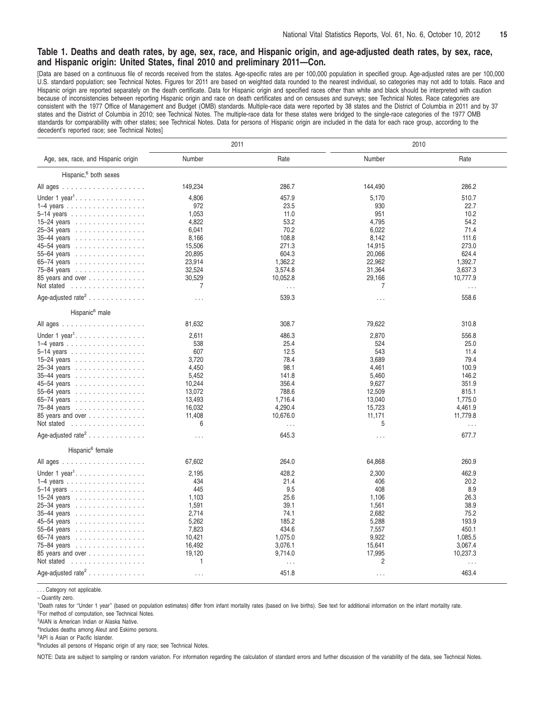[Data are based on a continuous file of records received from the states. Age-specific rates are per 100,000 population in specified group. Age-adjusted rates are per 100,000 U.S. standard population; see Technical Notes. Figures for 2011 are based on weighted data rounded to the nearest individual, so categories may not add to totals. Race and Hispanic origin are reported separately on the death certificate. Data for Hispanic origin and specified races other than white and black should be interpreted with caution because of inconsistencies between reporting Hispanic origin and race on death certificates and on censuses and surveys; see Technical Notes. Race categories are consistent with the 1977 Office of Management and Budget (OMB) standards. Multiple-race data were reported by 38 states and the District of Columbia in 2011 and by 37 states and the District of Columbia in 2010; see Technical Notes. The multiple-race data for these states were bridged to the single-race categories of the 1977 OMB standards for comparability with other states; see Technical Notes. Data for persons of Hispanic origin are included in the data for each race group, according to the decedent's reported race; see Technical Notes]

|                                                    | 2011           |          | 2010     |          |  |
|----------------------------------------------------|----------------|----------|----------|----------|--|
| Age, sex, race, and Hispanic origin                | Number         | Rate     | Number   | Rate     |  |
| Hispanic, <sup>6</sup> both sexes                  |                |          |          |          |  |
|                                                    | 149,234        | 286.7    | 144,490  | 286.2    |  |
| Under 1 year <sup>1</sup>                          | 4,806          | 457.9    | 5,170    | 510.7    |  |
| $1-4$ years                                        | 972            | 23.5     | 930      | 22.7     |  |
| 5-14 years                                         | 1,053          | 11.0     | 951      | 10.2     |  |
| 15-24 years                                        | 4,822          | 53.2     | 4,795    | 54.2     |  |
| 25-34 years                                        | 6,041          | 70.2     | 6,022    | 71.4     |  |
| $35-44$ years                                      | 8,166          | 108.8    | 8,142    | 111.6    |  |
| 45-54 years                                        | 15,506         | 271.3    | 14,915   | 273.0    |  |
| 55-64 years                                        | 20,895         | 604.3    | 20,066   | 624.4    |  |
| 65-74 years                                        | 23,914         | 1,362.2  | 22,962   | 1,392.7  |  |
| 75-84 years                                        | 32,524         | 3,574.8  | 31,364   | 3,637.3  |  |
| 85 years and over                                  | 30,529         | 10,052.8 | 29,166   | 10,777.9 |  |
| Not stated                                         | $\overline{7}$ | $\ldots$ | 7        | $\cdots$ |  |
| Age-adjusted rate <sup>2</sup>                     | $\cdots$       | 539.3    | $\cdots$ | 558.6    |  |
| Hispanic <sup>6</sup> male                         |                |          |          |          |  |
|                                                    | 81,632         | 308.7    | 79,622   | 310.8    |  |
| Under 1 year <sup>1</sup> .                        | 2,611          | 486.3    | 2,870    | 556.8    |  |
| $1-4$ years                                        | 538            | 25.4     | 524      | 25.0     |  |
| 5-14 years                                         | 607            | 12.5     | 543      | 11.4     |  |
| 15-24 years                                        | 3,720          | 78.4     | 3,689    | 79.4     |  |
| 25-34 years                                        | 4,450          | 98.1     | 4,461    | 100.9    |  |
| $35-44$ years                                      | 5,452          | 141.8    | 5,460    | 146.2    |  |
| 45-54 years                                        | 10,244         | 356.4    | 9,627    | 351.9    |  |
| 55-64 years                                        | 13,072         | 788.6    | 12,509   | 815.1    |  |
| $65-74$ years                                      | 13,493         | 1,716.4  | 13,040   | 1,775.0  |  |
| $75-84$ years $\ldots \ldots \ldots \ldots \ldots$ | 16,032         | 4,290.4  | 15,723   | 4,461.9  |  |
| 85 years and over                                  | 11,408         | 10,676.0 | 11,171   | 11,779.8 |  |
| Not stated $\ldots \ldots \ldots \ldots$           | 6              | $\ldots$ | 5        | $\cdots$ |  |
|                                                    |                |          |          |          |  |
| Age-adjusted rate <sup>2</sup>                     | $\cdots$       | 645.3    | $\cdots$ | 677.7    |  |
| Hispanic <sup>6</sup> female                       |                |          |          |          |  |
|                                                    | 67,602         | 264.0    | 64,868   | 260.9    |  |
| Under 1 year <sup>1</sup>                          | 2,195          | 428.2    | 2,300    | 462.9    |  |
| $1-4$ years                                        | 434            | 21.4     | 406      | 20.2     |  |
| 5-14 years                                         | 445            | 9.5      | 408      | 8.9      |  |
| 15-24 years                                        | 1,103          | 25.6     | 1,106    | 26.3     |  |
| 25-34 years                                        | 1,591          | 39.1     | 1,561    | 38.9     |  |
| $35-44$ years                                      | 2,714          | 74.1     | 2,682    | 75.2     |  |
| 45-54 years                                        | 5,262          | 185.2    | 5,288    | 193.9    |  |
| 55-64 years                                        | 7,823          | 434.6    | 7,557    | 450.1    |  |
| $65-74$ years                                      | 10,421         | 1,075.0  | 9.922    | 1,085.5  |  |
| 75-84 years                                        | 16,492         | 3,076.1  | 15,641   | 3,067.4  |  |
| 85 years and over                                  | 19,120         | 9,714.0  | 17,995   | 10,237.3 |  |
| Not stated<br>.                                    | 1              | $\cdots$ | 2        | $\cdots$ |  |
| Age-adjusted rate <sup>2</sup>                     | $\cdots$       | 451.8    | $\cdots$ | 463.4    |  |

. . . Category not applicable.

– Quantity zero.

<sup>1</sup>Death rates for ''Under 1 year'' (based on population estimates) differ from infant mortality rates (based on live births). See text for additional information on the infant mortality rate. 2 For method of computation, see Technical Notes.

3 AIAN is American Indian or Alaska Native.

4 Includes deaths among Aleut and Eskimo persons.

5 API is Asian or Pacific Islander.

<sup>6</sup>Includes all persons of Hispanic origin of any race; see Technical Notes.

NOTE: Data are subject to sampling or random variation. For information regarding the calculation of standard errors and further discussion of the variability of the data, see Technical Notes.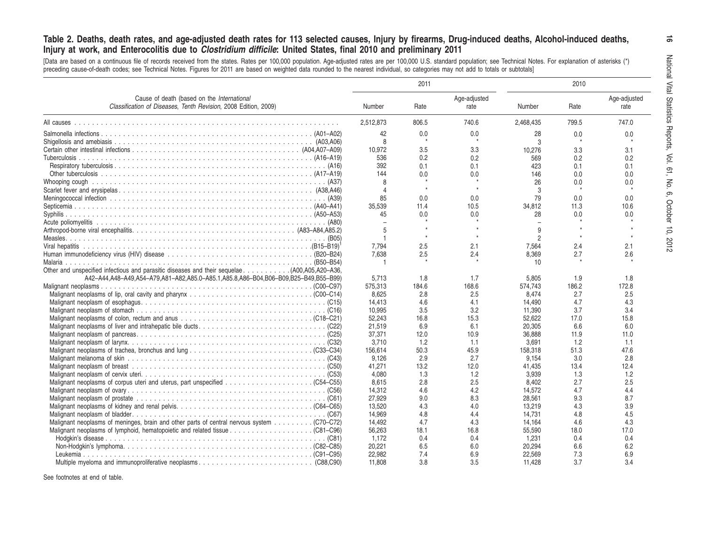#### <span id="page-15-0"></span>Table 2. Deaths, death rates, and age-adjusted death rates for 113 selected causes, Injury by firearms, Drug-induced deaths, Alcohol-induced deaths, Injury at work, and Enterocolitis due to Clostridium difficile: United States, final 2010 and preliminary 2011

[Data are based on a continuous file of records received from the states. Rates per 100,000 population. Age-adjusted rates are per 100,000 U.S. standard population; see preceding cause-of-death codes; see Technical Notes. Figures for 2011 are based on weighted data rounded to the nearest individual, so categories may not add to totals Technical Notes. For explanation of asterisks (\*) or subtotals]

| Age-adjusted<br>Age-adjusted<br>Cause of death (based on the International<br>Classification of Diseases, Tenth Revision, 2008 Edition, 2009).<br>Number<br>Number<br>Rate<br>rate<br>Rate<br>rate<br>747.0<br>2,512,873<br>806.5<br>740.6<br>2,468,435<br>799.5<br>0.0<br>0.0<br>0.0<br>0.0<br>42<br>28<br>$\mathbf{8}$<br>3<br>10,972<br>3.5<br>3.3<br>10,276<br>3.3<br>3.1 |
|-------------------------------------------------------------------------------------------------------------------------------------------------------------------------------------------------------------------------------------------------------------------------------------------------------------------------------------------------------------------------------|
|                                                                                                                                                                                                                                                                                                                                                                               |
|                                                                                                                                                                                                                                                                                                                                                                               |
|                                                                                                                                                                                                                                                                                                                                                                               |
|                                                                                                                                                                                                                                                                                                                                                                               |
|                                                                                                                                                                                                                                                                                                                                                                               |
| 536<br>0.2<br>0.2<br>569<br>0.2<br>0.2                                                                                                                                                                                                                                                                                                                                        |
| 392<br>423<br>0.1<br>0.1<br>0.1<br>0.1                                                                                                                                                                                                                                                                                                                                        |
| 144<br>0.0<br>146<br>0.0<br>0.0<br>0.0                                                                                                                                                                                                                                                                                                                                        |
| $\mathsf{R}$<br>0.0<br>26<br>0.0                                                                                                                                                                                                                                                                                                                                              |
| $\star$<br>$\star$<br>3<br>$\overline{4}$                                                                                                                                                                                                                                                                                                                                     |
| 79<br>85<br>0.0<br>0.0<br>0.0<br>0.0                                                                                                                                                                                                                                                                                                                                          |
| 35,539<br>11.4<br>10.5<br>34,812<br>11.3<br>10.6                                                                                                                                                                                                                                                                                                                              |
| 0.0<br>0.0<br>0.0<br>0.0<br>45<br>28                                                                                                                                                                                                                                                                                                                                          |
|                                                                                                                                                                                                                                                                                                                                                                               |
| 9                                                                                                                                                                                                                                                                                                                                                                             |
| $\overline{2}$<br>-1                                                                                                                                                                                                                                                                                                                                                          |
| 7.794<br>2.5<br>2.1<br>7,564<br>2.4<br>2.1                                                                                                                                                                                                                                                                                                                                    |
| 2.5<br>7,638<br>2.7<br>2.6<br>2.4<br>8,369                                                                                                                                                                                                                                                                                                                                    |
| Malaria<br>10                                                                                                                                                                                                                                                                                                                                                                 |
|                                                                                                                                                                                                                                                                                                                                                                               |
| A42-A44,A48-A49,A54-A79,A81-A82,A85.0-A85.1,A85.8,A86-B04,B06-B09,B25-B49,B55-B99)<br>5.713<br>1.8<br>1.7<br>5,805<br>1.9<br>1.8                                                                                                                                                                                                                                              |
| 575,313<br>168.6<br>186.2<br>172.8<br>184.6<br>574.743                                                                                                                                                                                                                                                                                                                        |
| 8,625<br>2.8<br>2.5<br>2.7<br>2.5<br>8,474                                                                                                                                                                                                                                                                                                                                    |
| 4.7<br>4.3<br>14,413<br>4.6<br>4.1<br>14,490                                                                                                                                                                                                                                                                                                                                  |
| 3.7<br>10,995<br>3.5<br>3.2<br>11,390<br>3.4                                                                                                                                                                                                                                                                                                                                  |
| 52,243<br>16.8<br>15.3<br>52.622<br>17.0<br>15.8                                                                                                                                                                                                                                                                                                                              |
| 21,519<br>6.9<br>6.1<br>20,305<br>6.6<br>6.0                                                                                                                                                                                                                                                                                                                                  |
| 37,371<br>12.0<br>10.9<br>36,888<br>11.9<br>11.0                                                                                                                                                                                                                                                                                                                              |
| 1.2<br>3.710<br>1.2<br>1.1<br>1.1<br>3.691                                                                                                                                                                                                                                                                                                                                    |
| 51.3<br>50.3<br>47.6<br>156,614<br>45.9<br>158,318                                                                                                                                                                                                                                                                                                                            |
| 9,126<br>2.9<br>2.7<br>3.0<br>2.8<br>9,154                                                                                                                                                                                                                                                                                                                                    |
| 41,271<br>13.2<br>12.0<br>41,435<br>13.4<br>12.4                                                                                                                                                                                                                                                                                                                              |
| 4,080<br>1.3<br>1.2<br>1.3<br>1.2<br>3,939                                                                                                                                                                                                                                                                                                                                    |
| 2.5<br>2.5<br>2.8<br>2.7<br>8,615<br>8,402                                                                                                                                                                                                                                                                                                                                    |
| 4.7<br>4.6<br>4.2<br>4.4<br>14.312<br>14.572                                                                                                                                                                                                                                                                                                                                  |
| 27,929<br>9.0<br>8.3<br>28,561<br>9.3<br>8.7                                                                                                                                                                                                                                                                                                                                  |
| 13,520<br>4.3<br>4.3<br>3.9<br>4.0<br>13,219                                                                                                                                                                                                                                                                                                                                  |
| 14,969<br>4.8<br>4.4<br>14,731<br>4.8<br>4.5                                                                                                                                                                                                                                                                                                                                  |
| 14,492<br>4.7<br>4.6<br>4.3<br>Malignant neoplasms of meninges, brain and other parts of central nervous system (C70–C72)<br>4.3<br>14.164                                                                                                                                                                                                                                    |
| 17.0<br>56,263<br>18.1<br>16.8<br>55,590<br>18.0                                                                                                                                                                                                                                                                                                                              |
| 1,172<br>0.4<br>0.4<br>1,231<br>0.4<br>0.4                                                                                                                                                                                                                                                                                                                                    |
| 20,221<br>6.5<br>6.0<br>20.294<br>6.6<br>6.2                                                                                                                                                                                                                                                                                                                                  |
| 22,982<br>7.4<br>6.9<br>22,569<br>7.3<br>6.9                                                                                                                                                                                                                                                                                                                                  |
| 11,808<br>3.8<br>3.5<br>11,428<br>3.7<br>3.4                                                                                                                                                                                                                                                                                                                                  |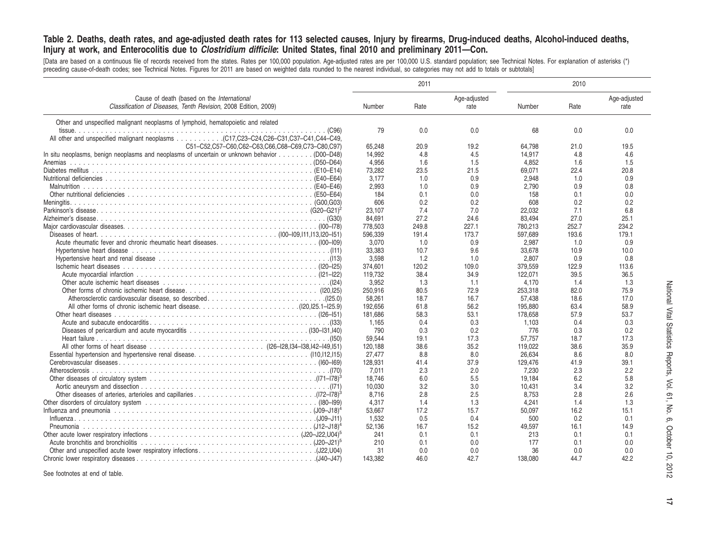#### Table 2. Deaths, death rates, and age-adjusted death rates for 113 selected causes, Injury by firearms, Drug-induced Injury at work, and Enterocolitis due to *Clostridium difficile*: United States, final 2010 and preliminary 2011—Con. **deaths, Alcohol-induced deaths,**

[Data are based on a continuous file of records received from the states. Rates per 100,000 population. Age-adjusted rates are per 100,000 U.S. standard population; see preceding cause-of-death codes; see Technical Notes. Figures for 2011 are based on weighted data rounded to the nearest individual, so categories may not add to totals Technical Notes. For explanation of asterisks (\*) or subtotals]

|                                                                                                               |                    | 2011        |                      | 2010               |             |                      |
|---------------------------------------------------------------------------------------------------------------|--------------------|-------------|----------------------|--------------------|-------------|----------------------|
| Cause of death (based on the International<br>Classification of Diseases, Tenth Revision, 2008 Edition, 2009) | Number             | Rate        | Age-adjusted<br>rate | Number             | Rate        | Age-adjusted<br>rate |
| Other and unspecified malignant neoplasms of lymphoid, hematopoietic and related                              |                    |             |                      |                    |             |                      |
| (C96)                                                                                                         | 79                 | 0.0         | 0.0                  | 68                 | 0.0         | 0.0                  |
| C51-C52,C57-C60,C62-C63,C66,C68-C69,C73-C80,C97)                                                              | 65,248             | 20.9        | 19.2                 | 64,798             | 21.0        | 19.5                 |
| In situ neoplasms, benign neoplasms and neoplasms of uncertain or unknown behavior (D00-D48)                  | 14,992             | 4.8         | 4.5                  | 14,917             | 4.8         | 4.6                  |
| Anemias                                                                                                       | 4.956              | 1.6         | 1.5                  | 4.852              | 1.6         | 1.5                  |
|                                                                                                               | 73,282             | 23.5        | 21.5                 | 69,071             | 22.4        | 20.8                 |
|                                                                                                               | 3.177              | 1.0         | 0.9                  | 2.948              | 1.0         | 0.9                  |
|                                                                                                               | 2.993              | 1.0         | 0.9                  | 2.790              | 0.9         | 0.8                  |
|                                                                                                               | 184                | 0.1         | 0.0                  | 158                | 0.1         | 0.0                  |
|                                                                                                               | 606                | 0.2         | 0.2                  | 608                | 0.2         | 0.2                  |
|                                                                                                               | 23,107             | 7.4<br>27.2 | 7.0                  | 22,032             | 7.1<br>27.0 | 6.8                  |
|                                                                                                               | 84,691             | 249.8       | 24.6<br>227.1        | 83.494             | 252.7       | 25.1<br>234.2        |
|                                                                                                               | 778.503<br>596.339 | 191.4       | 173.7                | 780.213<br>597.689 | 193.6       | 179.1                |
|                                                                                                               | 3,070              | 1.0         | 0.9                  | 2,987              | 1.0         | 0.9                  |
|                                                                                                               | 33,383             | 10.7        | 9.6                  | 33,678             | 10.9        | 10.0                 |
|                                                                                                               | 3,598              | 1.2         | 1.0                  | 2,807              | 0.9         | 0.8                  |
|                                                                                                               | 374,601            | 120.2       | 109.0                | 379,559            | 122.9       | 113.6                |
|                                                                                                               | 119,732            | 38.4        | 34.9                 | 122.071            | 39.5        | 36.5                 |
|                                                                                                               | 3,952              | 1.3         | 1.1                  | 4,170              | 1.4         | 1.3                  |
|                                                                                                               | 250,916            | 80.5        | 72.9                 | 253,318            | 82.0        | 75.9                 |
|                                                                                                               | 58,261             | 18.7        | 16.7                 | 57.438             | 18.6        | 17.0                 |
|                                                                                                               | 192.656            | 61.8        | 56.2                 | 195.880            | 63.4        | 58.9                 |
|                                                                                                               | 181.686            | 58.3        | 53.1                 | 178.658            | 57.9        | 53.7                 |
|                                                                                                               | 1.165              | 0.4         | 0.3                  | 1.103              | 0.4         | 0.3                  |
|                                                                                                               | 790                | 0.3         | 0.2                  | 776                | 0.3         | 0.2                  |
|                                                                                                               | 59,544             | 19.1        | 17.3                 | 57,757             | 18.7        | 17.3                 |
|                                                                                                               | 120,188            | 38.6        | 35.2                 | 119,022            | 38.6        | 35.9                 |
|                                                                                                               | 27,477             | 8.8         | 8.0                  | 26,634             | 8.6         | 8.0                  |
|                                                                                                               | 128,931            | 41.4        | 37.9                 | 129,476            | 41.9        | 39.1                 |
|                                                                                                               | 7,011              | 2.3         | 2.0                  | 7,230              | 2.3         | 2.2                  |
|                                                                                                               | 18.746             | 6.0         | 5.5                  | 19.184             | 6.2         | 5.8                  |
|                                                                                                               | 10.030             | 3.2         | 3.0                  | 10.431             | 3.4         | 3.2                  |
|                                                                                                               | 8.716              | 2.8         | 2.5                  | 8.753              | 2.8         | 2.6                  |
|                                                                                                               | 4.317              | 1.4         | 1.3                  | 4.241              | 1.4         | 1.3                  |
|                                                                                                               | 53.667             | 17.2        | 15.7                 | 50.097             | 16.2        | 15.1                 |
|                                                                                                               | 1,532              | 0.5         | 0.4                  | 500                | 0.2         | 0.1                  |
| Pneumonia                                                                                                     | 52,136             | 16.7        | 15.2                 | 49,597             | 16.1        | 14.9                 |
|                                                                                                               | 241                | 0.1         | 0.1                  | 213                | 0.1         | 0.1                  |
|                                                                                                               | 210                | 0.1         | 0.0                  | 177                | 0.1         | 0.0                  |
|                                                                                                               | 31                 | 0.0         | 0.0                  | 36                 | 0.0         | 0.0                  |
|                                                                                                               | 143.382            | 46.0        | 42.7                 | 138,080            | 44.7        | 42.2                 |

See footnotes at end of table.

 $\overrightarrow{L}$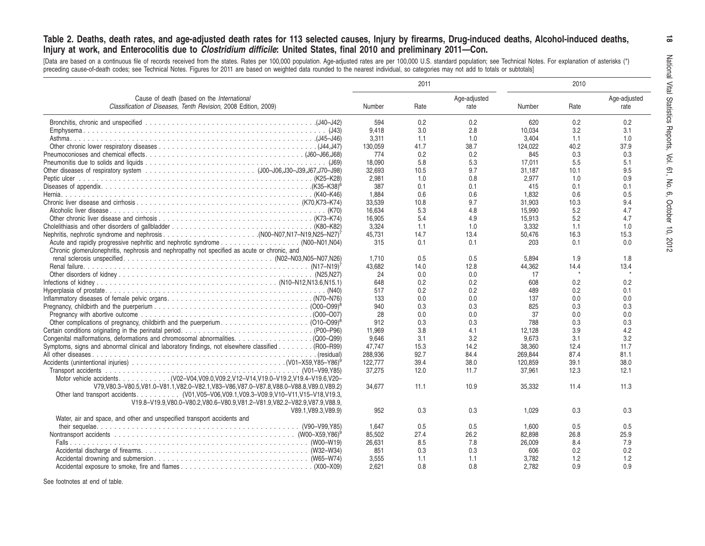#### Table 2. Deaths, death rates, and age-adjusted death rates for 113 selected causes, Injury by firearms, Drug-induced Injury at work, and Enterocolitis due to *Clostridium difficile*: United States, final 2010 and preliminary 2011—Con. **deaths, Alcohol-induced deaths,**

[Data are based on a continuous file of records received from the states. Rates per 100,000 population. Age-adjusted rates are per 100,000 U.S. standard population; see preceding cause-of-death codes; see Technical Notes. Figures for 2011 are based on weighted data rounded to the nearest individual, so categories may not add to totals Technical Notes. For explanation of asterisks (\*) or subtotals]

|                                                                                                               |         | 2011 |                      |         | 2010 |                      |  |
|---------------------------------------------------------------------------------------------------------------|---------|------|----------------------|---------|------|----------------------|--|
| Cause of death (based on the International<br>Classification of Diseases, Tenth Revision, 2008 Edition, 2009) | Number  | Rate | Age-adjusted<br>rate | Number  | Rate | Age-adjusted<br>rate |  |
|                                                                                                               | 594     | 0.2  | 0.2                  | 620     | 0.2  | 0.2                  |  |
|                                                                                                               | 9.418   | 3.0  | 2.8                  | 10.034  | 3.2  | 3.1                  |  |
|                                                                                                               |         |      |                      |         |      |                      |  |
|                                                                                                               | 3,311   | 1.1  | 1.0                  | 3,404   | 1.1  | 1.0                  |  |
|                                                                                                               | 130.059 | 41.7 | 38.7                 | 124.022 | 40.2 | 37.9                 |  |
|                                                                                                               | 774     | 0.2  | 0.2                  | 845     | 0.3  | 0.3                  |  |
|                                                                                                               | 18,090  | 5.8  | 5.3                  | 17.011  | 5.5  | 5.1                  |  |
|                                                                                                               | 32.693  | 10.5 | 9.7                  | 31.187  | 10.1 | 9.5                  |  |
|                                                                                                               | 2,981   | 1.0  | 0.8                  | 2,977   | 1.0  | 0.9                  |  |
|                                                                                                               | 387     | 0.1  | 0.1                  | 415     | 0.1  | 0.1                  |  |
|                                                                                                               | 1,884   | 0.6  | 0.6                  | 1,832   | 0.6  | 0.5                  |  |
|                                                                                                               | 33,539  | 10.8 | 9.7                  | 31,903  | 10.3 | 9.4                  |  |
|                                                                                                               | 16,634  | 5.3  | 4.8                  | 15,990  | 5.2  | 4.7                  |  |
|                                                                                                               | 16,905  | 5.4  | 4.9                  | 15,913  | 5.2  | 4.7                  |  |
|                                                                                                               | 3,324   | 1.1  | 1.0                  | 3,332   | 1.1  | 1.0                  |  |
|                                                                                                               | 45.731  | 14.7 | 13.4                 | 50.476  | 16.3 | 15.3                 |  |
|                                                                                                               | 315     | 0.1  | 0.1                  | 203     | 0.1  | 0.0                  |  |
| Chronic glomerulonephritis, nephrosis and nephropathy not specified as acute or chronic, and                  |         |      |                      |         |      |                      |  |
|                                                                                                               |         |      |                      |         |      |                      |  |
|                                                                                                               | 1.710   | 0.5  | 0.5                  | 5,894   | 1.9  | 1.8                  |  |
|                                                                                                               | 43,682  | 14.0 | 12.8                 | 44,362  | 14.4 | 13.4                 |  |
|                                                                                                               | 24      | 0.0  | 0.0                  | 17      |      |                      |  |
|                                                                                                               | 648     | 0.2  | 0.2                  | 608     | 0.2  | 0.2                  |  |
|                                                                                                               | 517     | 0.2  | 0.2                  | 489     | 0.2  | 0.1                  |  |
|                                                                                                               | 133     | 0.0  | 0.0                  | 137     | 0.0  | 0.0                  |  |
|                                                                                                               | 940     | 0.3  | 0.3                  | 825     | 0.3  | 0.3                  |  |
|                                                                                                               | 28      | 0.0  | 0.0                  | 37      | 0.0  | 0.0                  |  |
|                                                                                                               | 912     | 0.3  | 0.3                  | 788     | 0.3  | 0.3                  |  |
|                                                                                                               | 11,969  | 3.8  | 4.1                  | 12,128  | 3.9  | 4.2                  |  |
|                                                                                                               | 9.646   | 3.1  | 3.2                  | 9.673   | 3.1  | 3.2                  |  |
| Symptoms, signs and abnormal clinical and laboratory findings, not elsewhere classified (R00-R99)             | 47,747  | 15.3 | 14.2                 | 38,360  | 12.4 | 11.7                 |  |
|                                                                                                               | 288,936 | 92.7 | 84.4                 | 269.844 | 87.4 | 81.1                 |  |
|                                                                                                               | 122,777 | 39.4 | 38.0                 | 120.859 | 39.1 | 38.0                 |  |
|                                                                                                               | 37.275  | 12.0 | 11.7                 | 37.961  | 12.3 | 12.1                 |  |
|                                                                                                               |         |      |                      |         |      |                      |  |
|                                                                                                               |         |      |                      |         |      |                      |  |
| V79, V80.3-V80.5, V81.0-V81.1, V82.0-V82.1, V83-V86, V87.0-V87.8, V88.0-V88.8, V89.0, V89.2)                  | 34,677  | 11.1 | 10.9                 | 35,332  | 11.4 | 11.3                 |  |
|                                                                                                               |         |      |                      |         |      |                      |  |
| V19.8-V19.9, V80.0-V80.2, V80.6-V80.9, V81.2-V81.9, V82.2-V82.9, V87.9, V88.9,                                |         |      |                      |         |      |                      |  |
| V89.1, V89.3, V89.9)                                                                                          | 952     | 0.3  | 0.3                  | 1,029   | 0.3  | 0.3                  |  |
| Water, air and space, and other and unspecified transport accidents and                                       |         |      |                      |         |      |                      |  |
|                                                                                                               | 1,647   | 0.5  | 0.5                  | 1,600   | 0.5  | 0.5                  |  |
|                                                                                                               | 85,502  | 27.4 | 26.2                 | 82,898  | 26.8 | 25.9                 |  |
|                                                                                                               | 26,631  | 8.5  | 7.8                  | 26,009  | 8.4  | 7.9                  |  |
|                                                                                                               | 851     | 0.3  | 0.3                  | 606     | 0.2  | 0.2                  |  |
|                                                                                                               | 3,555   | 1.1  | 1.1                  | 3.782   | 1.2  | 1.2                  |  |
| Accidental exposure to smoke, fire and flames(X00-X09)                                                        | 2.621   | 0.8  | 0.8                  | 2.782   | 0.9  | 0.9                  |  |
|                                                                                                               |         |      |                      |         |      |                      |  |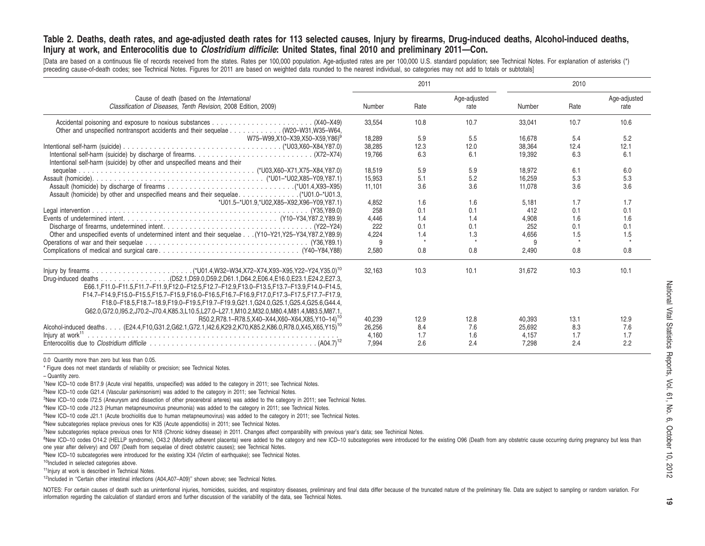#### Table 2. Deaths, death rates, and age-adjusted death rates for 113 selected causes, Injury by firearms, Drug-induced deaths, Alcohol-induced deaths, Injury at work, and Enterocolitis due to *Clostridium difficile*: United States, final 2010 and preliminary 2011–Con.

[Data are based on a continuous file of records received from the states. Rates per 100,000 population. Age-adjusted rates are per 100,000 U.S. standard population; see Technical Notes. For explanation of asterisks (\*) preceding cause-of-death codes; see Technical Notes. Figures for 2011 are based on weighted data rounded to the nearest individual, so categories may not add to totals or subtotals]

|                                                                                                                                                                                                                                                                                                  |                                    | 2011                      |                           |                                    | 2010                      |                           |
|--------------------------------------------------------------------------------------------------------------------------------------------------------------------------------------------------------------------------------------------------------------------------------------------------|------------------------------------|---------------------------|---------------------------|------------------------------------|---------------------------|---------------------------|
| Cause of death (based on the International<br>Classification of Diseases, Tenth Revision, 2008 Edition, 2009)                                                                                                                                                                                    |                                    | Rate                      | Age-adjusted<br>rate      | Number                             | Rate                      | Age-adjusted<br>rate      |
| Other and unspecified nontransport accidents and their sequelae (W20–W31,W35–W64,                                                                                                                                                                                                                | 33,554                             | 10.8                      | 10.7                      | 33,041                             | 10.7                      | 10.6                      |
| W75-W99,X10-X39,X50-X59,Y86)9                                                                                                                                                                                                                                                                    | 18.289                             | 5.9                       | 5.5                       | 16,678                             | 5.4                       | 5.2                       |
|                                                                                                                                                                                                                                                                                                  | 38,285                             | 12.3                      | 12.0                      | 38,364                             | 12.4                      | 12.1                      |
| Intentional self-harm (suicide) by other and unspecified means and their                                                                                                                                                                                                                         | 19,766                             | 6.3                       | 6.1                       | 19,392                             | 6.3                       | 6.1                       |
|                                                                                                                                                                                                                                                                                                  | 18.519                             | 5.9                       | 5.9                       | 18.972                             | 6.1                       | 6.0                       |
|                                                                                                                                                                                                                                                                                                  | 15.953                             | 5.1                       | 5.2                       | 16.259                             | 5.3                       | 5.3                       |
|                                                                                                                                                                                                                                                                                                  | 11.101                             | 3.6                       | 3.6                       | 11.078                             | 3.6                       | 3.6                       |
| *U01.5-*U01.9.*U02.X85-X92.X96-Y09.Y87.1)                                                                                                                                                                                                                                                        | 4.852                              | 1.6                       | 1.6                       | 5.181                              | 1.7                       | 1.7                       |
|                                                                                                                                                                                                                                                                                                  | 258                                | 0.1                       | 0.1                       | 412                                | 0.1                       | 0.1                       |
|                                                                                                                                                                                                                                                                                                  | 4.446                              | 1.4                       | 1.4                       | 4.908                              | 1.6                       | 1.6                       |
|                                                                                                                                                                                                                                                                                                  | 222                                | 0.1                       | 0.1                       | 252                                | 0.1                       | 0.1                       |
| Other and unspecified events of undetermined intent and their sequelae (Y10-Y21, Y25-Y34, Y87.2, Y89.9)                                                                                                                                                                                          | 4.224                              | 1.4                       | 1.3                       | 4.656                              | 1.5                       | 1.5                       |
|                                                                                                                                                                                                                                                                                                  | 9                                  | $\star$                   |                           | 9                                  |                           |                           |
|                                                                                                                                                                                                                                                                                                  | 2.580                              | 0.8                       | 0.8                       | 2.490                              | 0.8                       | 0.8                       |
| E66.1,F11.0-F11.5,F11.7-F11.9,F12.0-F12.5,F12.7-F12.9,F13.0-F13.5,F13.7-F13.9,F14.0-F14.5.<br>F14.7-F14.9,F15.0-F15.5,F15.7-F15.9,F16.0-F16.5,F16.7-F16.9,F17.0,F17.3-F17.5,F17.7-F17.9,<br>F18.0-F18.5,F18.7-18.9,F19.0-F19.5,F19.7-F19.9,G21.1,G24.0,G25.1,G25.4,G25.6,G44.4,                  | 32.163                             | 10.3                      | 10.1                      | 31.672                             | 10.3                      | 10.1                      |
| G62.0,G72.0,l95.2,J70.2-J70.4,K85.3,L10.5,L27.0-L27.1,M10.2,M32.0,M80.4,M81.4,M83.5,M87.1,<br>R50.2, R78.1-R78.5, X40-X44, X60-X64, X85, Y10-14) <sup>10</sup><br>Alcohol-induced deaths. (E24.4, F10, G31.2, G62.1, G72.1, 142.6, K29.2, K70, K85.2, K86.0, R78.0, X45, X65, Y15) <sup>10</sup> | 40.239<br>26.256<br>4.160<br>7.994 | 12.9<br>8.4<br>1.7<br>2.6 | 12.8<br>7.6<br>1.6<br>2.4 | 40.393<br>25.692<br>4.157<br>7.298 | 13.1<br>8.3<br>1.7<br>2.4 | 12.9<br>7.6<br>1.7<br>2.2 |

0.0 Quantity more than zero but less than 0.05.

\* Figure does not meet standards of reliability or precision; see Technical Notes.

– Quantity zero.

<sup>1</sup>New ICD–10 code B17.9 (Acute viral hepatitis, unspecified) was added to the category in 2011; see Technical Notes.

<sup>2</sup>New ICD–10 code G21.4 (Vascular parkinsonism) was added to the category in 2011; see Technical Notes.

<sup>3</sup>New ICD–10 code I72.5 (Aneurysm and dissection of other precerebral arteres) was added to the category in 2011; see Technical Notes.

<sup>4</sup>New ICD–10 code J12.3 (Human metapneumovirus pneumonia) was added to the category in 2011; see Technical Notes.

<sup>5</sup>New ICD–10 code J21.1 (Acute brochiolitis due to human metapneumovirus) was added to the category in 2011; see Technical Notes.

<sup>6</sup>New subcategories replace previous ones for K35 (Acute appendicitis) in 2011; see Technical Notes.

<sup>7</sup>New subcategories replace previous ones for N18 (Chronic kidney disease) in 2011. Changes affect comparability with previous year's data; see Techinical Notes.

<sup>8</sup>New ICD-10 codes O14.2 (HELLP syndrome), O43.2 (Morbidly adherent placenta) were added to the category and new ICD-10 subcategories were introduced for the existing O96 (Death from any obstetric cause occurring during p one year after delivery) and O97 (Death from sequelae of direct obstetric causes); see Technical Notes.

<sup>9</sup>New ICD–10 subcategories were introduced for the existing X34 (Victim of earthquake); see Technical Notes.

<sup>10</sup>Included in selected categories above.

<sup>11</sup>Injury at work is described in Technical Notes.

<sup>12</sup>Included in "Certain other intestinal infections (A04,A07-A09)" shown above; see Technical Notes.

NOTES: For certain causes of death such as unintentional injuries, homicides, suicides, and respiratory diseases, preliminary and final data differ because of the truncated nature of the preliminary file. Data are subject information regarding the calculation of standard errors and further discussion of the variability of the data, see Technical Notes.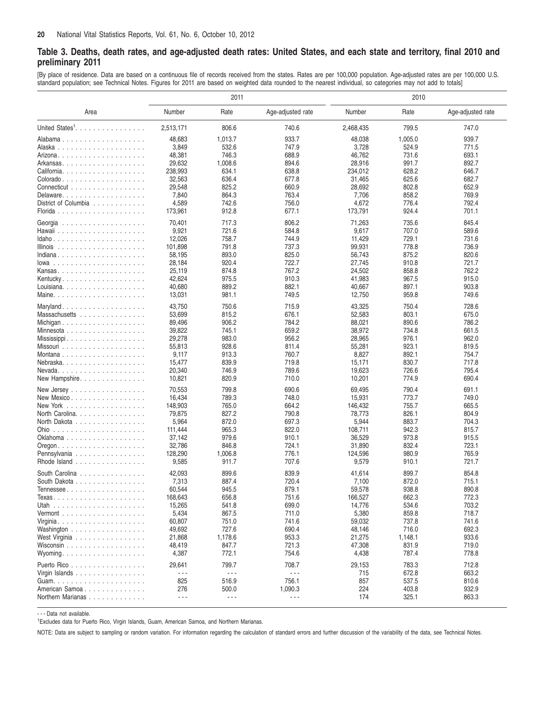#### <span id="page-19-0"></span>Table 3. Deaths, death rates, and age-adjusted death rates: United States, and each state and territory, final 2010 and **preliminary 2011**

[By place of residence. Data are based on a continuous file of records received from the states. Rates are per 100,000 population. Age-adjusted rates are per 100,000 U.S. standard population; see Technical Notes. Figures for 2011 are based on weighted data rounded to the nearest individual, so categories may not add to totals]

|                                                  |           | 2011                 |                      |           | 2010    |                   |
|--------------------------------------------------|-----------|----------------------|----------------------|-----------|---------|-------------------|
| Area                                             | Number    | Rate                 | Age-adjusted rate    | Number    | Rate    | Age-adjusted rate |
| United States <sup>1</sup> .                     | 2,513,171 | 806.6                | 740.6                | 2,468,435 | 799.5   | 747.0             |
| Alabama                                          | 48,683    | 1,013.7              | 933.7                | 48,038    | 1,005.0 | 939.7             |
|                                                  | 3,849     | 532.6                | 747.9                | 3,728     | 524.9   | 771.5             |
|                                                  | 48,381    | 746.3                | 688.9                | 46,762    | 731.6   | 693.1             |
|                                                  | 29,632    | 1,008.6              | 894.6                | 28,916    | 991.7   | 892.7             |
| California.                                      | 238,993   | 634.1                | 638.8                | 234,012   | 628.2   | 646.7             |
|                                                  | 32,563    | 636.4                | 677.8                | 31,465    | 625.6   | 682.7             |
| Connecticut                                      | 29,548    | 825.2                | 660.9                | 28,692    | 802.8   | 652.9             |
| Delaware.                                        | 7,840     | 864.3                | 763.4                | 7,706     | 858.2   | 769.9             |
| District of Columbia                             | 4,589     | 742.6                | 756.0                | 4,672     | 776.4   | 792.4             |
|                                                  | 173,961   | 912.8                | 677.1                | 173,791   | 924.4   | 701.1             |
|                                                  | 70,401    | 717.3                | 806.2                | 71,263    | 735.6   | 845.4             |
|                                                  | 9,921     | 721.6                | 584.8                | 9,617     | 707.0   | 589.6             |
| Idaho                                            | 12,026    | 758.7                | 744.9                | 11,429    | 729.1   | 731.6             |
|                                                  | 101,898   | 791.8                | 737.3                | 99,931    | 778.8   | 736.9             |
| Indiana                                          | 58,195    | 893.0                | 825.0                | 56,743    | 875.2   | 820.6             |
| lowa                                             | 28,184    | 920.4                | 722.7                | 27,745    | 910.8   | 721.7             |
| Kansas                                           | 25,119    | 874.8                | 767.2                | 24,502    | 858.8   | 762.2             |
| Kentucky.                                        | 42,624    | 975.5                | 910.3                | 41,983    | 967.5   | 915.0             |
|                                                  | 40,680    | 889.2                | 882.1                | 40,667    | 897.1   | 903.8             |
|                                                  | 13,031    | 981.1                | 749.5                | 12,750    | 959.8   | 749.6             |
| Maryland.                                        | 43,750    | 750.6                | 715.9                | 43,325    | 750.4   | 728.6             |
| Massachusetts                                    | 53,699    | 815.2                | 676.1                | 52,583    | 803.1   | 675.0             |
| Michigan                                         | 89,496    | 906.2                | 784.2                | 88,021    | 890.6   | 786.2             |
| Minnesota                                        | 39,822    | 745.1                | 659.2                | 38,972    | 734.8   | 661.5             |
|                                                  | 29,278    | 983.0                | 956.2                | 28,965    | 976.1   | 962.0             |
|                                                  | 55,813    | 928.6                | 811.4                | 55,281    | 923.1   | 819.5             |
|                                                  | 9,117     | 913.3                | 760.7                | 8,827     | 892.1   | 754.7             |
| Nebraska                                         | 15,477    | 839.9                | 719.8                | 15,171    | 830.7   | 717.8             |
| Nevada. $\ldots$ .                               | 20,340    | 746.9                | 789.6                | 19,623    | 726.6   | 795.4             |
| New Hampshire                                    | 10,821    | 820.9                | 710.0                | 10,201    | 774.9   | 690.4             |
| New Jersey $\dots \dots \dots \dots \dots \dots$ | 70,553    | 799.8                | 690.6                | 69,495    | 790.4   | 691.1             |
| New Mexico                                       | 16,434    | 789.3                | 748.0                | 15,931    | 773.7   | 749.0             |
| New York                                         | 148,903   | 765.0                | 664.2                | 146,432   | 755.7   | 665.5             |
| North Carolina.                                  | 79,875    | 827.2                | 790.8                | 78,773    | 826.1   | 804.9             |
| North Dakota                                     | 5,964     | 872.0                | 697.3                | 5,944     | 883.7   | 704.3             |
|                                                  | 111,444   | 965.3                | 822.0                | 108,711   | 942.3   | 815.7             |
| Oklahoma                                         | 37,142    | 979.6                | 910.1                | 36,529    | 973.8   | 915.5             |
|                                                  | 32,786    | 846.8                | 724.1                | 31,890    | 832.4   | 723.1             |
| Pennsylvania                                     | 128,290   | 1,006.8              | 776.1                | 124,596   | 980.9   | 765.9             |
| Rhode Island                                     | 9,585     | 911.7                | 707.6                | 9,579     | 910.1   | 721.7             |
| South Carolina                                   | 42,093    | 899.6                | 839.9                | 41,614    | 899.7   | 854.8             |
| South Dakota                                     | 7,313     | 887.4                | 720.4                | 7,100     | 872.0   | 715.1             |
| Tennessee                                        | 60,544    | 945.5                | 879.1                | 59,578    | 938.8   | 890.8             |
|                                                  | 168,643   | 656.8                | 751.6                | 166,527   | 662.3   | 772.3             |
|                                                  | 15,265    | 541.8                | 699.0                | 14,776    | 534.6   | 703.2             |
|                                                  | 5,434     | 867.5                | 711.0                | 5,380     | 859.8   | 718.7             |
|                                                  | 60,807    | 751.0                | 741.6                | 59,032    | 737.8   | 741.6             |
| Washington                                       | 49,692    | 727.6                | 690.4                | 48,146    | 716.0   | 692.3             |
| West Virginia                                    | 21,868    | 1,178.6              | 953.3                | 21,275    | 1,148.1 | 933.6             |
| Wisconsin                                        | 48,419    | 847.7                | 721.3                | 47,308    | 831.9   | 719.0             |
|                                                  | 4,387     | 772.1                | 754.6                | 4,438     | 787.4   | 778.8             |
| Puerto Rico                                      | 29,641    | 799.7                | 708.7                | 29,153    | 783.3   | 712.8             |
| Virgin Islands                                   | .         | $\sim$ $\sim$ $\sim$ | $\sim$ $\sim$ $\sim$ | 715       | 672.8   | 663.2             |
|                                                  | 825       | 516.9                | 756.1                | 857       | 537.5   | 810.6             |
| American Samoa                                   | 276       | 500.0                | 1,090.3              | 224       | 403.8   | 932.9             |
| Northern Marianas                                | $\ddotsc$ | .                    | $\ddotsc$            | 174       | 325.1   | 863.3             |

- - - Data not available.

1 Excludes data for Puerto Rico, Virgin Islands, Guam, American Samoa, and Northern Marianas.

NOTE: Data are subject to sampling or random variation. For information regarding the calculation of standard errors and further discussion of the variability of the data, see Technical Notes.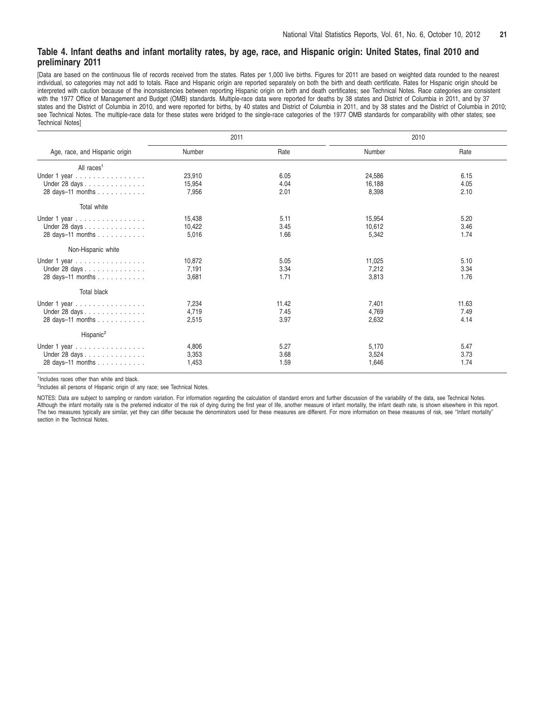#### <span id="page-20-0"></span>Table 4. Infant deaths and infant mortality rates, by age, race, and Hispanic origin: United States, final 2010 and **preliminary 2011**

[Data are based on the continuous file of records received from the states. Rates per 1,000 live births. Figures for 2011 are based on weighted data rounded to the nearest individual, so categories may not add to totals. Race and Hispanic origin are reported separately on both the birth and death certificate. Rates for Hispanic origin should be interpreted with caution because of the inconsistencies between reporting Hispanic origin on birth and death certificates; see Technical Notes. Race categories are consistent with the 1977 Office of Management and Budget (OMB) standards. Multiple-race data were reported for deaths by 38 states and District of Columbia in 2011, and by 37 states and the District of Columbia in 2010, and were reported for births, by 40 states and District of Columbia in 2011, and by 38 states and the District of Columbia in 2010; see Technical Notes. The multiple-race data for these states were bridged to the single-race categories of the 1977 OMB standards for comparability with other states; see Technical Notes]

|                                            | 2011   |       | 2010   |       |
|--------------------------------------------|--------|-------|--------|-------|
| Age, race, and Hispanic origin             | Number | Rate  | Number | Rate  |
| All races <sup>1</sup>                     |        |       |        |       |
| Under 1 year                               | 23,910 | 6.05  | 24,586 | 6.15  |
| Under 28 days                              | 15,954 | 4.04  | 16.188 | 4.05  |
| 28 days-11 months                          | 7,956  | 2.01  | 8,398  | 2.10  |
| Total white                                |        |       |        |       |
| Under 1 year $\ldots \ldots \ldots \ldots$ | 15,438 | 5.11  | 15,954 | 5.20  |
| Under 28 days                              | 10,422 | 3.45  | 10.612 | 3.46  |
| 28 days-11 months                          | 5,016  | 1.66  | 5,342  | 1.74  |
| Non-Hispanic white                         |        |       |        |       |
| Under 1 year                               | 10,872 | 5.05  | 11,025 | 5.10  |
| Under 28 days                              | 7,191  | 3.34  | 7.212  | 3.34  |
| 28 days-11 months                          | 3,681  | 1.71  | 3,813  | 1.76  |
| <b>Total black</b>                         |        |       |        |       |
| Under 1 year                               | 7,234  | 11.42 | 7.401  | 11.63 |
| Under 28 days                              | 4,719  | 7.45  | 4,769  | 7.49  |
| 28 days-11 months                          | 2,515  | 3.97  | 2,632  | 4.14  |
| Hispanic <sup>2</sup>                      |        |       |        |       |
| Under 1 year                               | 4,806  | 5.27  | 5.170  | 5.47  |
| Under 28 days                              | 3,353  | 3.68  | 3,524  | 3.73  |
| 28 days-11 months                          | 1,453  | 1.59  | 1,646  | 1.74  |
|                                            |        |       |        |       |

<sup>1</sup>Includes races other than white and black.

<sup>2</sup>Includes all persons of Hispanic origin of any race; see Technical Notes.

NOTES: Data are subject to sampling or random variation. For information regarding the calculation of standard errors and further discussion of the variability of the data, see Technical Notes. Although the infant mortality rate is the preferred indicator of the risk of dying during the first year of life, another measure of infant mortality, the infant death rate, is shown elsewhere in this report. The two measures typically are similar, yet they can differ because the denominators used for these measures are different. For more information on these measures of risk, see "Infant mortality" section in the Technical Notes.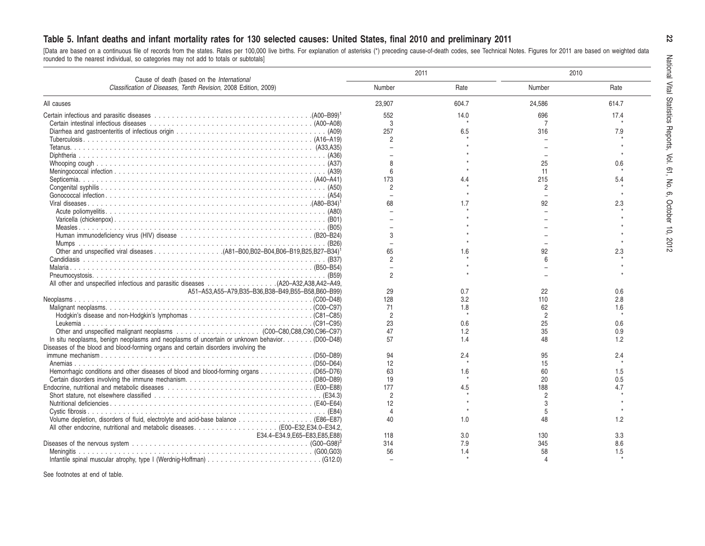#### <span id="page-21-0"></span>Table 5. Infant deaths and infant mortality rates for 130 selected causes: United States, final 2010 and preliminary 2011

[Data are based on a continuous file of records rounded to the nearest individual, so categories from the states. Rates may not add to totals per 100,000 live births. or subtotals] For explanation of asterisks (\*) preceding cause-of-death codes, see Technical Notes. Figures for 2011 are based on weighted data

| Cause of death (based on the International                                                                                                         |                | 2011  | 2010           |       |  |
|----------------------------------------------------------------------------------------------------------------------------------------------------|----------------|-------|----------------|-------|--|
| Classification of Diseases, Tenth Revision, 2008 Edition, 2009)                                                                                    | Number         | Rate  | Number         | Rate  |  |
| All causes                                                                                                                                         | 23,907         | 604.7 | 24,586         | 614.7 |  |
|                                                                                                                                                    | 552            | 14.0  | 696            | 17.4  |  |
|                                                                                                                                                    | 3              |       | 7              |       |  |
|                                                                                                                                                    | 257            | 6.5   | 316            | 7.9   |  |
|                                                                                                                                                    | $\overline{2}$ |       |                |       |  |
|                                                                                                                                                    |                |       |                |       |  |
|                                                                                                                                                    |                |       |                |       |  |
|                                                                                                                                                    | 8              |       | 25             | 0.6   |  |
|                                                                                                                                                    | 6              |       | 11             |       |  |
|                                                                                                                                                    | 173            | 4.4   | 215            | 5.4   |  |
|                                                                                                                                                    | $\overline{2}$ |       | $\overline{c}$ |       |  |
|                                                                                                                                                    |                |       |                |       |  |
|                                                                                                                                                    | 68             | 1.7   | 92             | 2.3   |  |
|                                                                                                                                                    |                |       |                |       |  |
|                                                                                                                                                    |                |       |                |       |  |
|                                                                                                                                                    |                |       |                |       |  |
|                                                                                                                                                    | 3              |       |                |       |  |
|                                                                                                                                                    |                |       |                |       |  |
|                                                                                                                                                    | 65             | 1.6   | 92             | 2.3   |  |
|                                                                                                                                                    | $\overline{2}$ |       | 6              |       |  |
|                                                                                                                                                    | $\mathfrak{p}$ |       |                |       |  |
|                                                                                                                                                    |                |       |                |       |  |
| A51-A53, A55-A79, B35-B36, B38-B49, B55-B58, B60-B99)                                                                                              | 29             | 0.7   | 22             | 0.6   |  |
|                                                                                                                                                    | 128            | 3.2   | 110            | 2.8   |  |
|                                                                                                                                                    | 71             | 1.8   | 62             | 1.6   |  |
|                                                                                                                                                    | $\overline{2}$ |       | $\overline{2}$ |       |  |
|                                                                                                                                                    | 23             | 0.6   | 25             | 0.6   |  |
|                                                                                                                                                    | 47             | 1.2   | 35             | 0.9   |  |
| In situ neoplasms, benign neoplasms and neoplasms of uncertain or unknown behavior. (D00-D48)                                                      | 57             | 1.4   | 48             | 1.2   |  |
| Diseases of the blood and blood-forming organs and certain disorders involving the                                                                 |                |       |                |       |  |
|                                                                                                                                                    | 94             | 2.4   | 95             | 2.4   |  |
|                                                                                                                                                    | 12             |       | 15             |       |  |
| Hemorrhagic conditions and other diseases of blood and blood-forming organs 065–D76)                                                               | 63             | 1.6   | 60             | 1.5   |  |
|                                                                                                                                                    | 19             |       | 20             | 0.5   |  |
|                                                                                                                                                    | 177            | 4.5   | 188            | 4.7   |  |
|                                                                                                                                                    | $\mathcal{P}$  |       | $\mathcal{P}$  |       |  |
|                                                                                                                                                    | 12             |       | 3              |       |  |
|                                                                                                                                                    | $\overline{4}$ |       | 5              |       |  |
|                                                                                                                                                    | 40             | 1.0   | 48             | 1.2   |  |
|                                                                                                                                                    |                |       |                |       |  |
| E34.4-E34.9.E65-E83.E85.E88)                                                                                                                       | 118            | 3.0   | 130            | 3.3   |  |
| Diseases of the nervous system $\ldots \ldots \ldots \ldots \ldots \ldots \ldots \ldots \ldots \ldots \ldots \ldots \ldots$ (G00-G98) <sup>2</sup> | 314            | 7.9   | 345            | 8.6   |  |
|                                                                                                                                                    | 56             | 1.4   | 58             | 1.5   |  |
|                                                                                                                                                    |                |       |                |       |  |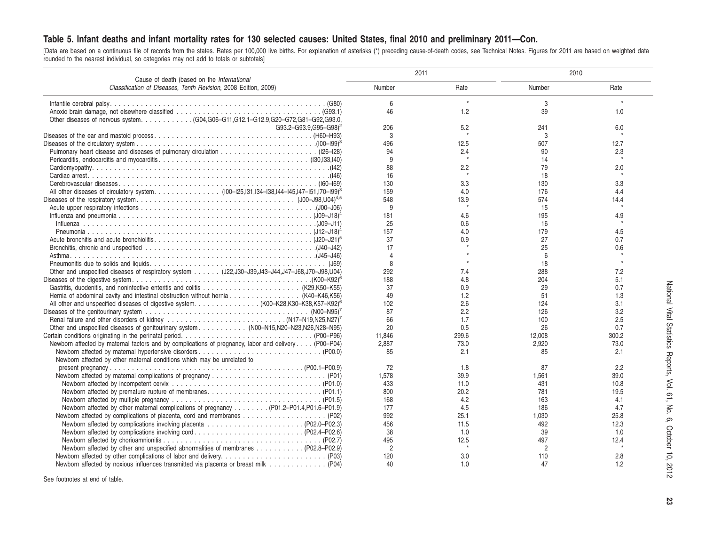#### Table 5. Infant deaths and infant mortality rates for 130 selected causes: United States, final 2010 and preliminary 2011—Con.

[Data are based on a continuous file of records rounded to the nearest individual, so categories from the states. Rates may not add to totals per 100,000 live births. or subtotals] For explanation of asterisks (\*) preceding cause-of-death codes, see Technical Notes. Figures for 2011 are based on weighted data

|                                                                                                               | 2011           |            | 2010           |         |  |
|---------------------------------------------------------------------------------------------------------------|----------------|------------|----------------|---------|--|
| Cause of death (based on the International<br>Classification of Diseases, Tenth Revision, 2008 Edition, 2009) | Number         | Rate       | Number         | Rate    |  |
|                                                                                                               | 6              | $^{\star}$ | 3              | $\star$ |  |
| Other diseases of nervous system. (G04,G06-G11,G12.1-G12.9,G20-G72,G81-G92,G93.0,                             | 46             | 1.2        | 39             | 1.0     |  |
| G93.2-G93.9.G95-G98) <sup>2</sup>                                                                             | 206            | 5.2        | 241            | 6.0     |  |
|                                                                                                               | 3              |            | 3              |         |  |
|                                                                                                               | 496            | 12.5       | 507            | 12.7    |  |
|                                                                                                               | 94             | 2.4        | 90             | 2.3     |  |
|                                                                                                               | 9              |            | 14             |         |  |
|                                                                                                               | 88             | 2.2        | 79             | 2.0     |  |
|                                                                                                               | 16<br>130      | 3.3        | 18<br>130      | 3.3     |  |
|                                                                                                               | 159            | 4.0        | 176            | 4.4     |  |
|                                                                                                               | 548            | 13.9       | 574            | 14.4    |  |
|                                                                                                               | 9              |            | 15             |         |  |
|                                                                                                               | 181            | 4.6        | 195            | 4.9     |  |
|                                                                                                               | 25             | 0.6        | 16             |         |  |
|                                                                                                               | 157            | 4.0        | 179            | 4.5     |  |
|                                                                                                               | 37             | 0.9        | 27             | 0.7     |  |
|                                                                                                               | 17             |            | 25             | 0.6     |  |
|                                                                                                               | $\Delta$       |            | $\epsilon$     |         |  |
|                                                                                                               | 8              |            | 18             |         |  |
| Other and unspecified diseases of respiratory system (J22,J30-J39,J43-J44,J47-J68,J70-J98,U04)                | 292            | 7.4        | 288            | 7.2     |  |
|                                                                                                               | 188            | 4.8        | 204            | 5.1     |  |
|                                                                                                               | 37             | 0.9        | 29             | 0.7     |  |
| Hernia of abdominal cavity and intestinal obstruction without hernia (K40–K46,K56)                            | 49             | 1.2        | 51             | 1.3     |  |
| All other and unspecified diseases of digestive system. (K00–K28,K30–K38,K57–K92) <sup>6</sup>                | 102            | 2.6        | 124            | 3.1     |  |
|                                                                                                               | 87             | 2.2        | 126            | 3.2     |  |
|                                                                                                               | 66             | 1.7        | 100            | 2.5     |  |
| Other and unspecified diseases of genitourinary system (N00-N15, N20-N23, N26, N28-N95)                       | 20             | 0.5        | 26             | 0.7     |  |
|                                                                                                               | 11.846         | 299.6      | 12.008         | 300.2   |  |
| Newborn affected by maternal factors and by complications of pregnancy, labor and delivery (P00-P04)          | 2.887          | 73.0       | 2,920          | 73.0    |  |
| Newborn affected by other maternal conditions which may be unrelated to                                       | 85             | 2.1        | 85             | 2.1     |  |
|                                                                                                               | 72             | 1.8        | 87             | 2.2     |  |
|                                                                                                               | 1.578          | 39.9       | 1.561          | 39.0    |  |
|                                                                                                               | 433            | 11.0       | 431            | 10.8    |  |
|                                                                                                               | 800            | 20.2       | 781            | 19.5    |  |
|                                                                                                               | 168            | 4.2        | 163            | 4.1     |  |
| Newborn affected by other maternal complications of pregnancy (P01.2-P01.4, P01.6-P01.9)                      | 177            | 4.5        | 186            | 4.7     |  |
|                                                                                                               | 992            | 25.1       | 1.030          | 25.8    |  |
|                                                                                                               | 456            | 11.5       | 492            | 12.3    |  |
|                                                                                                               | 38             | 1.0        | 39             | 1.0     |  |
|                                                                                                               | 495            | 12.5       | 497            | 12.4    |  |
|                                                                                                               | $\overline{2}$ |            | $\overline{2}$ |         |  |
|                                                                                                               | 120            | 3.0        | 110            | 2.8     |  |
| Newborn affected by noxious influences transmitted via placenta or breast milk (P04)                          | 40             | 1.0        | 47             | 1.2     |  |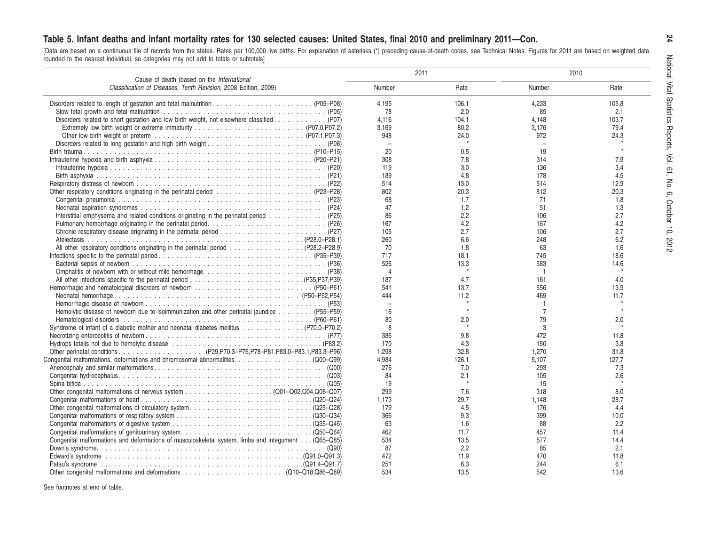#### Table 5. Infant deaths and infant mortality rates for 130 selected causes: United States, final 2010 and preliminary 2011—Con.

[Data are based on a continuous file of records rounded to the nearest individual, so categories from the states. Rates may not add to totals per 100,000 live births. or subtotals] For explanation of asterisks (\*) preceding cause-of-death codes, see Technical Notes. Figures for 2011 are based on weighted data

| Cause of death (based on the International                                                          |                | 2011           | 2010   |       |  |
|-----------------------------------------------------------------------------------------------------|----------------|----------------|--------|-------|--|
| Classification of Diseases, Tenth Revision, 2008 Edition, 2009)                                     | Number         | Rate           | Number | Rate  |  |
|                                                                                                     | 4.195          | 106.1          | 4.233  | 105.8 |  |
|                                                                                                     | 78             | 2.0            | 85     | 2.1   |  |
| Disorders related to short gestation and low birth weight, not elsewhere classified (P07)           | 4,116          | 104.1          | 4,148  | 103.7 |  |
|                                                                                                     | 3.169          | 80.2           | 3.176  | 79.4  |  |
|                                                                                                     | 948            | 24.0           | 972    | 24.3  |  |
|                                                                                                     | $\sim$         |                |        |       |  |
|                                                                                                     | 20             | 0.5            | 19     |       |  |
|                                                                                                     | 308            | 7.8            | 314    | 7.9   |  |
|                                                                                                     | 119            | 3.0            | 136    | 3.4   |  |
|                                                                                                     | 189            | 4.8            | 178    | 4.5   |  |
|                                                                                                     | 514            | 13.0           | 514    | 12.9  |  |
|                                                                                                     | 802            | 20.3           | 812    | 20.3  |  |
|                                                                                                     | 68             | 1.7            | 71     | 1.8   |  |
|                                                                                                     | 47             | 1.2            | 51     | 1.3   |  |
| Interstitial emphysema and related conditions originating in the perinatal period (P25)             | 86             | 2.2            | 106    | 2.7   |  |
|                                                                                                     | 167            | 4.2            | 167    | 4.2   |  |
|                                                                                                     | 105            | 2.7            | 106    | 2.7   |  |
|                                                                                                     | 260            | 6.6            | 248    | 6.2   |  |
|                                                                                                     | 70             | 1.8            | 63     | 1.6   |  |
|                                                                                                     | 717            | 18.1           | 745    | 18.6  |  |
|                                                                                                     | 526            | 13.3           | 583    | 14.6  |  |
|                                                                                                     | $\overline{4}$ |                |        |       |  |
|                                                                                                     | 187            | 4.7            | 161    | 4.0   |  |
|                                                                                                     | 541            | 13.7           | 556    | 13.9  |  |
|                                                                                                     | 444            | 11.2           | 469    | 11.7  |  |
|                                                                                                     | $\sim$         |                |        |       |  |
| Hemolytic disease of newborn due to isoimmunization and other perinatal jaundice (P55–P59)          | 16             |                | 7      |       |  |
|                                                                                                     | 80             | 2.0            | 79     | 2.0   |  |
| Syndrome of infant of a diabetic mother and neonatal diabetes mellitus (P70.0-P70.2)                | 8              |                | 3      |       |  |
|                                                                                                     | 386            | 9.8            | 472    |       |  |
|                                                                                                     |                |                |        | 11.8  |  |
|                                                                                                     | 170            | 4.3            | 150    | 3.8   |  |
|                                                                                                     | 1,298          | 32.8           | 1,270  | 31.8  |  |
|                                                                                                     | 4,984          | 126.1          | 5.107  | 127.7 |  |
|                                                                                                     | 276            | 7.0            | 293    | 7.3   |  |
|                                                                                                     | 84             | 2.1<br>$\star$ | 105    | 2.6   |  |
|                                                                                                     | 19             |                | 15     |       |  |
|                                                                                                     | 299            | 7.6            | 318    | 8.0   |  |
|                                                                                                     | 1.173          | 29.7           | 1.148  | 28.7  |  |
|                                                                                                     | 179            | 4.5            | 176    | 4.4   |  |
|                                                                                                     | 366            | 9.3            | 399    | 10.0  |  |
|                                                                                                     | 63             | 1.6            | 88     | 2.2   |  |
|                                                                                                     | 462            | 11.7           | 457    | 11.4  |  |
| Congenital malformations and deformations of musculoskeletal system, limbs and intequment (Q65-Q85) | 534            | 13.5           | 577    | 14.4  |  |
|                                                                                                     | 87             | 2.2            | 85     | 2.1   |  |
|                                                                                                     | 472            | 11.9           | 470    | 11.8  |  |
|                                                                                                     | 251            | 6.3            | 244    | 6.1   |  |
|                                                                                                     | 534            | 13.5           | 542    | 13.6  |  |

See footnotes at end of table.

10, 2012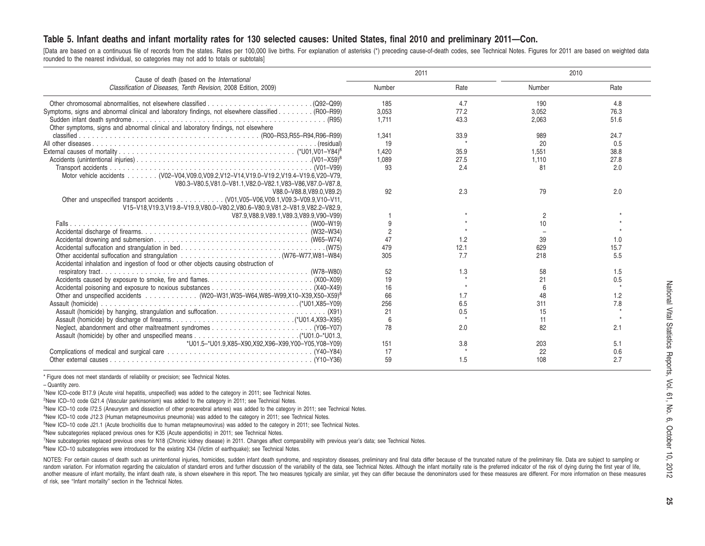#### Table 5. Infant deaths and infant mortality rates for 130 selected causes: United States, final 2010 and preliminary 2011—Con.

[Data are based on a continuous file of records from the states. Rates per 100,000 live births. For explanation of asterisks (\*) preceding cause-of-death codes, see Technical Notes. Figures for 2011 are based on weighted d rounded to the nearest individual, so categories may not add to totals or subtotals]

| Cause of death (based on the International                                                                                                                  | 2011   |      | 2010   |      |  |
|-------------------------------------------------------------------------------------------------------------------------------------------------------------|--------|------|--------|------|--|
| Classification of Diseases, Tenth Revision, 2008 Edition, 2009)                                                                                             | Number | Rate | Number | Rate |  |
|                                                                                                                                                             | 185    | 4.7  | 190    | 4.8  |  |
| Symptoms, signs and abnormal clinical and laboratory findings, not elsewhere classified (R00–R99)                                                           | 3.053  | 77.2 | 3.052  | 76.3 |  |
| Other symptoms, signs and abnormal clinical and laboratory findings, not elsewhere                                                                          | 1.711  | 43.3 | 2.063  | 51.6 |  |
|                                                                                                                                                             | 1.341  | 33.9 | 989    | 24.7 |  |
|                                                                                                                                                             | 19     |      | 20     | 0.5  |  |
|                                                                                                                                                             | 1.420  | 35.9 | 1.551  | 38.8 |  |
|                                                                                                                                                             | 1.089  | 27.5 | 1.110  | 27.8 |  |
|                                                                                                                                                             | 93     | 2.4  | 81     | 2.0  |  |
| Motor vehicle accidents (V02-V04, V09.0, V09.2, V12-V14, V19.0-V19.2, V19.4-V19.6, V20-V79,<br>V80.3-V80.5, V81.0-V81.1, V82.0-V82.1, V83-V86, V87.0-V87.8, |        |      |        |      |  |
| V88.0-V88.8.V89.0.V89.2)                                                                                                                                    | 92     | 2.3  | 79     | 2.0  |  |
|                                                                                                                                                             |        |      |        |      |  |
| V15-V18, V19.3, V19.8-V19.9, V80.0-V80.2, V80.6-V80.9, V81.2-V81.9, V82.2-V82.9,                                                                            |        |      |        |      |  |
| V87.9, V88.9, V89.1, V89.3, V89.9, V90-V99)                                                                                                                 |        |      | 2      |      |  |
|                                                                                                                                                             |        |      | 10     |      |  |
|                                                                                                                                                             |        |      |        |      |  |
|                                                                                                                                                             | 47     | 1.2  | 39     | 1.0  |  |
|                                                                                                                                                             | 479    | 12.1 | 629    | 15.7 |  |
|                                                                                                                                                             | 305    | 7.7  | 218    | 5.5  |  |
| Accidental inhalation and ingestion of food or other objects causing obstruction of                                                                         |        |      |        |      |  |
|                                                                                                                                                             | 52     | 1.3  | 58     | 1.5  |  |
|                                                                                                                                                             | 19     |      | 21     | 0.5  |  |
|                                                                                                                                                             | 16     |      |        |      |  |
| Other and unspecified accidents (W20-W31,W35-W64,W85-W99,X10-X39,X50-X59) <sup>8</sup>                                                                      | 66     | 1.7  | 48     | 1.2  |  |
|                                                                                                                                                             | 256    | 6.5  | 311    | 7.8  |  |
|                                                                                                                                                             | 21     | 0.5  | 15     |      |  |
|                                                                                                                                                             | 6      |      | 11     |      |  |
|                                                                                                                                                             | 78     | 2.0  | 82     | 2.1  |  |
|                                                                                                                                                             |        |      |        |      |  |
| *U01.5-*U01.9.X85-X90.X92.X96-X99.Y00-Y05.Y08-Y09)                                                                                                          | 151    | 3.8  | 203    | 5.1  |  |
|                                                                                                                                                             | 17     |      | 22     | 0.6  |  |
|                                                                                                                                                             | 59     | 1.5  | 108    | 2.7  |  |
|                                                                                                                                                             |        |      |        |      |  |

\* Figure does not meet standards of reliability or precision; see Technical Notes.

– Quantity zero.

<sup>1</sup>New ICD–code B17.9 (Acute viral hepatitis, unspecified) was added to the category in 2011; see Technical Notes.

<sup>2</sup>New ICD–10 code G21.4 (Vascular parkinsonism) was added to the category in 2011; see Technical Notes.

<sup>3</sup>New ICD–10 code I72.5 (Aneurysm and dissection of other precerebral arteres) was added to the category in 2011; see Technical Notes.

<sup>4</sup>New ICD–10 code J12.3 (Human metapneumovirus pneumonia) was added to the category in 2011; see Technical Notes.

<sup>5</sup>New ICD–10 code J21.1 (Acute brochiolitis due to human metapneumovirus) was added to the category in 2011; see Technical Notes.

<sup>6</sup>New subcategories replaced previous ones for K35 (Acute appendicitis) in 2011; see Technical Notes.

<sup>7</sup>New subcategories replaced previous ones for N18 (Chronic kidney disease) in 2011. Changes affect comparability with previous year's data; see Technical Notes.

<sup>8</sup>New ICD–10 subcategories were introduced for the existing X34 (Victim of earthquake); see Technical Notes.

NOTES: For certain causes of death such as unintentional injuries, homicides, sudden infant death syndrome, and respiratory diseases, preliminary and final data differ because of the truncated nature of the preliminary fil random variation. For information regarding the calculation of standard errors and further discussion of the variability of the data, see Technical Notes. Although the infant mortality rate is the preferred indicator of th another measure of infant mortality, the infant death rate, is shown elsewhere in this report. The two measures typically are similar, yet they can differ because the denominators used for these measures are different. For of risk, see ''Infant mortality'' section in the Technical Notes.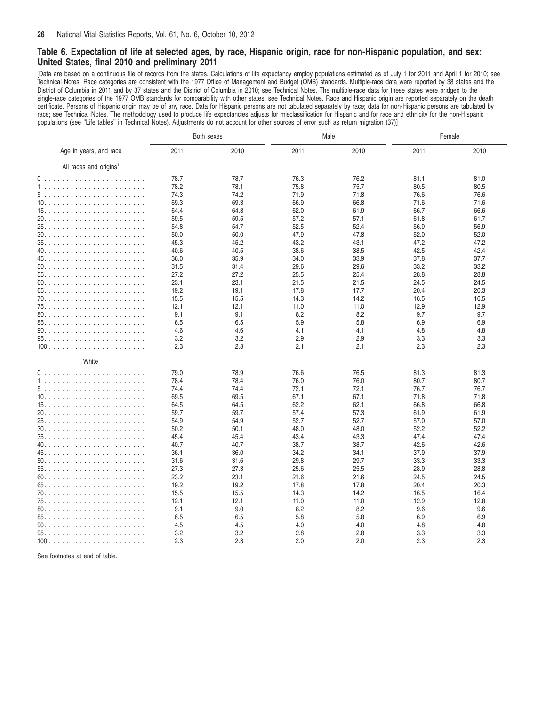#### <span id="page-25-0"></span>Table 6. Expectation of life at selected ages, by race, Hispanic origin, race for non-Hispanic population, and sex: **United States, final 2010 and preliminary 2011**

[Data are based on a continuous file of records from the states. Calculations of life expectancy employ populations estimated as of July 1 for 2011 and April 1 for 2010; see Technical Notes. Race categories are consistent with the 1977 Office of Management and Budget (OMB) standards. Multiple-race data were reported by 38 states and the District of Columbia in 2011 and by 37 states and the District of Columbia in 2010; see Technical Notes. The multiple-race data for these states were bridged to the single-race categories of the 1977 OMB standards for comparability with other states; see Technical Notes. Race and Hispanic origin are reported separately on the death certificate. Persons of Hispanic origin may be of any race. Data for Hispanic persons are not tabulated separately by race; data for non-Hispanic persons are tabulated by race; see Technical Notes. The methodology used to produce life expectancies adjusts for misclassification for Hispanic and for race and ethnicity for the non-Hispanic populations (see "Life tables" in Technical Notes). Adjustments do not account for other sources of error such as return migration (37)]

|                                    |      | Both sexes | Male |      | Female |      |
|------------------------------------|------|------------|------|------|--------|------|
| Age in years, and race             | 2011 | 2010       | 2011 | 2010 | 2011   | 2010 |
| All races and origins <sup>1</sup> |      |            |      |      |        |      |
|                                    | 78.7 | 78.7       | 76.3 | 76.2 | 81.1   | 81.0 |
|                                    | 78.2 | 78.1       | 75.8 | 75.7 | 80.5   | 80.5 |
|                                    | 74.3 | 74.2       | 71.9 | 71.8 | 76.6   | 76.6 |
|                                    | 69.3 | 69.3       | 66.9 | 66.8 | 71.6   | 71.6 |
|                                    | 64.4 | 64.3       | 62.0 | 61.9 | 66.7   | 66.6 |
|                                    | 59.5 | 59.5       | 57.2 | 57.1 | 61.8   | 61.7 |
|                                    | 54.8 | 54.7       | 52.5 | 52.4 | 56.9   | 56.9 |
|                                    | 50.0 | 50.0       | 47.9 | 47.8 | 52.0   | 52.0 |
|                                    | 45.3 | 45.2       | 43.2 |      | 47.2   | 47.2 |
|                                    |      |            |      | 43.1 |        |      |
| 40.                                | 40.6 | 40.5       | 38.6 | 38.5 | 42.5   | 42.4 |
|                                    | 36.0 | 35.9       | 34.0 | 33.9 | 37.8   | 37.7 |
|                                    | 31.5 | 31.4       | 29.6 | 29.6 | 33.2   | 33.2 |
|                                    | 27.2 | 27.2       | 25.5 | 25.4 | 28.8   | 28.8 |
|                                    | 23.1 | 23.1       | 21.5 | 21.5 | 24.5   | 24.5 |
|                                    | 19.2 | 19.1       | 17.8 | 17.7 | 20.4   | 20.3 |
|                                    | 15.5 | 15.5       | 14.3 | 14.2 | 16.5   | 16.5 |
|                                    | 12.1 | 12.1       | 11.0 | 11.0 | 12.9   | 12.9 |
|                                    | 9.1  | 9.1        | 8.2  | 8.2  | 9.7    | 9.7  |
|                                    | 6.5  | 6.5        | 5.9  | 5.8  | 6.9    | 6.9  |
|                                    | 4.6  | 4.6        | 4.1  | 4.1  | 4.8    | 4.8  |
|                                    | 3.2  | 3.2        | 2.9  | 2.9  | 3.3    | 3.3  |
|                                    | 2.3  | 2.3        | 2.1  | 2.1  | 2.3    | 2.3  |
|                                    |      |            |      |      |        |      |
| White                              |      |            |      |      |        |      |
|                                    | 79.0 | 78.9       | 76.6 | 76.5 | 81.3   | 81.3 |
|                                    | 78.4 | 78.4       | 76.0 | 76.0 | 80.7   | 80.7 |
|                                    | 74.4 | 74.4       | 72.1 | 72.1 | 76.7   | 76.7 |
|                                    | 69.5 | 69.5       | 67.1 | 67.1 | 71.8   | 71.8 |
|                                    | 64.5 | 64.5       | 62.2 | 62.1 | 66.8   | 66.8 |
|                                    | 59.7 | 59.7       | 57.4 | 57.3 | 61.9   | 61.9 |
|                                    | 54.9 | 54.9       | 52.7 | 52.7 | 57.0   | 57.0 |
|                                    | 50.2 | 50.1       | 48.0 | 48.0 | 52.2   | 52.2 |
|                                    | 45.4 | 45.4       | 43.4 | 43.3 | 47.4   | 47.4 |
|                                    | 40.7 | 40.7       | 38.7 | 38.7 | 42.6   | 42.6 |
|                                    | 36.1 | 36.0       | 34.2 | 34.1 | 37.9   | 37.9 |
|                                    | 31.6 | 31.6       | 29.8 | 29.7 | 33.3   | 33.3 |
|                                    | 27.3 | 27.3       | 25.6 | 25.5 | 28.9   | 28.8 |
|                                    | 23.2 | 23.1       | 21.6 | 21.6 | 24.5   | 24.5 |
|                                    |      |            |      |      |        |      |
|                                    | 19.2 | 19.2       | 17.8 | 17.8 | 20.4   | 20.3 |
|                                    | 15.5 | 15.5       | 14.3 | 14.2 | 16.5   | 16.4 |
|                                    | 12.1 | 12.1       | 11.0 | 11.0 | 12.9   | 12.8 |
|                                    | 9.1  | 9.0        | 8.2  | 8.2  | 9.6    | 9.6  |
|                                    | 6.5  | 6.5        | 5.8  | 5.8  | 6.9    | 6.9  |
|                                    | 4.5  | 4.5        | 4.0  | 4.0  | 4.8    | 4.8  |
|                                    | 3.2  | 3.2        | 2.8  | 2.8  | 3.3    | 3.3  |
| 100                                | 2.3  | 2.3        | 2.0  | 2.0  | 2.3    | 2.3  |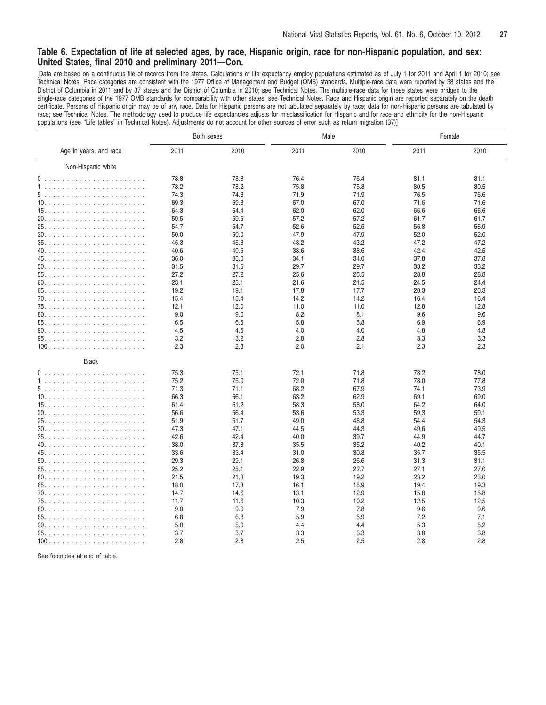#### Table 6. Expectation of life at selected ages, by race, Hispanic origin, race for non-Hispanic population, and sex: **United States, final 2010 and preliminary 2011—Con.**

[Data are based on a continuous file of records from the states. Calculations of life expectancy employ populations estimated as of July 1 for 2011 and April 1 for 2010; see Technical Notes. Race categories are consistent with the 1977 Office of Management and Budget (OMB) standards. Multiple-race data were reported by 38 states and the District of Columbia in 2011 and by 37 states and the District of Columbia in 2010; see Technical Notes. The multiple-race data for these states were bridged to the single-race categories of the 1977 OMB standards for comparability with other states; see Technical Notes. Race and Hispanic origin are reported separately on the death certificate. Persons of Hispanic origin may be of any race. Data for Hispanic persons are not tabulated separately by race; data for non-Hispanic persons are tabulated by race; see Technical Notes. The methodology used to produce life expectancies adjusts for misclassification for Hispanic and for race and ethnicity for the non-Hispanic populations (see "Life tables" in Technical Notes). Adjustments do not account for other sources of error such as return migration (37)]

|                        |      | Both sexes | Male |      | Female |      |
|------------------------|------|------------|------|------|--------|------|
| Age in years, and race | 2011 | 2010       | 2011 | 2010 | 2011   | 2010 |
| Non-Hispanic white     |      |            |      |      |        |      |
|                        | 78.8 | 78.8       | 76.4 | 76.4 | 81.1   | 81.1 |
|                        | 78.2 | 78.2       | 75.8 | 75.8 | 80.5   | 80.5 |
|                        | 74.3 | 74.3       | 71.9 | 71.9 | 76.5   | 76.6 |
|                        | 69.3 | 69.3       | 67.0 | 67.0 | 71.6   | 71.6 |
|                        | 64.3 | 64.4       | 62.0 | 62.0 | 66.6   | 66.6 |
|                        | 59.5 | 59.5       | 57.2 | 57.2 | 61.7   | 61.7 |
|                        | 54.7 | 54.7       | 52.6 | 52.5 | 56.8   | 56.9 |
|                        | 50.0 | 50.0       | 47.9 | 47.9 | 52.0   | 52.0 |
|                        |      | 45.3       | 43.2 | 43.2 | 47.2   | 47.2 |
|                        | 45.3 |            |      |      |        |      |
|                        | 40.6 | 40.6       | 38.6 | 38.6 | 42.4   | 42.5 |
|                        | 36.0 | 36.0       | 34.1 | 34.0 | 37.8   | 37.8 |
|                        | 31.5 | 31.5       | 29.7 | 29.7 | 33.2   | 33.2 |
|                        | 27.2 | 27.2       | 25.6 | 25.5 | 28.8   | 28.8 |
|                        | 23.1 | 23.1       | 21.6 | 21.5 | 24.5   | 24.4 |
|                        | 19.2 | 19.1       | 17.8 | 17.7 | 20.3   | 20.3 |
|                        | 15.4 | 15.4       | 14.2 | 14.2 | 16.4   | 16.4 |
|                        | 12.1 | 12.0       | 11.0 | 11.0 | 12.8   | 12.8 |
|                        | 9.0  | 9.0        | 8.2  | 8.1  | 9.6    | 9.6  |
|                        | 6.5  | 6.5        | 5.8  | 5.8  | 6.9    | 6.9  |
|                        | 4.5  | 4.5        | 4.0  | 4.0  | 4.8    | 4.8  |
|                        | 3.2  | 3.2        | 2.8  | 2.8  | 3.3    | 3.3  |
|                        | 2.3  | 2.3        | 2.0  | 2.1  | 2.3    | 2.3  |
|                        |      |            |      |      |        |      |
| <b>Black</b>           |      |            |      |      |        |      |
|                        | 75.3 | 75.1       | 72.1 | 71.8 | 78.2   | 78.0 |
|                        | 75.2 | 75.0       | 72.0 | 71.8 | 78.0   | 77.8 |
|                        | 71.3 | 71.1       | 68.2 | 67.9 | 74.1   | 73.9 |
|                        | 66.3 | 66.1       | 63.2 | 62.9 | 69.1   | 69.0 |
|                        | 61.4 | 61.2       | 58.3 | 58.0 | 64.2   | 64.0 |
|                        | 56.6 | 56.4       | 53.6 | 53.3 | 59.3   | 59.1 |
|                        | 51.9 | 51.7       | 49.0 | 48.8 | 54.4   | 54.3 |
|                        | 47.3 | 47.1       | 44.5 | 44.3 | 49.6   | 49.5 |
|                        | 42.6 | 42.4       | 40.0 | 39.7 | 44.9   | 44.7 |
|                        | 38.0 | 37.8       | 35.5 | 35.2 | 40.2   | 40.1 |
|                        | 33.6 | 33.4       | 31.0 | 30.8 | 35.7   | 35.5 |
|                        | 29.3 | 29.1       | 26.8 | 26.6 | 31.3   | 31.1 |
|                        | 25.2 | 25.1       | 22.9 | 22.7 | 27.1   | 27.0 |
|                        | 21.5 | 21.3       | 19.3 | 19.2 | 23.2   | 23.0 |
|                        |      |            |      |      |        |      |
|                        | 18.0 | 17.8       | 16.1 | 15.9 | 19.4   | 19.3 |
|                        | 14.7 | 14.6       | 13.1 | 12.9 | 15.8   | 15.8 |
|                        | 11.7 | 11.6       | 10.3 | 10.2 | 12.5   | 12.5 |
|                        | 9.0  | 9.0        | 7.9  | 7.8  | 9.6    | 9.6  |
|                        | 6.8  | 6.8        | 5.9  | 5.9  | 7.2    | 7.1  |
|                        | 5.0  | 5.0        | 4.4  | 4.4  | 5.3    | 5.2  |
|                        | 3.7  | 3.7        | 3.3  | 3.3  | 3.8    | 3.8  |
|                        | 2.8  | 2.8        | 2.5  | 2.5  | 2.8    | 2.8  |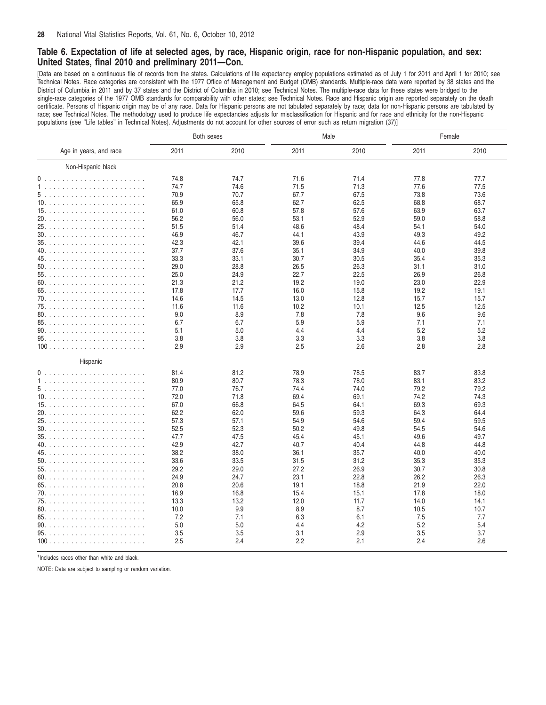#### Table 6. Expectation of life at selected ages, by race, Hispanic origin, race for non-Hispanic population, and sex: **United States, final 2010 and preliminary 2011—Con.**

[Data are based on a continuous file of records from the states. Calculations of life expectancy employ populations estimated as of July 1 for 2011 and April 1 for 2010; see Technical Notes. Race categories are consistent with the 1977 Office of Management and Budget (OMB) standards. Multiple-race data were reported by 38 states and the District of Columbia in 2011 and by 37 states and the District of Columbia in 2010; see Technical Notes. The multiple-race data for these states were bridged to the single-race categories of the 1977 OMB standards for comparability with other states; see Technical Notes. Race and Hispanic origin are reported separately on the death certificate. Persons of Hispanic origin may be of any race. Data for Hispanic persons are not tabulated separately by race; data for non-Hispanic persons are tabulated by race; see Technical Notes. The methodology used to produce life expectancies adjusts for misclassification for Hispanic and for race and ethnicity for the non-Hispanic populations (see "Life tables" in Technical Notes). Adjustments do not account for other sources of error such as return migration (37)]

|                        |      | Both sexes | Male |      | Female |      |
|------------------------|------|------------|------|------|--------|------|
| Age in years, and race | 2011 | 2010       | 2011 | 2010 | 2011   | 2010 |
| Non-Hispanic black     |      |            |      |      |        |      |
|                        | 74.8 | 74.7       | 71.6 | 71.4 | 77.8   | 77.7 |
|                        | 74.7 | 74.6       | 71.5 | 71.3 | 77.6   | 77.5 |
|                        | 70.9 | 70.7       | 67.7 | 67.5 | 73.8   | 73.6 |
|                        | 65.9 | 65.8       | 62.7 | 62.5 | 68.8   | 68.7 |
|                        | 61.0 | 60.8       | 57.8 | 57.6 | 63.9   | 63.7 |
|                        | 56.2 | 56.0       | 53.1 | 52.9 | 59.0   | 58.8 |
|                        | 51.5 | 51.4       | 48.6 | 48.4 | 54.1   | 54.0 |
|                        | 46.9 | 46.7       | 44.1 | 43.9 | 49.3   | 49.2 |
|                        | 42.3 | 42.1       | 39.6 | 39.4 | 44.6   | 44.5 |
|                        | 37.7 | 37.6       | 35.1 | 34.9 | 40.0   | 39.8 |
|                        | 33.3 | 33.1       | 30.7 | 30.5 | 35.4   | 35.3 |
|                        | 29.0 | 28.8       | 26.5 | 26.3 | 31.1   | 31.0 |
|                        | 25.0 | 24.9       | 22.7 | 22.5 | 26.9   | 26.8 |
|                        | 21.3 | 21.2       | 19.2 | 19.0 | 23.0   | 22.9 |
|                        | 17.8 | 17.7       | 16.0 | 15.8 | 19.2   | 19.1 |
|                        | 14.6 | 14.5       | 13.0 | 12.8 | 15.7   | 15.7 |
|                        | 11.6 | 11.6       | 10.2 | 10.1 | 12.5   | 12.5 |
|                        | 9.0  | 8.9        | 7.8  | 7.8  | 9.6    | 9.6  |
|                        | 6.7  | 6.7        | 5.9  | 5.9  | 7.1    | 7.1  |
|                        | 5.1  | 5.0        | 4.4  | 4.4  | 5.2    | 5.2  |
|                        | 3.8  | 3.8        | 3.3  | 3.3  | 3.8    | 3.8  |
|                        | 2.9  | 2.9        | 2.5  | 2.6  | 2.8    | 2.8  |
|                        |      |            |      |      |        |      |
| Hispanic               |      |            |      |      |        |      |
|                        | 81.4 | 81.2       | 78.9 | 78.5 | 83.7   | 83.8 |
|                        | 80.9 | 80.7       | 78.3 | 78.0 | 83.1   | 83.2 |
|                        | 77.0 | 76.7       | 74.4 | 74.0 | 79.2   | 79.2 |
|                        | 72.0 | 71.8       | 69.4 | 69.1 | 74.2   | 74.3 |
|                        | 67.0 | 66.8       | 64.5 | 64.1 | 69.3   | 69.3 |
|                        | 62.2 | 62.0       | 59.6 | 59.3 | 64.3   | 64.4 |
|                        | 57.3 | 57.1       | 54.9 | 54.6 | 59.4   | 59.5 |
|                        | 52.5 | 52.3       | 50.2 | 49.8 | 54.5   | 54.6 |
|                        | 47.7 | 47.5       | 45.4 | 45.1 | 49.6   | 49.7 |
|                        | 42.9 | 42.7       | 40.7 | 40.4 | 44.8   | 44.8 |
|                        | 38.2 | 38.0       | 36.1 | 35.7 | 40.0   | 40.0 |
|                        | 33.6 | 33.5       | 31.5 | 31.2 | 35.3   | 35.3 |
|                        | 29.2 | 29.0       | 27.2 | 26.9 | 30.7   | 30.8 |
|                        | 24.9 | 24.7       | 23.1 | 22.8 | 26.2   | 26.3 |
|                        | 20.8 | 20.6       | 19.1 | 18.8 | 21.9   | 22.0 |
|                        | 16.9 | 16.8       | 15.4 | 15.1 | 17.8   | 18.0 |
|                        | 13.3 | 13.2       | 12.0 | 11.7 | 14.0   | 14.1 |
|                        | 10.0 | 9.9        | 8.9  | 8.7  | 10.5   | 10.7 |
|                        | 7.2  | 7.1        | 6.3  | 6.1  | 7.5    | 7.7  |
|                        | 5.0  | 5.0        | 4.4  | 4.2  | 5.2    | 5.4  |
|                        | 3.5  | 3.5        | 3.1  | 2.9  | 3.5    | 3.7  |
|                        | 2.5  | 2.4        | 2.2  | 2.1  | 2.4    | 2.6  |
|                        |      |            |      |      |        |      |

<sup>1</sup>Includes races other than white and black.

NOTE: Data are subject to sampling or random variation.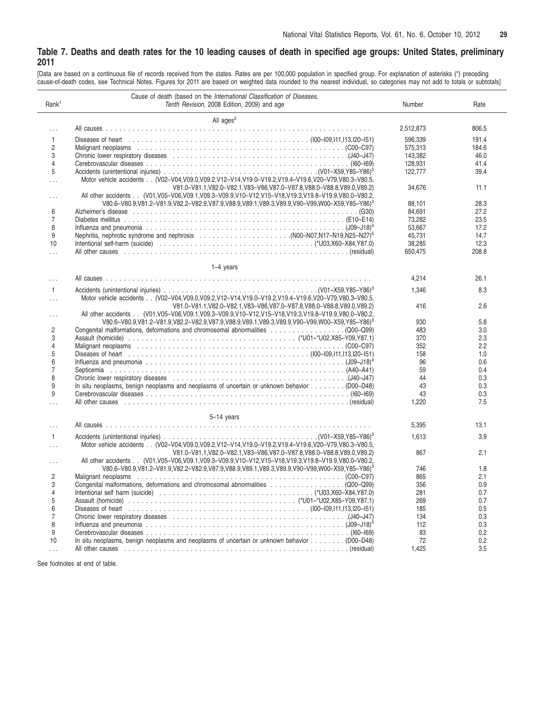#### <span id="page-28-0"></span>Table 7. Deaths and death rates for the 10 leading causes of death in specified age groups: United States, preliminary **2011**

[Data are based on a continuous file of records received from the states. Rates are per 100,000 population in specified group. For explanation of asterisks (\*) preceding cause-of-death codes, see Technical Notes. Figures for 2011 are based on weighted data rounded to the nearest individual, so categories may not add to totals or subtotals]

| Rank <sup>1</sup> | Cause of death (based on the International Classification of Diseases,<br>Tenth Revision, 2008 Edition, 2009) and age                                                                                                          | Number    | Rate  |
|-------------------|--------------------------------------------------------------------------------------------------------------------------------------------------------------------------------------------------------------------------------|-----------|-------|
|                   |                                                                                                                                                                                                                                |           |       |
|                   | All ages <sup>2</sup>                                                                                                                                                                                                          |           |       |
| $\ldots$          |                                                                                                                                                                                                                                | 2,512,873 | 806.5 |
| $\mathbf{1}$      |                                                                                                                                                                                                                                | 596,339   | 191.4 |
| $\overline{2}$    |                                                                                                                                                                                                                                | 575,313   | 184.6 |
| 3                 |                                                                                                                                                                                                                                | 143,382   | 46.0  |
| 4                 |                                                                                                                                                                                                                                | 128.931   | 41.4  |
| 5                 |                                                                                                                                                                                                                                | 122,777   | 39.4  |
| .                 | Motor vehicle accidents (V02-V04, V09.0, V09.2, V12-V14, V19.0-V19.2, V19.4-V19.6, V20-V79, V80.3-V80.5,                                                                                                                       |           |       |
|                   | V81.0-V81.1, V82.0-V82.1, V83-V86, V87.0-V87.8, V88.0-V88.8, V89.0, V89.2)                                                                                                                                                     | 34,676    | 11.1  |
| $\cdots$          | All other accidents (V01, V05-V06, V09.1, V09.3-V09.9, V10-V12, V15-V18, V19.3, V19.8-V19.9, V80.0-V80.2,                                                                                                                      |           |       |
|                   | V80.6-V80.9,V81.2-V81.9,V82.2-V82.9,V87.9,V88.9,V89.1,V89.3,V89.9,V90-V99,W00-X59,Y85-Y86) <sup>3</sup>                                                                                                                        | 88.101    | 28.3  |
| 6                 |                                                                                                                                                                                                                                | 84.691    | 27.2  |
| 7                 |                                                                                                                                                                                                                                | 73,282    | 23.5  |
| 8                 |                                                                                                                                                                                                                                | 53,667    | 17.2  |
| 9                 |                                                                                                                                                                                                                                | 45,731    | 14.7  |
| 10                |                                                                                                                                                                                                                                | 38.285    | 12.3  |
| $\ldots$          |                                                                                                                                                                                                                                | 650,475   | 208.8 |
|                   |                                                                                                                                                                                                                                |           |       |
|                   | $1-4$ years                                                                                                                                                                                                                    |           |       |
| .                 |                                                                                                                                                                                                                                | 4,214     | 26.1  |
| $\mathbf{1}$      |                                                                                                                                                                                                                                | 1,346     | 8.3   |
| $\cdots$          | Motor vehicle accidents (V02-V04, V09.0, V09.2, V12-V14, V19.0-V19.2, V19.4-V19.6, V20-V79, V80.3-V80.5,                                                                                                                       |           |       |
|                   | V81.0-V81.1, V82.0-V82.1, V83-V86, V87.0-V87.8, V88.0-V88.8, V89.0, V89.2)                                                                                                                                                     | 416       | 2.6   |
| .                 | All other accidents (V01, V05-V06, V09.1, V09.3-V09.9, V10-V12, V15-V18, V19.3, V19.8-V19.9, V80.0-V80.2,                                                                                                                      |           |       |
|                   | V80.6-V80.9,V81.2-V81.9,V82.2-V82.9,V87.9,V88.9,V89.1,V89.3,V89.9,V90-V99,W00-X59,Y85-Y86) <sup>3</sup>                                                                                                                        | 930       | 5.8   |
| $\overline{2}$    |                                                                                                                                                                                                                                | 483       | 3.0   |
| 3                 |                                                                                                                                                                                                                                | 370       | 2.3   |
| 4                 | Malignant neoplasms experience of the contract of the contract of the contract of the contract of the contract of $(C00-C97)$                                                                                                  | 352       | 2.2   |
| 5                 |                                                                                                                                                                                                                                | 158       | 1.0   |
| 6                 |                                                                                                                                                                                                                                | 96        | 0.6   |
| 7                 |                                                                                                                                                                                                                                | 59        | 0.4   |
| 8                 |                                                                                                                                                                                                                                | 44        | 0.3   |
| 9                 | In situ neoplasms, benign neoplasms and neoplasms of uncertain or unknown behavior $\dots \dots \dots$ . (D00-D48)                                                                                                             | 43        | 0.3   |
| 9                 |                                                                                                                                                                                                                                | 43        | 0.3   |
| $\cdots$          | All other causes enterprise on the causes of the causes of the causes of the content of the content of the causes of the causes of the causes of the causes of the content of the content of the content of the content of the | 1,220     | 7.5   |
|                   |                                                                                                                                                                                                                                |           |       |
| .                 | 5-14 years                                                                                                                                                                                                                     | 5,395     | 13.1  |
|                   |                                                                                                                                                                                                                                |           |       |
| $\mathbf{1}$      | Motor vehicle accidents (V02-V04, V09.0, V09.2, V12-V14, V19.0-V19.2, V19.4-V19.6, V20-V79, V80.3-V80.5,                                                                                                                       | 1,613     | 3.9   |
| $\cdots$          | V81.0-V81.1.V82.0-V82.1.V83-V86.V87.0-V87.8.V88.0-V88.8.V89.0.V89.2)                                                                                                                                                           | 867       | 2.1   |
| $\ldots$          | All other accidents (V01, V05-V06, V09.1, V09.3-V09.9, V10-V12, V15-V18, V19.3, V19.8-V19.9, V80.0-V80.2,                                                                                                                      |           |       |
|                   | V80.6-V80.9, V81.2-V81.9, V82.2-V82.9, V87.9, V88.9, V89.1, V89.3, V89.9, V90-V99, W00-X59, Y85-Y86) <sup>3</sup>                                                                                                              | 746       | 1.8   |
| $\overline{2}$    | Malignant neoplasms experience of the contract of the Malignant neoplasms experience of the contract of the control of the Malignant neoplasms experience of the control of the Malignant of Malignant of Malignant of Maligna | 865       | 2.1   |
| 3                 |                                                                                                                                                                                                                                | 356       | 0.9   |
| 4                 |                                                                                                                                                                                                                                | 281       | 0.7   |
| 5                 |                                                                                                                                                                                                                                | 269       | 0.7   |
| 6                 |                                                                                                                                                                                                                                | 185       | 0.5   |
| 7                 |                                                                                                                                                                                                                                | 134       | 0.3   |
| 8                 |                                                                                                                                                                                                                                | 112       | 0.3   |
| 9                 |                                                                                                                                                                                                                                | 83        | 0.2   |
| 10                | In situ neoplasms, benign neoplasms and neoplasms of uncertain or unknown behavior $\dots \dots \dots$ . (D00-D48)                                                                                                             | 72        | 0.2   |
| $\cdots$          | All other causes enterity in the causes of the causes of the causes of the content of the content of the content of the causes of the content of the content of the content of the content of the content of the content of th | 1,425     | 3.5   |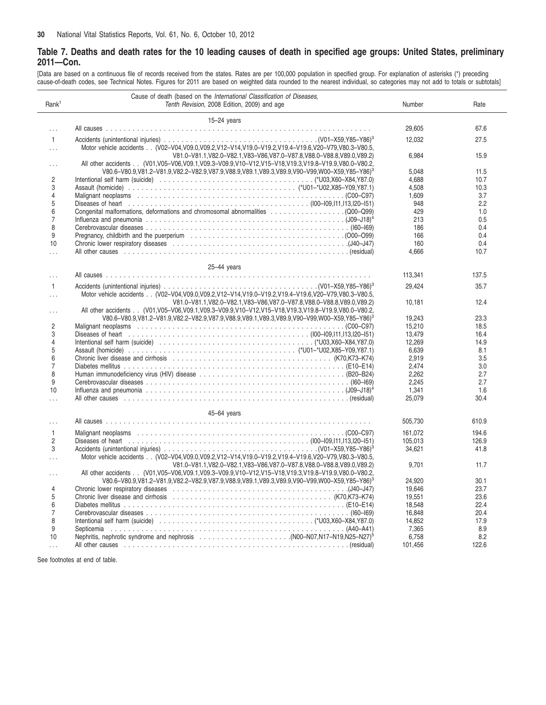#### Table 7. Deaths and death rates for the 10 leading causes of death in specified age groups: United States, preliminary **2011—Con.**

[Data are based on a continuous file of records received from the states. Rates are per 100,000 population in specified group. For explanation of asterisks (\*) preceding cause-of-death codes, see Technical Notes. Figures for 2011 are based on weighted data rounded to the nearest individual, so categories may not add to totals or subtotals]

| Rank <sup>1</sup> | Cause of death (based on the International Classification of Diseases,<br>Tenth Revision, 2008 Edition, 2009) and age                                                                                                            | Number  | Rate  |
|-------------------|----------------------------------------------------------------------------------------------------------------------------------------------------------------------------------------------------------------------------------|---------|-------|
|                   | $15-24$ years                                                                                                                                                                                                                    |         |       |
| $\cdots$          |                                                                                                                                                                                                                                  | 29.605  | 67.6  |
| $\mathbf{1}$      |                                                                                                                                                                                                                                  | 12,032  | 27.5  |
| .                 | Motor vehicle accidents (V02-V04, V09.0, V09.2, V12-V14, V19.0-V19.2, V19.4-V19.6, V20-V79, V80.3-V80.5,                                                                                                                         |         |       |
|                   | V81.0-V81.1, V82.0-V82.1, V83-V86, V87.0-V87.8, V88.0-V88.8, V89.0, V89.2)                                                                                                                                                       | 6,984   | 15.9  |
| $\cdots$          | All other accidents . (V01, V05-V06, V09.1, V09.3-V09.9, V10-V12, V15-V18, V19.3, V19.8-V19.9, V80.0-V80.2,<br>V80.6-V80.9, V81.2-V81.9, V82.2-V82.9, V87.9, V88.9, V89.1, V89.3, V89.9, V90-V99, W00-X59, Y85-Y86) <sup>3</sup> | 5.048   | 11.5  |
| $\overline{2}$    |                                                                                                                                                                                                                                  | 4,688   | 10.7  |
| 3                 |                                                                                                                                                                                                                                  | 4,508   | 10.3  |
| $\overline{4}$    | Malignant neoplasms entertainment and the contract of the contract of the contract of the contract of the contract of CO0–C97)                                                                                                   | 1.609   | 3.7   |
| 5                 |                                                                                                                                                                                                                                  | 948     | 2.2   |
| 6                 |                                                                                                                                                                                                                                  | 429     | 1.0   |
| $\overline{7}$    |                                                                                                                                                                                                                                  | 213     | 0.5   |
| 8                 |                                                                                                                                                                                                                                  | 186     | 0.4   |
| 9                 |                                                                                                                                                                                                                                  | 166     | 0.4   |
| 10                |                                                                                                                                                                                                                                  | 160     | 0.4   |
|                   |                                                                                                                                                                                                                                  | 4,666   | 10.7  |
| .                 |                                                                                                                                                                                                                                  |         |       |
|                   | $25-44$ years                                                                                                                                                                                                                    |         |       |
| $\cdots$          |                                                                                                                                                                                                                                  | 113,341 | 137.5 |
| $\mathbf{1}$      |                                                                                                                                                                                                                                  | 29.424  | 35.7  |
| $\cdots$          | Motor vehicle accidents (V02-V04, V09.0, V09.2, V12-V14, V19.0-V19.2, V19.4-V19.6, V20-V79. V80.3-V80.5,                                                                                                                         |         |       |
|                   | V81.0-V81.1, V82.0-V82.1, V83-V86, V87.0-V87.8, V88.0-V88.8, V89.0, V89.2)                                                                                                                                                       | 10,181  | 12.4  |
| $\cdots$          | All other accidents . (V01, V05-V06, V09.1, V09.3-V09.9, V10-V12, V15-V18, V19.3, V19.8-V19.9, V80.0-V80.2,                                                                                                                      |         |       |
|                   | V80.6-V80.9, V81.2-V81.9, V82.2-V82.9, V87.9, V88.9, V89.1, V89.3, V89.9, V90-V99, W00-X59, Y85-Y86) <sup>3</sup>                                                                                                                | 19.243  | 23.3  |
| $\sqrt{2}$        |                                                                                                                                                                                                                                  | 15.210  | 18.5  |
| 3                 |                                                                                                                                                                                                                                  | 13,479  | 16.4  |
| $\overline{4}$    |                                                                                                                                                                                                                                  | 12,269  | 14.9  |
| 5                 |                                                                                                                                                                                                                                  | 6,639   | 8.1   |
| 6                 | Chronic liver disease and cirrhosis entertainment contained and cirrhosis entertainment contained and cirrhosis entertainment and contained the CIA and CIA and CIA and CIA and CIA and CIA and CIA and CIA and CIA and CIA an   | 2.919   | 3.5   |
| $\overline{7}$    |                                                                                                                                                                                                                                  | 2,474   | 3.0   |
| 8                 |                                                                                                                                                                                                                                  | 2.262   | 2.7   |
| 9                 |                                                                                                                                                                                                                                  | 2.245   | 2.7   |
| 10                |                                                                                                                                                                                                                                  | 1,341   | 1.6   |
| $\cdots$          |                                                                                                                                                                                                                                  | 25.079  | 30.4  |
|                   | 45-64 years                                                                                                                                                                                                                      |         |       |
| $\cdots$          |                                                                                                                                                                                                                                  | 505,730 | 610.9 |
|                   |                                                                                                                                                                                                                                  |         |       |
| $\mathbf{1}$      |                                                                                                                                                                                                                                  | 161.072 | 194.6 |
| $\overline{2}$    |                                                                                                                                                                                                                                  | 105.013 | 126.9 |
| 3                 |                                                                                                                                                                                                                                  | 34,621  | 41.8  |
| .                 | Motor vehicle accidents (V02-V04, V09.0, V09.2, V12-V14, V19.0-V19.2, V19.4-V19.6, V20-V79, V80.3-V80.5,<br>V81.0-V81.1, V82.0-V82.1, V83-V86, V87.0-V87.8, V88.0-V88.8, V89.0, V89.2)                                           | 9,701   | 11.7  |
| $\cdots$          | All other accidents . (V01, V05-V06, V09.1, V09.3-V09.9, V10-V12, V15-V18, V19.3, V19.8-V19.9, V80.0-V80.2,                                                                                                                      |         |       |
|                   | V80.6-V80.9, V81.2-V81.9, V82.2-V82.9, V87.9, V88.9, V89.1, V89.3, V89.9, V90-V99, W00-X59, Y85-Y86) <sup>3</sup>                                                                                                                | 24.920  | 30.1  |
| 4                 |                                                                                                                                                                                                                                  | 19.646  | 23.7  |
| 5                 |                                                                                                                                                                                                                                  | 19,551  | 23.6  |
| 6                 |                                                                                                                                                                                                                                  | 18,548  | 22.4  |
| $\overline{7}$    |                                                                                                                                                                                                                                  | 16.848  | 20.4  |
| 8                 |                                                                                                                                                                                                                                  | 14.852  | 17.9  |
| 9                 |                                                                                                                                                                                                                                  | 7,365   | 8.9   |
| 10                |                                                                                                                                                                                                                                  | 6,758   | 8.2   |
| $\cdots$          |                                                                                                                                                                                                                                  | 101,456 | 122.6 |
|                   |                                                                                                                                                                                                                                  |         |       |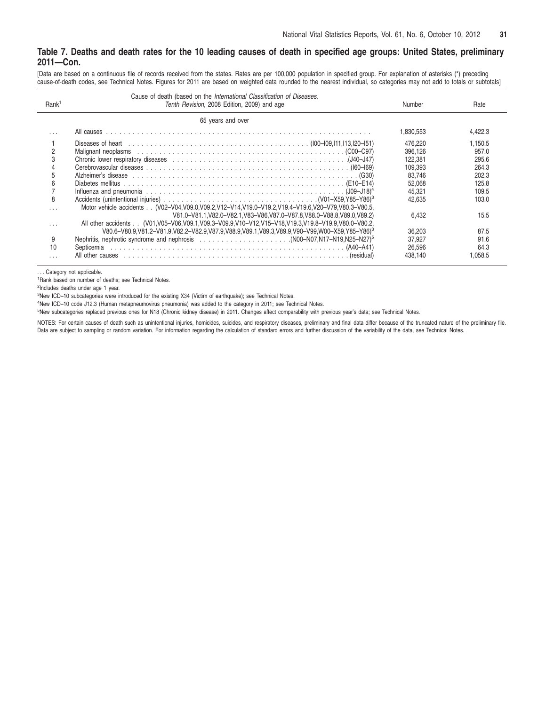#### Table 7. Deaths and death rates for the 10 leading causes of death in specified age groups: United States, preliminary **2011—Con.**

[Data are based on a continuous file of records received from the states. Rates are per 100,000 population in specified group. For explanation of asterisks (\*) preceding cause-of-death codes, see Technical Notes. Figures for 2011 are based on weighted data rounded to the nearest individual, so categories may not add to totals or subtotals]

| Rank <sup>1</sup> | Cause of death (based on the International Classification of Diseases,<br>Tenth Revision, 2008 Edition, 2009) and age | Number    | Rate    |
|-------------------|-----------------------------------------------------------------------------------------------------------------------|-----------|---------|
|                   | 65 years and over                                                                                                     |           |         |
|                   |                                                                                                                       | 1,830,553 | 4.422.3 |
|                   |                                                                                                                       | 476.220   | 1.150.5 |
| 2                 |                                                                                                                       | 396.126   | 957.0   |
| 3                 |                                                                                                                       | 122.381   | 295.6   |
|                   |                                                                                                                       | 109.393   | 264.3   |
| 5                 |                                                                                                                       | 83.746    | 202.3   |
| 6                 |                                                                                                                       | 52.068    | 125.8   |
|                   |                                                                                                                       | 45,321    | 109.5   |
| 8                 |                                                                                                                       | 42.635    | 103.0   |
| .                 | Motor vehicle accidents (V02-V04.V09.0.V09.2.V12-V14.V19.0-V19.2.V19.4-V19.6.V20-V79.V80.3-V80.5.                     |           |         |
|                   | V81.0-V81.1.V82.0-V82.1.V83-V86.V87.0-V87.8.V88.0-V88.8.V89.0.V89.2)                                                  | 6.432     | 15.5    |
| $\cdots$          | All other accidents (V01.V05-V06.V09.1.V09.3-V09.9.V10-V12.V15-V18.V19.3.V19.8-V19.9.V80.0-V80.2.                     |           |         |
|                   | V80.6-V80.9,V81.2-V81.9,V82.2-V82.9,V87.9,V88.9,V89.1,V89.3,V89.9,V90-V99,W00-X59,Y85-Y86)3                           | 36.203    | 87.5    |
| 9                 |                                                                                                                       | 37.927    | 91.6    |
| 10                |                                                                                                                       | 26,596    | 64.3    |
|                   |                                                                                                                       | 438,140   | 1,058.5 |
|                   |                                                                                                                       |           |         |

... Category not applicable.

<sup>1</sup>Rank based on number of deaths; see Technical Notes.

2 Includes deaths under age 1 year.

<sup>3</sup>New ICD–10 subcategories were introduced for the existing X34 (Victim of earthquake); see Technical Notes.

<sup>4</sup>New ICD–10 code J12.3 (Human metapneumovirus pneumonia) was added to the category in 2011; see Technical Notes.

<sup>5</sup>New subcategories replaced previous ones for N18 (Chronic kidney disease) in 2011. Changes affect comparability with previous year's data; see Technical Notes.

NOTES: For certain causes of death such as unintentional injuries, homicides, suicides, and respiratory diseases, preliminary and final data differ because of the truncated nature of the preliminary file. Data are subject to sampling or random variation. For information regarding the calculation of standard errors and further discussion of the variability of the data, see Technical Notes.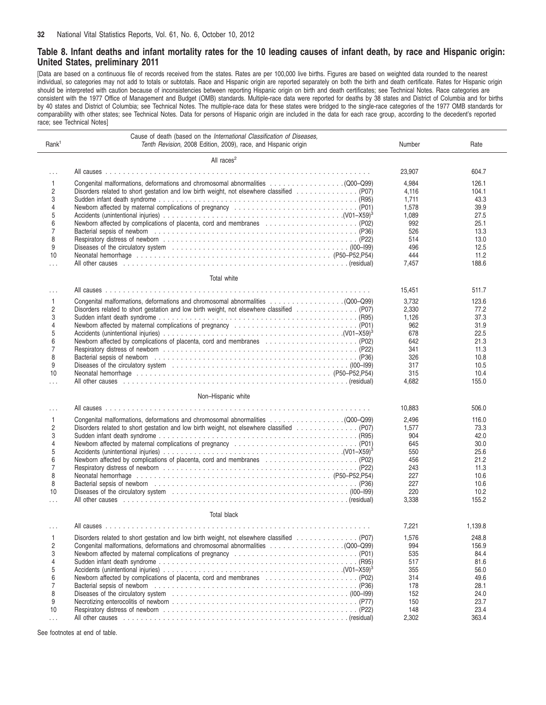$\overline{a}$ 

#### <span id="page-31-0"></span>Table 8. Infant deaths and infant mortality rates for the 10 leading causes of infant death, by race and Hispanic origin: **United States, preliminary 2011**

[Data are based on a continuous file of records received from the states. Rates are per 100,000 live births. Figures are based on weighted data rounded to the nearest individual, so categories may not add to totals or subtotals. Race and Hispanic origin are reported separately on both the birth and death certificate. Rates for Hispanic origin should be interpreted with caution because of inconsistencies between reporting Hispanic origin on birth and death certificates; see Technical Notes. Race categories are consistent with the 1977 Office of Management and Budget (OMB) standards. Multiple-race data were reported for deaths by 38 states and District of Columbia and for births by 40 states and District of Columbia; see Technical Notes. The multiple-race data for these states were bridged to the single-race categories of the 1977 OMB standards for comparability with other states; see Technical Notes. Data for persons of Hispanic origin are included in the data for each race group, according to the decedent's reported race; see Technical Notes]

| Rank <sup>1</sup>   | Cause of death (based on the International Classification of Diseases,<br>Tenth Revision, 2008 Edition, 2009), race, and Hispanic origin                                                                                      | Number     | Rate         |
|---------------------|-------------------------------------------------------------------------------------------------------------------------------------------------------------------------------------------------------------------------------|------------|--------------|
|                     | All races <sup>2</sup>                                                                                                                                                                                                        |            |              |
| $\cdots$            |                                                                                                                                                                                                                               | 23,907     | 604.7        |
| $\mathbf{1}$        |                                                                                                                                                                                                                               | 4,984      | 126.1        |
| $\overline{c}$      | Disorders related to short gestation and low birth weight, not elsewhere classified  (P07)                                                                                                                                    | 4,116      | 104.1        |
| 3                   |                                                                                                                                                                                                                               | 1,711      | 43.3         |
| 4                   |                                                                                                                                                                                                                               | 1,578      | 39.9         |
| 5                   |                                                                                                                                                                                                                               | 1,089      | 27.5         |
| 6                   |                                                                                                                                                                                                                               | 992        | 25.1         |
| $\overline{7}$      |                                                                                                                                                                                                                               | 526        | 13.3         |
| 8                   |                                                                                                                                                                                                                               | 514        | 13.0         |
| 9                   |                                                                                                                                                                                                                               | 496        | 12.5         |
| 10                  |                                                                                                                                                                                                                               | 444        | 11.2         |
| .                   |                                                                                                                                                                                                                               | 7,457      | 188.6        |
|                     | Total white                                                                                                                                                                                                                   |            |              |
|                     |                                                                                                                                                                                                                               |            |              |
| $\cdots$            |                                                                                                                                                                                                                               | 15,451     | 511.7        |
| $\mathbf{1}$        |                                                                                                                                                                                                                               | 3.732      | 123.6        |
| 2                   | Disorders related to short gestation and low birth weight, not elsewhere classified  (P07)                                                                                                                                    | 2,330      | 77.2         |
| 3                   |                                                                                                                                                                                                                               | 1,126      | 37.3         |
| 4                   |                                                                                                                                                                                                                               | 962        | 31.9         |
| 5                   |                                                                                                                                                                                                                               | 678        | 22.5         |
| 6<br>$\overline{7}$ |                                                                                                                                                                                                                               | 642<br>341 | 21.3         |
| 8                   |                                                                                                                                                                                                                               | 326        | 11.3<br>10.8 |
| 9                   |                                                                                                                                                                                                                               | 317        | 10.5         |
| 10                  | Neonatal hemorrhage education of the contract of the contract of the contract of the contract of the contract of the contract of the contract of the contract of the contract of the contract of the contract of the contract | 315        | 10.4         |
| .                   |                                                                                                                                                                                                                               | 4,682      | 155.0        |
|                     | Non-Hispanic white                                                                                                                                                                                                            |            |              |
| $\cdots$            |                                                                                                                                                                                                                               | 10,883     | 506.0        |
| $\mathbf{1}$        |                                                                                                                                                                                                                               | 2,496      | 116.0        |
| 2                   |                                                                                                                                                                                                                               | 1,577      | 73.3         |
| 3                   |                                                                                                                                                                                                                               | 904        | 42.0         |
| 4                   | Newborn affected by maternal complications of pregnancy contained and contained all resolutions (P01)                                                                                                                         | 645        | 30.0         |
| 5                   |                                                                                                                                                                                                                               | 550        | 25.6         |
| 6                   |                                                                                                                                                                                                                               | 456        | 21.2         |
| 7                   |                                                                                                                                                                                                                               | 243        | 11.3         |
| 8                   | Neonatal hemorrhage education of the contract of the contract of the contract of the contract of the Neonatal Me                                                                                                              | 227        | 10.6         |
| 8                   |                                                                                                                                                                                                                               | 227        | 10.6         |
| 10                  |                                                                                                                                                                                                                               | 220        | 10.2         |
| .                   |                                                                                                                                                                                                                               | 3,338      | 155.2        |
|                     | Total black                                                                                                                                                                                                                   |            |              |
|                     | All causes                                                                                                                                                                                                                    | 7,221      | 1,139.8      |
| 1                   | Disorders related to short gestation and low birth weight, not elsewhere classified  (P07)                                                                                                                                    | 1,576      | 248.8        |
| 2                   |                                                                                                                                                                                                                               | 994        | 156.9        |
| 3                   | Newborn affected by maternal complications of pregnancy contract contract contract control (P01)                                                                                                                              | 535        | 84.4         |
| 4                   |                                                                                                                                                                                                                               | 517        | 81.6         |
| 5                   |                                                                                                                                                                                                                               | 355        | 56.0         |
| 6                   |                                                                                                                                                                                                                               | 314        | 49.6         |
| $\overline{7}$      |                                                                                                                                                                                                                               | 178        | 28.1         |
| 8                   |                                                                                                                                                                                                                               | 152        | 24.0         |
| 9                   |                                                                                                                                                                                                                               | 150        | 23.7         |
| 10                  |                                                                                                                                                                                                                               | 148        | 23.4         |
| $\ldots$            |                                                                                                                                                                                                                               | 2,302      | 363.4        |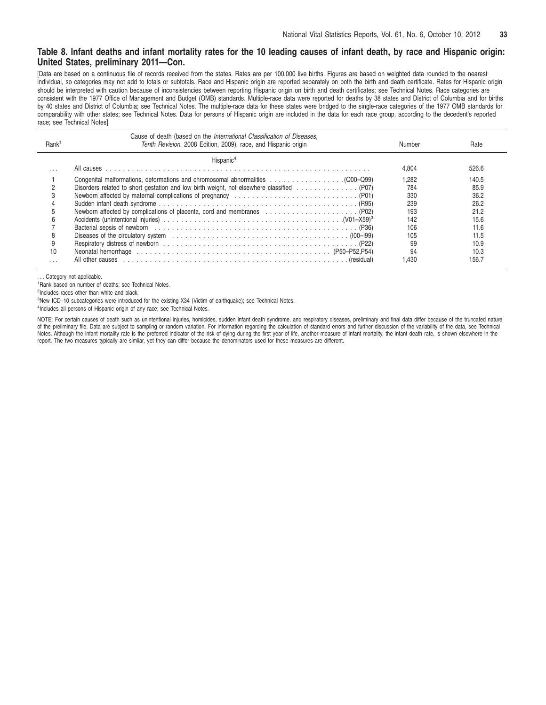#### Table 8. Infant deaths and infant mortality rates for the 10 leading causes of infant death, by race and Hispanic origin: **United States, preliminary 2011—Con.**

[Data are based on a continuous file of records received from the states. Rates are per 100,000 live births. Figures are based on weighted data rounded to the nearest individual, so categories may not add to totals or subtotals. Race and Hispanic origin are reported separately on both the birth and death certificate. Rates for Hispanic origin should be interpreted with caution because of inconsistencies between reporting Hispanic origin on birth and death certificates; see Technical Notes. Race categories are consistent with the 1977 Office of Management and Budget (OMB) standards. Multiple-race data were reported for deaths by 38 states and District of Columbia and for births by 40 states and District of Columbia; see Technical Notes. The multiple-race data for these states were bridged to the single-race categories of the 1977 OMB standards for comparability with other states; see Technical Notes. Data for persons of Hispanic origin are included in the data for each race group, according to the decedent's reported race; see Technical Notes]

| Rank     | Cause of death (based on the International Classification of Diseases,<br>Tenth Revision, 2008 Edition, 2009), race, and Hispanic origin                      | Number | Rate  |
|----------|---------------------------------------------------------------------------------------------------------------------------------------------------------------|--------|-------|
|          | Hispanic <sup>4</sup>                                                                                                                                         |        |       |
|          |                                                                                                                                                               | 4.804  | 526.6 |
|          |                                                                                                                                                               | 1.282  | 140.5 |
|          | Disorders related to short gestation and low birth weight, not elsewhere classified (P07)                                                                     | 784    | 85.9  |
|          |                                                                                                                                                               | 330    | 36.2  |
|          |                                                                                                                                                               | 239    | 26.2  |
|          |                                                                                                                                                               | 193    | 21.2  |
|          |                                                                                                                                                               | 142    | 15.6  |
|          |                                                                                                                                                               | 106    | 11.6  |
|          |                                                                                                                                                               | 105    | 11.5  |
|          |                                                                                                                                                               | 99     | 10.9  |
| 10       | Neonatal hemorrhage responses in the contract of the contract of the contract of the contract of the contract of the Neonatal District Contract (P50–P52,P54) | 94     | 10.3  |
| $\cdots$ |                                                                                                                                                               | .430   | 156.7 |

.. Category not applicable.

<sup>1</sup>Rank based on number of deaths; see Technical Notes.

2 Includes races other than white and black.

<sup>3</sup>New ICD–10 subcategories were introduced for the existing X34 (Victim of earthquake); see Technical Notes.

4Includes all persons of Hispanic origin of any race; see Technical Notes.

NOTE: For certain causes of death such as unintentional injuries, homicides, sudden infant death syndrome, and respiratory diseases, preliminary and final data differ because of the truncated nature of the preliminary file. Data are subject to sampling or random variation. For information regarding the calculation of standard errors and further discussion of the variability of the data, see Technical Notes. Although the infant mortality rate is the preferred indicator of the risk of dying during the first year of life, another measure of infant mortality, the infant death rate, is shown elsewhere in the report. The two measures typically are similar, yet they can differ because the denominators used for these measures are different.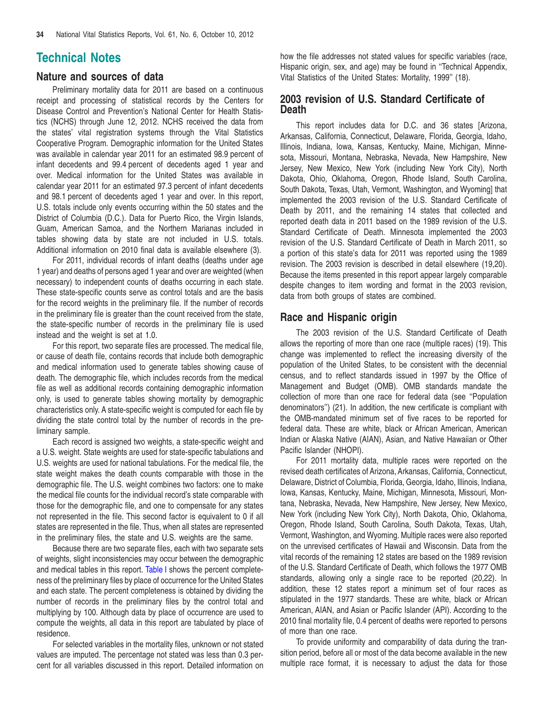## <span id="page-33-0"></span>**Technical Notes**

#### **Nature and sources of data**

Preliminary mortality data for 2011 are based on a continuous receipt and processing of statistical records by the Centers for Disease Control and Prevention's National Center for Health Statistics (NCHS) through June 12, 2012. NCHS received the data from the states' vital registration systems through the Vital Statistics Cooperative Program. Demographic information for the United States was available in calendar year 2011 for an estimated 98.9 percent of infant decedents and 99.4 percent of decedents aged 1 year and over. Medical information for the United States was available in calendar year 2011 for an estimated 97.3 percent of infant decedents and 98.1 percent of decedents aged 1 year and over. In this report, U.S. totals include only events occurring within the 50 states and the District of Columbia (D.C.). Data for Puerto Rico, the Virgin Islands, Guam, American Samoa, and the Northern Marianas included in tables showing data by state are not included in U.S. totals. Additional information on 2010 final data is available elsewhere (3).

For 2011, individual records of infant deaths (deaths under age 1 year) and deaths of persons aged 1 year and over are weighted (when necessary) to independent counts of deaths occurring in each state. These state-specific counts serve as control totals and are the basis for the record weights in the preliminary file. If the number of records in the preliminary file is greater than the count received from the state, the state-specific number of records in the preliminary file is used instead and the weight is set at 1.0.

For this report, two separate files are processed. The medical file, or cause of death file, contains records that include both demographic and medical information used to generate tables showing cause of death. The demographic file, which includes records from the medical file as well as additional records containing demographic information only, is used to generate tables showing mortality by demographic characteristics only. A state-specific weight is computed for each file by dividing the state control total by the number of records in the preliminary sample.

Each record is assigned two weights, a state-specific weight and a U.S. weight. State weights are used for state-specific tabulations and U.S. weights are used for national tabulations. For the medical file, the state weight makes the death counts comparable with those in the demographic file. The U.S. weight combines two factors: one to make the medical file counts for the individual record's state comparable with those for the demographic file, and one to compensate for any states not represented in the file. This second factor is equivalent to 0 if all states are represented in the file. Thus, when all states are represented in the preliminary files, the state and U.S. weights are the same.

Because there are two separate files, each with two separate sets of weights, slight inconsistencies may occur between the demographic and medical tables in this report. [Table](#page-34-0) I shows the percent completeness of the preliminary files by place of occurrence for the United States and each state. The percent completeness is obtained by dividing the number of records in the preliminary files by the control total and multiplying by 100. Although data by place of occurrence are used to compute the weights, all data in this report are tabulated by place of residence.

For selected variables in the mortality files, unknown or not stated values are imputed. The percentage not stated was less than 0.3 percent for all variables discussed in this report. Detailed information on how the file addresses not stated values for specific variables (race, Hispanic origin, sex, and age) may be found in ''Technical Appendix, Vital Statistics of the United States: Mortality, 1999'' (18).

#### **2003 revision of U.S. Standard Certificate of Death**

This report includes data for D.C. and 36 states [Arizona, Arkansas, California, Connecticut, Delaware, Florida, Georgia, Idaho, Illinois, Indiana, Iowa, Kansas, Kentucky, Maine, Michigan, Minnesota, Missouri, Montana, Nebraska, Nevada, New Hampshire, New Jersey, New Mexico, New York (including New York City), North Dakota, Ohio, Oklahoma, Oregon, Rhode Island, South Carolina, South Dakota, Texas, Utah, Vermont, Washington, and Wyoming] that implemented the 2003 revision of the U.S. Standard Certificate of Death by 2011, and the remaining 14 states that collected and reported death data in 2011 based on the 1989 revision of the U.S. Standard Certificate of Death. Minnesota implemented the 2003 revision of the U.S. Standard Certificate of Death in March 2011, so a portion of this state's data for 2011 was reported using the 1989 revision. The 2003 revision is described in detail elsewhere (19,20). Because the items presented in this report appear largely comparable despite changes to item wording and format in the 2003 revision, data from both groups of states are combined.

#### **Race and Hispanic origin**

The 2003 revision of the U.S. Standard Certificate of Death allows the reporting of more than one race (multiple races) (19). This change was implemented to reflect the increasing diversity of the population of the United States, to be consistent with the decennial census, and to reflect standards issued in 1997 by the Office of Management and Budget (OMB). OMB standards mandate the collection of more than one race for federal data (see ''Population denominators'') (21). In addition, the new certificate is compliant with the OMB-mandated minimum set of five races to be reported for federal data. These are white, black or African American, American Indian or Alaska Native (AIAN), Asian, and Native Hawaiian or Other Pacific Islander (NHOPI).

For 2011 mortality data, multiple races were reported on the revised death certificates of Arizona, Arkansas, California, Connecticut, Delaware, District of Columbia, Florida, Georgia, Idaho, Illinois, Indiana, Iowa, Kansas, Kentucky, Maine, Michigan, Minnesota, Missouri, Montana, Nebraska, Nevada, New Hampshire, New Jersey, New Mexico, New York (including New York City), North Dakota, Ohio, Oklahoma, Oregon, Rhode Island, South Carolina, South Dakota, Texas, Utah, Vermont, Washington, and Wyoming. Multiple races were also reported on the unrevised certificates of Hawaii and Wisconsin. Data from the vital records of the remaining 12 states are based on the 1989 revision of the U.S. Standard Certificate of Death, which follows the 1977 OMB standards, allowing only a single race to be reported (20,22). In addition, these 12 states report a minimum set of four races as stipulated in the 1977 standards. These are white, black or African American, AIAN, and Asian or Pacific Islander (API). According to the 2010 final mortality file, 0.4 percent of deaths were reported to persons of more than one race.

To provide uniformity and comparability of data during the transition period, before all or most of the data become available in the new multiple race format, it is necessary to adjust the data for those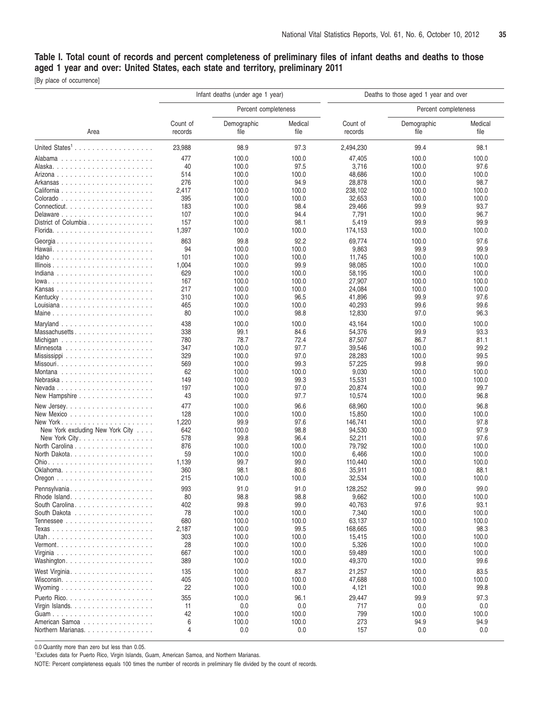#### <span id="page-34-0"></span>Table I. Total count of records and percent completeness of preliminary files of infant deaths and deaths to those **aged 1 year and over: United States, each state and territory, preliminary 2011**

[By place of occurrence]

|                                                             |                     | Infant deaths (under age 1 year) |                 |                     | Deaths to those aged 1 year and over |                 |  |
|-------------------------------------------------------------|---------------------|----------------------------------|-----------------|---------------------|--------------------------------------|-----------------|--|
|                                                             |                     | Percent completeness             |                 |                     | Percent completeness                 |                 |  |
| Area                                                        | Count of<br>records | Demographic<br>file              | Medical<br>file | Count of<br>records | Demographic<br>file                  | Medical<br>file |  |
|                                                             | 23,988              | 98.9                             | 97.3            | 2,494,230           | 99.4                                 | 98.1            |  |
|                                                             | 477                 | 100.0                            | 100.0           | 47,405              | 100.0                                | 100.0           |  |
|                                                             | 40                  | 100.0                            | 97.5            | 3,716               | 100.0                                | 97.6            |  |
|                                                             | 514                 | 100.0                            | 100.0           | 48,686              | 100.0                                | 100.0           |  |
|                                                             | 276                 | 100.0                            | 94.9            | 28,878              | 100.0                                | 98.7            |  |
| California                                                  | 2,417               | 100.0                            | 100.0           | 238,102             | 100.0                                | 100.0           |  |
|                                                             | 395                 | 100.0                            | 100.0           | 32,653              | 100.0                                | 100.0           |  |
|                                                             | 183                 | 100.0                            | 98.4            | 29,466              | 99.9                                 | 93.7            |  |
|                                                             | 107                 | 100.0                            | 94.4            | 7,791               | 100.0                                | 96.7            |  |
| District of Columbia                                        | 157<br>1,397        | 100.0                            | 98.1            | 5,419               | 99.9                                 | 99.9            |  |
|                                                             |                     | 100.0                            | 100.0           | 174,153             | 100.0                                | 100.0           |  |
| Georgia                                                     | 863                 | 99.8                             | 92.2            | 69,774              | 100.0                                | 97.6            |  |
|                                                             | 94                  | 100.0                            | 100.0           | 9,863               | 99.9                                 | 99.9            |  |
|                                                             | 101                 | 100.0                            | 100.0           | 11,745              | 100.0                                | 100.0           |  |
|                                                             | 1,004               | 100.0                            | 99.9            | 98,085              | 100.0                                | 100.0           |  |
|                                                             | 629                 | 100.0                            | 100.0           | 58,195              | 100.0                                | 100.0           |  |
|                                                             | 167<br>217          | 100.0                            | 100.0<br>100.0  | 27,907              | 100.0                                | 100.0           |  |
|                                                             |                     | 100.0                            | 96.5            | 24,084<br>41,896    | 100.0<br>99.9                        | 100.0<br>97.6   |  |
|                                                             | 310<br>465          | 100.0<br>100.0                   | 100.0           | 40,293              | 99.6                                 | 99.6            |  |
| Maine                                                       | 80                  | 100.0                            | 98.8            | 12,830              | 97.0                                 | 96.3            |  |
|                                                             |                     |                                  |                 |                     |                                      |                 |  |
|                                                             | 438                 | 100.0                            | 100.0           | 43,164              | 100.0                                | 100.0           |  |
| Massachusetts                                               | 338                 | 99.1                             | 84.6            | 54,376              | 99.9                                 | 93.3            |  |
|                                                             | 780                 | 78.7                             | 72.4            | 87,507              | 86.7                                 | 81.1            |  |
|                                                             | 347                 | 100.0                            | 97.7            | 39,546              | 100.0                                | 99.2            |  |
|                                                             | 329<br>569          | 100.0                            | 97.0<br>99.3    | 28,283<br>57,225    | 100.0<br>99.8                        | 99.5<br>99.0    |  |
|                                                             | 62                  | 100.0<br>100.0                   | 100.0           | 9,030               | 100.0                                | 100.0           |  |
| Nebraska                                                    | 149                 | 100.0                            | 99.3            | 15,531              | 100.0                                | 100.0           |  |
|                                                             | 197                 | 100.0                            | 97.0            | 20,874              | 100.0                                | 99.7            |  |
| New Hampshire $\ldots \ldots \ldots \ldots \ldots$          | 43                  | 100.0                            | 97.7            | 10,574              | 100.0                                | 96.8            |  |
|                                                             |                     |                                  |                 |                     |                                      |                 |  |
| New Jersey. $\ldots$ .                                      | 477<br>128          | 100.0                            | 96.6<br>100.0   | 68,960              | 100.0<br>100.0                       | 96.8            |  |
| New Mexico                                                  | 1,220               | 100.0<br>99.9                    | 97.6            | 15,850<br>146,741   | 100.0                                | 100.0<br>97.8   |  |
| New York excluding New York City                            | 642                 | 100.0                            | 98.8            | 94,530              | 100.0                                | 97.9            |  |
| New York City                                               | 578                 | 99.8                             | 96.4            | 52,211              | 100.0                                | 97.6            |  |
| North Carolina                                              | 876                 | 100.0                            | 100.0           | 79,792              | 100.0                                | 100.0           |  |
| North Dakota.                                               | 59                  | 100.0                            | 100.0           | 6,466               | 100.0                                | 100.0           |  |
|                                                             | 1,139               | 99.7                             | 99.0            | 110,440             | 100.0                                | 100.0           |  |
|                                                             | 360                 | 98.1                             | 80.6            | 35,911              | 100.0                                | 88.1            |  |
|                                                             | 215                 | 100.0                            | 100.0           | 32,534              | 100.0                                | 100.0           |  |
| Pennsylvania                                                | 993                 | 91.0                             | 91.0            | 128,252             | 99.0                                 | 99.0            |  |
|                                                             | 80                  | 98.8                             | 98.8            | 9,662               | 100.0                                | 100.0           |  |
| South Carolina.                                             | 402                 | 99.8                             | 99.0            | 40,763              | 97.6                                 | 93.1            |  |
| South Dakota                                                | 78                  | 100.0                            | 100.0           | 7,340               | 100.0                                | 100.0           |  |
|                                                             | 680                 | 100.0                            | 100.0           | 63,137              | 100.0                                | 100.0           |  |
|                                                             | 2,187               | 100.0                            | 99.5            | 168,665             | 100.0                                | 98.3            |  |
|                                                             | 303                 | 100.0                            | 100.0           | 15,415              | 100.0                                | 100.0           |  |
| $Vermont. \ldots \ldots \ldots \ldots \ldots \ldots \ldots$ | 28                  | 100.0                            | 100.0           | 5,326               | 100.0                                | 100.0           |  |
|                                                             | 667                 | 100.0                            | 100.0           | 59,489              | 100.0                                | 100.0           |  |
|                                                             | 389                 | 100.0                            | 100.0           | 49,370              | 100.0                                | 99.6            |  |
|                                                             | 135                 | 100.0                            | 83.7            | 21,257              | 100.0                                | 83.5            |  |
|                                                             | 405                 | 100.0                            | 100.0           | 47,688              | 100.0                                | 100.0           |  |
| Wyoming $\ldots \ldots \ldots \ldots \ldots \ldots \ldots$  | 22                  | 100.0                            | 100.0           | 4,121               | 100.0                                | 99.8            |  |
|                                                             | 355                 | 100.0                            | 96.1            | 29,447              | 99.9                                 | 97.3            |  |
| Virgin Islands. $\ldots \ldots \ldots \ldots \ldots$        | 11                  | 0.0                              | 0.0             | 717                 | 0.0                                  | 0.0             |  |
|                                                             | 42                  | 100.0                            | 100.0           | 799                 | 100.0                                | 100.0           |  |
| American Samoa                                              | 6                   | 100.0                            | 100.0           | 273                 | 94.9                                 | 94.9            |  |
| Northern Marianas.                                          | 4                   | 0.0                              | 0.0             | 157                 | 0.0                                  | 0.0             |  |
|                                                             |                     |                                  |                 |                     |                                      |                 |  |

0.0 Quantity more than zero but less than 0.05.

1 Excludes data for Puerto Rico, Virgin Islands, Guam, American Samoa, and Northern Marianas.

NOTE: Percent completeness equals 100 times the number of records in preliminary file divided by the count of records.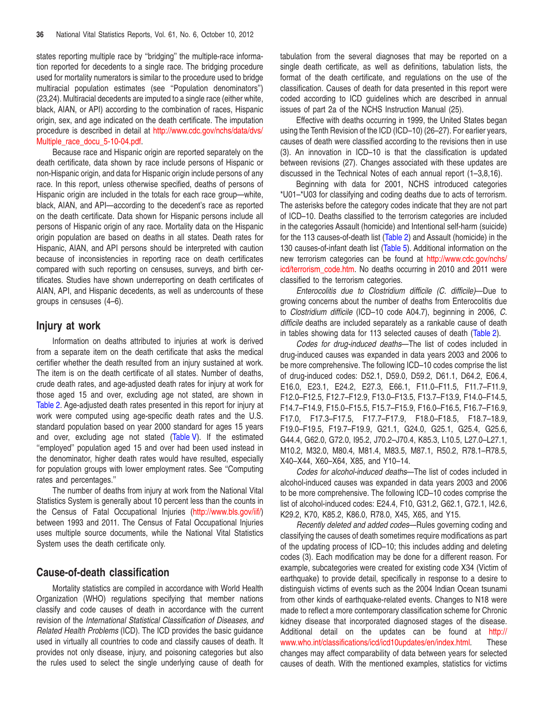states reporting multiple race by ''bridging'' the multiple-race information reported for decedents to a single race. The bridging procedure used for mortality numerators is similar to the procedure used to bridge multiracial population estimates (see ''Population denominators'') (23,24). Multiracial decedents are imputed to a single race (either white, black, AIAN, or API) according to the combination of races, Hispanic origin, sex, and age indicated on the death certificate. The imputation procedure is described in detail at [http://www.cdc.gov/nchs/data/dvs/](http://www.cdc.gov/nchs/data/dvs/Multiple_race_docu_5-10-04.pdf) Multiple\_race\_docu\_5-10-04.pdf.

Because race and Hispanic origin are reported separately on the death certificate, data shown by race include persons of Hispanic or non-Hispanic origin, and data for Hispanic origin include persons of any race. In this report, unless otherwise specified, deaths of persons of Hispanic origin are included in the totals for each race group—white, black, AIAN, and API—according to the decedent's race as reported on the death certificate. Data shown for Hispanic persons include all persons of Hispanic origin of any race. Mortality data on the Hispanic origin population are based on deaths in all states. Death rates for Hispanic, AIAN, and API persons should be interpreted with caution because of inconsistencies in reporting race on death certificates compared with such reporting on censuses, surveys, and birth certificates. Studies have shown underreporting on death certificates of AIAN, API, and Hispanic decedents, as well as undercounts of these groups in censuses (4–6).

#### **Injury at work**

Information on deaths attributed to injuries at work is derived from a separate item on the death certificate that asks the medical certifier whether the death resulted from an injury sustained at work. The item is on the death certificate of all states. Number of deaths, crude death rates, and age-adjusted death rates for injury at work for those aged 15 and over, excluding age not stated, are shown in Table 2. [Age-a](#page-15-0)djusted death rates presented in this report for injury at work were computed using age-specific death rates and the U.S. standard population based on year 2000 [standard](#page-47-0) for ages 15 years and over, excluding age not stated (Table V). If the estimated ''employed'' population aged 15 and over had been used instead in the denominator, higher death rates would have resulted, especially for population groups with lower employment rates. See ''Computing rates and percentages.''

The number of deaths from injury at work from the National Vital Statistics System is generally about 10 percent less than the counts in the Census of Fatal Occupational Injuries (http://www.bls.gov/iif/) between 1993 and 2011. The Census of Fatal Occupational Injuries uses multiple source documents, while the National Vital Statistics System uses the death certificate only.

#### **Cause-of-death classification**

Mortality statistics are compiled in accordance with World Health Organization (WHO) regulations specifying that member nations classify and code causes of death in accordance with the current revision of the International Statistical Classification of Diseases, and Related Health Problems (ICD). The ICD provides the basic guidance used in virtually all countries to code and classify causes of death. It provides not only disease, injury, and poisoning categories but also the rules used to select the single underlying cause of death for tabulation from the several diagnoses that may be reported on a single death certificate, as well as definitions, tabulation lists, the format of the death certificate, and regulations on the use of the classification. Causes of death for data presented in this report were coded according to ICD guidelines which are described in annual issues of part 2a of the NCHS Instruction Manual (25).

Effective with deaths occurring in 1999, the United States began using the Tenth Revision of the ICD (ICD–10) (26–27). For earlier years, causes of death were classified according to the revisions then in use (3). An innovation in ICD–10 is that the classification is updated between revisions (27). Changes associated with these updates are discussed in the Technical Notes of each annual report (1–3,8,16).

Beginning with data for 2001, NCHS introduced categories \*U01–\*U03 for classifying and coding deaths due to acts of terrorism. The asterisks before the category codes indicate that they are not part of ICD–10. Deaths classified to the terrorism categories are included in the categories Assault ([homicide\)](#page-15-0) and Intentional self-harm (suicide) for the 113 causes-of-death list (Table 2) and Assault (homicide) in the 130 causes-of-infant death list [\(Table](#page-21-0) 5). Additional information on the new terrorism categories can be found at http://www.cdc.gov/nchs/ [icd/terrorism\\_code.htm.](http://www.cdc.gov/nchs/icd/terrorism_code.htm) No deaths occurring in 2010 and 2011 were classified to the terrorism categories.

Enterocolitis due to Clostridium difficile (C. difficile)—Due to growing concerns about the number of deaths from Enterocolitis due to Clostridium difficile (ICD–10 code A04.7), beginning in 2006, C. difficile deaths are included separately as a rankable cause of death in tables showing data for 113 selected causes of death (Table 2).

Codes for drug-induced deaths—The list of codes [included](#page-15-0) in drug-induced causes was expanded in data years 2003 and 2006 to be more comprehensive. The following ICD–10 codes comprise the list of drug-induced codes: D52.1, D59.0, D59.2, D61.1, D64.2, E06.4, E16.0, E23.1, E24.2, E27.3, E66.1, F11.0–F11.5, F11.7–F11.9, F12.0–F12.5, F12.7–F12.9, F13.0–F13.5, F13.7–F13.9, F14.0–F14.5, F14.7–F14.9, F15.0–F15.5, F15.7–F15.9, F16.0–F16.5, F16.7–F16.9, F17.0, F17.3–F17.5, F17.7–F17.9, F18.0–F18.5, F18.7–18.9, F19.0–F19.5, F19.7–F19.9, G21.1, G24.0, G25.1, G25.4, G25.6, G44.4, G62.0, G72.0, I95.2, J70.2–J70.4, K85.3, L10.5, L27.0–L27.1, M10.2, M32.0, M80.4, M81.4, M83.5, M87.1, R50.2, R78.1–R78.5, X40–X44, X60–X64, X85, and Y10–14.

Codes for alcohol-induced deaths—The list of codes included in alcohol-induced causes was expanded in data years 2003 and 2006 to be more comprehensive. The following ICD–10 codes comprise the list of alcohol-induced codes: E24.4, F10, G31.2, G62.1, G72.1, I42.6, K29.2, K70, K85.2, K86.0, R78.0, X45, X65, and Y15.

Recently deleted and added codes—Rules governing coding and classifying the causes of death sometimes require modifications as part of the updating process of ICD–10; this includes adding and deleting codes (3). Each modification may be done for a different reason. For example, subcategories were created for existing code X34 (Victim of earthquake) to provide detail, specifically in response to a desire to distinguish victims of events such as the 2004 Indian Ocean tsunami from other kinds of earthquake-related events. Changes to N18 were made to reflect a more contemporary classification scheme for Chronic kidney disease that incorporated diagnosed stages of the disease. Additional detail on the updates can be found at http:// [www.who.int/classifications/icd/icd10updates/en/index.html.](http://www.who.int/classifications/icd/icd10updates/en/index.html) These changes may affect comparability of data between years for selected causes of death. With the mentioned examples, statistics for victims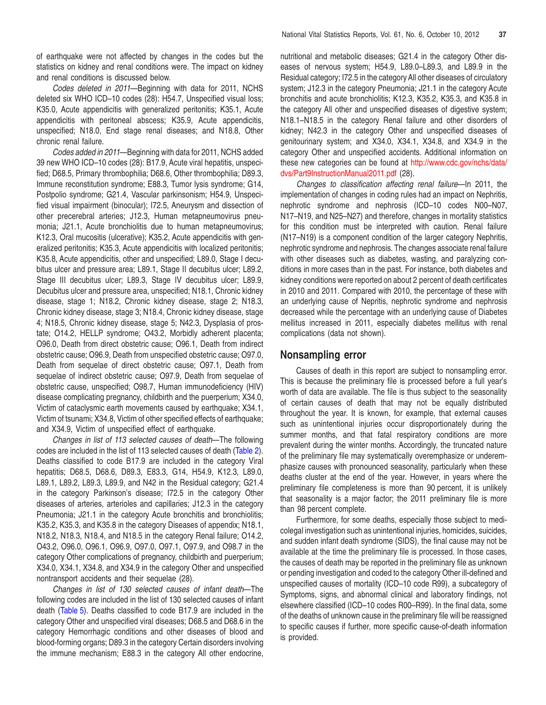of earthquake were not affected by changes in the codes but the statistics on kidney and renal conditions were. The impact on kidney and renal conditions is discussed below.

Codes deleted in 2011—Beginning with data for 2011, NCHS deleted six WHO ICD–10 codes (28): H54.7, Unspecified visual loss; K35.0, Acute appendicitis with generalized peritonitis; K35.1, Acute appendicitis with peritoneal abscess; K35.9, Acute appendicitis, unspecified; N18.0, End stage renal diseases; and N18.8, Other chronic renal failure.

Codes added in 2011—Beginning with data for 2011, NCHS added 39 new WHO ICD–10 codes (28): B17.9, Acute viral hepatitis, unspecified; D68.5, Primary thrombophilia; D68.6, Other thrombophilia; D89.3, Immune reconstitution syndrome; E88.3, Tumor lysis syndrome; G14, Postpolio syndrome; G21.4, Vascular parkinsonism; H54.9, Unspecified visual impairment (binocular); I72.5, Aneurysm and dissection of other precerebral arteries; J12.3, Human metapneumovirus pneumonia; J21.1, Acute bronchiolitis due to human metapneumovirus; K12.3, Oral mucositis (ulcerative); K35.2, Acute appendicitis with generalized peritonitis; K35.3, Acute appendicitis with localized peritonitis; K35.8, Acute appendicitis, other and unspecified; L89.0, Stage I decubitus ulcer and pressure area; L89.1, Stage II decubitus ulcer; L89.2, Stage III decubitus ulcer; L89.3, Stage IV decubitus ulcer; L89.9, Decubitus ulcer and pressure area, unspecified; N18.1, Chronic kidney disease, stage 1; N18.2, Chronic kidney disease, stage 2; N18.3, Chronic kidney disease, stage 3; N18.4, Chronic kidney disease, stage 4; N18.5, Chronic kidney disease, stage 5; N42.3, Dysplasia of prostate; O14.2, HELLP syndrome; O43.2, Morbidly adherent placenta; O96.0, Death from direct obstetric cause; O96.1, Death from indirect obstetric cause; O96.9, Death from unspecified obstetric cause; O97.0, Death from sequelae of direct obstetric cause; O97.1, Death from sequelae of indirect obstetric cause; O97.9, Death from sequelae of obstetric cause, unspecified; O98.7, Human immunodeficiency (HIV) disease complicating pregnancy, childbirth and the puerperium; X34.0, Victim of cataclysmic earth movements caused by earthquake; X34.1, Victim of tsunami; X34.8, Victim of other specified effects of earthquake; and X34.9, Victim of unspecified effect of earthquake.

Changes in list of 113 selected causes of death—The following codes are included in the list of 113 selected causes of death [\(Table](#page-15-0) 2). Deaths classified to code B17.9 are included in the category Viral hepatitis; D68.5, D68.6, D89.3, E83.3, G14, H54.9, K12.3, L89.0, L89.1, L89.2, L89.3, L89.9, and N42 in the Residual category; G21.4 in the category Parkinson's disease; I72.5 in the category Other diseases of arteries, arterioles and capillaries; J12.3 in the category Pneumonia; J21.1 in the category Acute bronchitis and bronchiolitis; K35.2, K35.3, and K35.8 in the category Diseases of appendix; N18.1, N18.2, N18.3, N18.4, and N18.5 in the category Renal failure; O14.2, O43.2, O96.0, O96.1, O96.9, O97.0, O97.1, O97.9, and O98.7 in the category Other complications of pregnancy, childbirth and puerperium; X34.0, X34.1, X34.8, and X34.9 in the category Other and unspecified nontransport accidents and their sequelae (28).

Changes in list of 130 selected causes of infant death—The following codes are included in the list of 130 selected causes of infant death [\(Table](#page-21-0) 5). Deaths classified to code B17.9 are included in the category Other and unspecified viral diseases; D68.5 and D68.6 in the category Hemorrhagic conditions and other diseases of blood and blood-forming organs; D89.3 in the category Certain disorders involving the immune mechanism; E88.3 in the category All other endocrine,

nutritional and metabolic diseases; G21.4 in the category Other diseases of nervous system; H54.9, L89.0–L89.3, and L89.9 in the Residual category; I72.5 in the category All other diseases of circulatory system; J12.3 in the category Pneumonia; J21.1 in the category Acute bronchitis and acute bronchiolitis; K12.3, K35.2, K35.3, and K35.8 in the category All other and unspecified diseases of digestive system; N18.1–N18.5 in the category Renal failure and other disorders of kidney; N42.3 in the category Other and unspecified diseases of genitourinary system; and X34.0, X34.1, X34.8, and X34.9 in the category Other and unspecified accidents. Additional information on these new categories can be found at http://www.cdc.gov/nchs/data/ [dvs/Part9InstructionManual2011.pdf](http://www.cdc.gov/nchs/data/dvs/Part9InstructionManual2011.pdf) (28).

Changes to classification affecting renal failure—In 2011, the implementation of changes in coding rules had an impact on Nephritis, nephrotic syndrome and nephrosis (ICD–10 codes N00–N07, N17–N19, and N25–N27) and therefore, changes in mortality statistics for this condition must be interpreted with caution. Renal failure (N17–N19) is a component condition of the larger category Nephritis, nephrotic syndrome and nephrosis. The changes associate renal failure with other diseases such as diabetes, wasting, and paralyzing conditions in more cases than in the past. For instance, both diabetes and kidney conditions were reported on about 2 percent of death certificates in 2010 and 2011. Compared with 2010, the percentage of these with an underlying cause of Nepritis, nephrotic syndrome and nephrosis decreased while the percentage with an underlying cause of Diabetes mellitus increased in 2011, especially diabetes mellitus with renal complications (data not shown).

#### **Nonsampling error**

Causes of death in this report are subject to nonsampling error. This is because the preliminary file is processed before a full year's worth of data are available. The file is thus subject to the seasonality of certain causes of death that may not be equally distributed throughout the year. It is known, for example, that external causes such as unintentional injuries occur disproportionately during the summer months, and that fatal respiratory conditions are more prevalent during the winter months. Accordingly, the truncated nature of the preliminary file may systematically overemphasize or underemphasize causes with pronounced seasonality, particularly when these deaths cluster at the end of the year. However, in years where the preliminary file completeness is more than 90 percent, it is unlikely that seasonality is a major factor; the 2011 preliminary file is more than 98 percent complete.

Furthermore, for some deaths, especially those subject to medicolegal investigation such as unintentional injuries, homicides, suicides, and sudden infant death syndrome (SIDS), the final cause may not be available at the time the preliminary file is processed. In those cases, the causes of death may be reported in the preliminary file as unknown or pending investigation and coded to the category Other ill-defined and unspecified causes of mortality (ICD–10 code R99), a subcategory of Symptoms, signs, and abnormal clinical and laboratory findings, not elsewhere classified (ICD–10 codes R00–R99). In the final data, some of the deaths of unknown cause in the preliminary file will be reassigned to specific causes if further, more specific cause-of-death information is provided.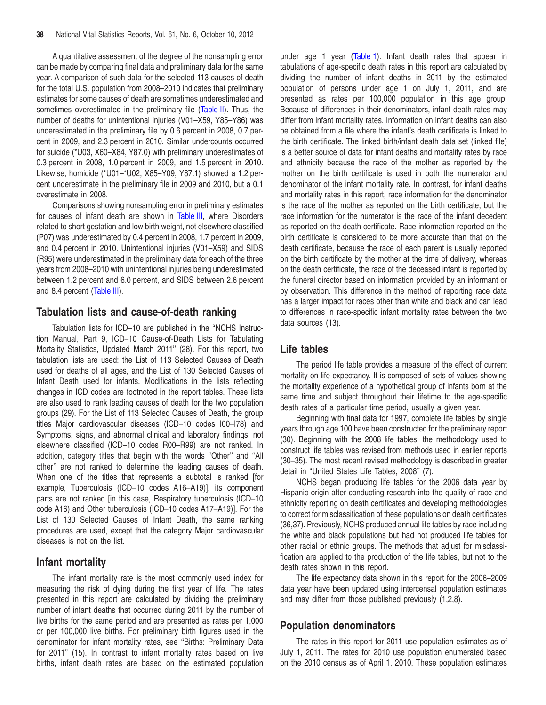A quantitative assessment of the degree of the nonsampling error can be made by comparing final data and preliminary data for the same year. A comparison of such data for the selected 113 causes of death for the total U.S. population from 2008–2010 indicates that preliminary estimates for some causes of death are sometimes underestimated and sometimes overestimated in the preliminary file (Table II). Thus, the number of deaths for unintentional injuries [\(V01–X59,](#page-38-0) Y85–Y86) was underestimated in the preliminary file by 0.6 percent in 2008, 0.7 percent in 2009, and 2.3 percent in 2010. Similar undercounts occurred for suicide (\*U03, X60–X84, Y87.0) with preliminary underestimates of 0.3 percent in 2008, 1.0 percent in 2009, and 1.5 percent in 2010. Likewise, homicide (\*U01–\*U02, X85–Y09, Y87.1) showed a 1.2 percent underestimate in the preliminary file in 2009 and 2010, but a 0.1 overestimate in 2008.

Comparisons showing nonsampling error in [preliminar](#page-42-0)y estimates for causes of infant death are shown in Table III, where Disorders related to short gestation and low birth weight, not elsewhere classified (P07) was underestimated by 0.4 percent in 2008, 1.7 percent in 2009, and 0.4 percent in 2010. Unintentional injuries (V01–X59) and SIDS (R95) were underestimated in the preliminary data for each of the three years from 2008–2010 with unintentional injuries being underestimated between 1.2 [percent](#page-42-0) and 6.0 percent, and SIDS between 2.6 percent and 8.4 percent (Table III).

#### **Tabulation lists and cause-of-death ranking**

Tabulation lists for ICD–10 are published in the ''NCHS Instruction Manual, Part 9, ICD–10 Cause-of-Death Lists for Tabulating Mortality Statistics, Updated March 2011'' (28). For this report, two tabulation lists are used: the List of 113 Selected Causes of Death used for deaths of all ages, and the List of 130 Selected Causes of Infant Death used for infants. Modifications in the lists reflecting changes in ICD codes are footnoted in the report tables. These lists are also used to rank leading causes of death for the two population groups (29). For the List of 113 Selected Causes of Death, the group titles Major cardiovascular diseases (ICD–10 codes I00–I78) and Symptoms, signs, and abnormal clinical and laboratory findings, not elsewhere classified (ICD–10 codes R00–R99) are not ranked. In addition, category titles that begin with the words ''Other'' and ''All other'' are not ranked to determine the leading causes of death. When one of the titles that represents a subtotal is ranked [for example, Tuberculosis (ICD–10 codes A16–A19)], its component parts are not ranked [in this case, Respiratory tuberculosis (ICD–10 code A16) and Other tuberculosis (ICD–10 codes A17–A19)]. For the List of 130 Selected Causes of Infant Death, the same ranking procedures are used, except that the category Major cardiovascular diseases is not on the list.

#### **Infant mortality**

The infant mortality rate is the most commonly used index for measuring the risk of dying during the first year of life. The rates presented in this report are calculated by dividing the preliminary number of infant deaths that occurred during 2011 by the number of live births for the same period and are presented as rates per 1,000 or per 100,000 live births. For preliminary birth figures used in the denominator for infant mortality rates, see ''Births: Preliminary Data for 2011'' (15). In contrast to infant mortality rates based on live births, infant death rates are based on the estimated population

under age 1 year [\(Table](#page-7-0) 1). Infant death rates that appear in tabulations of age-specific death rates in this report are calculated by dividing the number of infant deaths in 2011 by the estimated population of persons under age 1 on July 1, 2011, and are presented as rates per 100,000 population in this age group. Because of differences in their denominators, infant death rates may differ from infant mortality rates. Information on infant deaths can also be obtained from a file where the infant's death certificate is linked to the birth certificate. The linked birth/infant death data set (linked file) is a better source of data for infant deaths and mortality rates by race and ethnicity because the race of the mother as reported by the mother on the birth certificate is used in both the numerator and denominator of the infant mortality rate. In contrast, for infant deaths and mortality rates in this report, race information for the denominator is the race of the mother as reported on the birth certificate, but the race information for the numerator is the race of the infant decedent as reported on the death certificate. Race information reported on the birth certificate is considered to be more accurate than that on the death certificate, because the race of each parent is usually reported on the birth certificate by the mother at the time of delivery, whereas on the death certificate, the race of the deceased infant is reported by the funeral director based on information provided by an informant or by observation. This difference in the method of reporting race data has a larger impact for races other than white and black and can lead to differences in race-specific infant mortality rates between the two data sources (13).

#### **Life tables**

The period life table provides a measure of the effect of current mortality on life expectancy. It is composed of sets of values showing the mortality experience of a hypothetical group of infants born at the same time and subject throughout their lifetime to the age-specific death rates of a particular time period, usually a given year.

Beginning with final data for 1997, complete life tables by single years through age 100 have been constructed for the preliminary report (30). Beginning with the 2008 life tables, the methodology used to construct life tables was revised from methods used in earlier reports (30–35). The most recent revised methodology is described in greater detail in ''United States Life Tables, 2008'' (7).

NCHS began producing life tables for the 2006 data year by Hispanic origin after conducting research into the quality of race and ethnicity reporting on death certificates and developing methodologies to correct for misclassification of these populations on death certificates (36,37). Previously, NCHS produced annual life tables by race including the white and black populations but had not produced life tables for other racial or ethnic groups. The methods that adjust for misclassification are applied to the production of the life tables, but not to the death rates shown in this report.

The life expectancy data shown in this report for the 2006–2009 data year have been updated using intercensal population estimates and may differ from those published previously (1,2,8).

#### **Population denominators**

The rates in this report for 2011 use population estimates as of July 1, 2011. The rates for 2010 use population enumerated based on the 2010 census as of April 1, 2010. These population estimates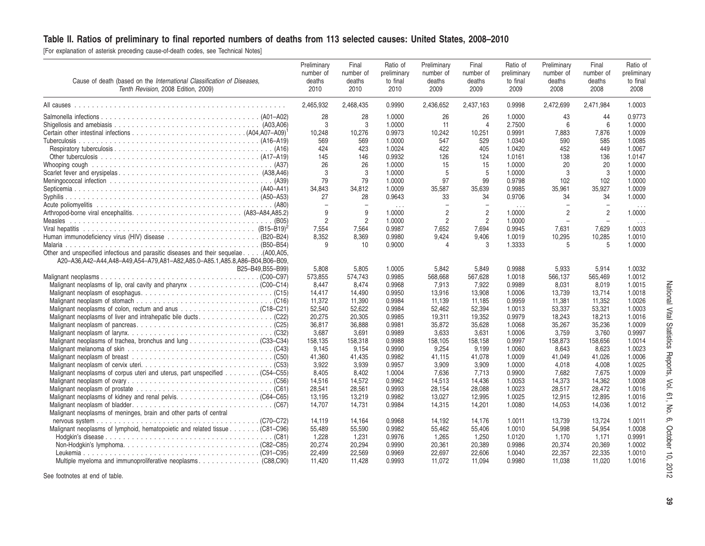#### <span id="page-38-0"></span>Table II. Ratios of preliminary to final reported numbers of deaths from 113 selected causes: United States, 2008–2010

[For explanation of asterisk preceding cause-of-death codes, see Technical Notes]

| Cause of death (based on the International Classification of Diseases,<br>Tenth Revision, 2008 Edition, 2009) | Preliminary<br>number of<br>deaths<br>2010 | Final<br>number of<br>deaths<br>2010 | Ratio of<br>preliminary<br>to final<br>2010 | Preliminary<br>number of<br>deaths<br>2009 | Final<br>number of<br>deaths<br>2009 | Ratio of<br>preliminary<br>to final<br>2009 | Preliminary<br>number of<br>deaths<br>2008 | Final<br>number of<br>deaths<br>2008 | Ratio of<br>preliminary<br>to final<br>2008 |
|---------------------------------------------------------------------------------------------------------------|--------------------------------------------|--------------------------------------|---------------------------------------------|--------------------------------------------|--------------------------------------|---------------------------------------------|--------------------------------------------|--------------------------------------|---------------------------------------------|
|                                                                                                               | 2,465,932                                  | 2,468,435                            | 0.9990                                      | 2,436,652                                  | 2,437,163                            | 0.9998                                      | 2,472,699                                  | 2,471,984                            | 1.0003                                      |
|                                                                                                               | 28                                         | 28                                   | 1.0000                                      | 26                                         | 26                                   | 1.0000                                      | 43                                         | 44                                   | 0.9773                                      |
|                                                                                                               | 3                                          | 3                                    | 1.0000                                      | 11                                         | $\overline{4}$                       | 2.7500                                      | 6                                          | 6                                    | 1.0000                                      |
|                                                                                                               | 10.248                                     | 10,276                               | 0.9973                                      | 10.242                                     | 10,251                               | 0.9991                                      | 7.883                                      | 7,876                                | 1.0009                                      |
|                                                                                                               | 569                                        | 569                                  | 1.0000                                      | 547                                        | 529                                  | 1.0340                                      | 590                                        | 585                                  | 1.0085                                      |
|                                                                                                               | 424                                        | 423                                  | 1.0024                                      | 422                                        | 405                                  | 1.0420                                      | 452                                        | 449                                  | 1.0067                                      |
|                                                                                                               | 145                                        | 146                                  | 0.9932                                      | 126                                        | 124                                  | 1.0161                                      | 138                                        | 136                                  | 1.0147                                      |
|                                                                                                               | 26                                         | 26                                   | 1.0000                                      | 15                                         | 15                                   | 1.0000                                      | 20                                         | 20                                   | 1.0000                                      |
|                                                                                                               | 3<br>79                                    | 3<br>79                              | 1.0000<br>1.0000                            | 5<br>97                                    | 5<br>99                              | 1.0000<br>0.9798                            | 3<br>102                                   | 3<br>102                             | 1.0000<br>1.0000                            |
|                                                                                                               | 34,843                                     | 34,812                               | 1.0009                                      | 35,587                                     | 35,639                               | 0.9985                                      | 35,961                                     | 35,927                               | 1.0009                                      |
|                                                                                                               | 27                                         | 28                                   | 0.9643                                      | 33                                         | 34                                   | 0.9706                                      | 34                                         | 34                                   | 1.0000                                      |
|                                                                                                               | $\overline{a}$                             | $\overline{\phantom{a}}$             | $\ldots$                                    | $\overline{\phantom{0}}$                   |                                      | $\sim$ $\sim$ $\sim$                        |                                            | $\overline{\phantom{m}}$             |                                             |
|                                                                                                               | 9                                          | 9                                    | 1.0000                                      | $\overline{2}$                             | $\overline{2}$                       | 1.0000                                      | 2                                          | $\overline{2}$                       | $\cdots$<br>1.0000                          |
|                                                                                                               | $\mathfrak{p}$                             | $\overline{2}$                       | 1.0000                                      | $\overline{2}$                             | $\overline{2}$                       | 1.0000                                      |                                            | $\overline{\phantom{0}}$             | $\ldots$                                    |
|                                                                                                               | 7,554                                      | 7,564                                | 0.9987                                      | 7,652                                      | 7,694                                | 0.9945                                      | 7,631                                      | 7,629                                | 1.0003                                      |
|                                                                                                               | 8,352                                      | 8,369                                | 0.9980                                      | 9,424                                      | 9,406                                | 1.0019                                      | 10,295                                     | 10,285                               | 1.0010                                      |
|                                                                                                               | 9                                          | 10                                   | 0.9000                                      | $\overline{4}$                             | 3                                    | 1.3333                                      | 5                                          | 5                                    | 1.0000                                      |
| A20-A36,A42-A44,A48-A49,A54-A79,A81-A82,A85.0-A85.1,A85.8,A86-B04,B06-B09,                                    |                                            |                                      |                                             |                                            |                                      |                                             |                                            |                                      |                                             |
| B25-B49.B55-B99)                                                                                              | 5.808                                      | 5,805                                | 1.0005                                      | 5.842                                      | 5.849                                | 0.9988                                      | 5,933                                      | 5,914                                | 1.0032                                      |
|                                                                                                               | 573,855                                    | 574,743                              | 0.9985                                      | 568.668                                    | 567,628                              | 1.0018                                      | 566,137                                    | 565,469                              | 1.0012                                      |
| Malignant neoplasms of lip, oral cavity and pharynx (C00-C14)                                                 | 8.447                                      | 8.474                                | 0.9968                                      | 7.913                                      | 7.922                                | 0.9989                                      | 8.031                                      | 8,019                                | 1.0015                                      |
|                                                                                                               | 14.417                                     | 14.490                               | 0.9950                                      | 13.916                                     | 13.908                               | 1.0006                                      | 13.739                                     | 13.714                               | 1.0018                                      |
|                                                                                                               | 11,372                                     | 11,390                               | 0.9984                                      | 11,139                                     | 11,185                               | 0.9959                                      | 11,381                                     | 11,352                               | 1.0026                                      |
|                                                                                                               | 52.540                                     | 52.622                               | 0.9984                                      | 52.462                                     | 52.394                               | 1.0013                                      | 53,337                                     | 53,321                               | 1.0003                                      |
|                                                                                                               | 20,275                                     | 20,305                               | 0.9985                                      | 19,311                                     | 19,352                               | 0.9979                                      | 18,243                                     | 18,213                               | 1.0016                                      |
|                                                                                                               | 36,817<br>3.687                            | 36,888<br>3.691                      | 0.9981<br>0.9989                            | 35,872<br>3.633                            | 35,628<br>3.631                      | 1.0068<br>1.0006                            | 35,267<br>3.759                            | 35,236<br>3.760                      | 1.0009<br>0.9997                            |
| Malignant neoplasms of trachea, bronchus and lung (C33-C34)                                                   | 158.135                                    | 158,318                              | 0.9988                                      | 158,105                                    | 158,158                              | 0.9997                                      | 158,873                                    | 158,656                              | 1.0014                                      |
|                                                                                                               | 9.145                                      | 9,154                                | 0.9990                                      | 9.254                                      | 9.199                                | 1.0060                                      | 8.643                                      | 8.623                                | 1.0023                                      |
|                                                                                                               | 41.360                                     | 41.435                               | 0.9982                                      | 41.115                                     | 41.078                               | 1.0009                                      | 41.049                                     | 41.026                               | 1.0006                                      |
|                                                                                                               | 3.922                                      | 3.939                                | 0.9957                                      | 3.909                                      | 3.909                                | 1.0000                                      | 4.018                                      | 4.008                                | 1.0025                                      |
| Malignant neoplasms of corpus uteri and uterus, part unspecified (C54–C55)                                    | 8.405                                      | 8.402                                | 1.0004                                      | 7.636                                      | 7.713                                | 0.9900                                      | 7.682                                      | 7.675                                | 1.0009                                      |
|                                                                                                               | 14,516                                     | 14,572                               | 0.9962                                      | 14,513                                     | 14,436                               | 1.0053                                      | 14,373                                     | 14,362                               | 1.0008                                      |
|                                                                                                               | 28,541                                     | 28,561                               | 0.9993                                      | 28.154                                     | 28.088                               | 1.0023                                      | 28,517                                     | 28,472                               | 1.0016                                      |
|                                                                                                               | 13,195                                     | 13,219                               | 0.9982                                      | 13,027                                     | 12,995                               | 1.0025                                      | 12,915                                     | 12,895                               | 1.0016                                      |
|                                                                                                               | 14,707                                     | 14,731                               | 0.9984                                      | 14,315                                     | 14,201                               | 1.0080                                      | 14,053                                     | 14,036                               | 1.0012                                      |
| Malignant neoplasms of meninges, brain and other parts of central                                             |                                            |                                      |                                             |                                            |                                      |                                             |                                            |                                      |                                             |
|                                                                                                               | 14.119                                     | 14.164                               | 0.9968                                      | 14.192                                     | 14.176                               | 1.0011                                      | 13.739                                     | 13.724                               | 1.0011                                      |
| Malignant neoplasms of lymphoid, hematopoietic and related tissue (C81–C96)                                   | 55.489                                     | 55,590                               | 0.9982                                      | 55,462                                     | 55,406                               | 1.0010                                      | 54,998                                     | 54,954                               | 1.0008                                      |
|                                                                                                               | 1.228                                      | 1,231                                | 0.9976                                      | 1.265                                      | 1,250                                | 1.0120                                      | 1.170                                      | 1,171                                | 0.9991                                      |
|                                                                                                               | 20,274                                     | 20,294                               | 0.9990                                      | 20,361                                     | 20,389                               | 0.9986                                      | 20,374                                     | 20,369                               | 1.0002                                      |
|                                                                                                               | 22,499<br>11.420                           | 22,569<br>11.428                     | 0.9969<br>0.9993                            | 22,697<br>11.072                           | 22,606<br>11.094                     | 1.0040<br>0.9980                            | 22,357<br>11.038                           | 22,335<br>11.020                     | 1.0010<br>1.0016                            |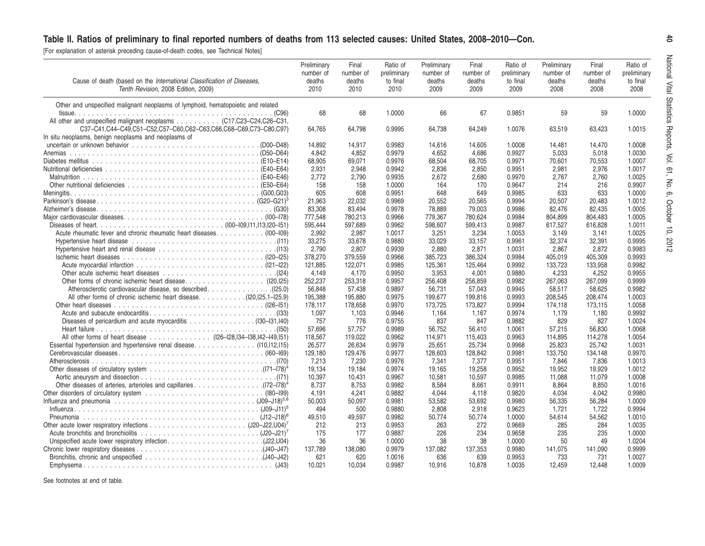## Table II. Ratios of preliminary to final reported numbers of deaths from 113 selected causes: United States, 2008-2010-Con.

[For explanation of asterisk preceding cause-of-death codes, see Technical Notes]

| Cause of death (based on the International Classification of Diseases,<br>Tenth Revision, 2008 Edition, 2009) | Preliminary<br>number of<br>deaths<br>2010 | Final<br>number of<br>deaths<br>2010 | Ratio of<br>preliminary<br>to final<br>2010 | Preliminary<br>number of<br>deaths<br>2009 | Final<br>number of<br>deaths<br>2009 | Ratio of<br>preliminary<br>to final<br>2009 | Preliminary<br>number of<br>deaths<br>2008 | Final<br>number of<br>deaths<br>2008 | Ratio of<br>preliminary<br>to final<br>2008 |
|---------------------------------------------------------------------------------------------------------------|--------------------------------------------|--------------------------------------|---------------------------------------------|--------------------------------------------|--------------------------------------|---------------------------------------------|--------------------------------------------|--------------------------------------|---------------------------------------------|
| Other and unspecified malignant neoplasms of lymphoid, hematopoietic and related                              |                                            |                                      |                                             |                                            |                                      |                                             |                                            |                                      |                                             |
|                                                                                                               | 68                                         | 68                                   | 1.0000                                      | 66                                         | 67                                   | 0.9851                                      | 59                                         | 59                                   | 1.0000                                      |
| All other and unspecified malignant neoplasms (C17,C23–C24,C26–C31,                                           |                                            |                                      |                                             |                                            |                                      |                                             |                                            |                                      |                                             |
| C37-C41.C44-C49.C51-C52.C57-C60.C62-C63.C66.C68-C69.C73-C80.C97)                                              | 64.765                                     | 64,798                               | 0.9995                                      | 64,738                                     | 64.249                               | 1.0076                                      | 63.519                                     | 63,423                               | 1.0015                                      |
| In situ neoplasms, benign neoplasms and neoplasms of                                                          |                                            |                                      |                                             |                                            |                                      |                                             |                                            |                                      |                                             |
|                                                                                                               | 14.892                                     | 14,917                               | 0.9983                                      | 14,616                                     | 14,605                               | 1.0008                                      | 14,481                                     | 14,470                               | 1.0008                                      |
|                                                                                                               | 4.842                                      | 4.852                                | 0.9979                                      | 4.652                                      | 4.686                                | 0.9927                                      | 5,033                                      | 5,018                                | 1.0030                                      |
|                                                                                                               | 68,905                                     | 69,071                               | 0.9976                                      | 68,504                                     | 68,705                               | 0.9971                                      | 70,601                                     | 70,553                               | 1.0007                                      |
|                                                                                                               | 2,931                                      | 2,948                                | 0.9942                                      | 2.836                                      | 2,850                                | 0.9951                                      | 2,981                                      | 2,976                                | 1.0017                                      |
|                                                                                                               | 2,772                                      | 2,790                                | 0.9935                                      | 2,672                                      | 2,680                                | 0.9970                                      | 2,767                                      | 2,760                                | 1.0025                                      |
|                                                                                                               | 158                                        | 158                                  | 1.0000                                      | 164                                        | 170                                  | 0.9647                                      | 214                                        | 216                                  | 0.9907                                      |
| Meningitis                                                                                                    | 605                                        | 608                                  | 0.9951                                      | 648                                        | 649                                  | 0.9985                                      | 633                                        | 633                                  | 1.0000                                      |
|                                                                                                               | 21.963                                     | 22.032                               | 0.9969                                      | 20,552                                     | 20.565                               | 0.9994                                      | 20.507                                     | 20.483                               | 1.0012                                      |
|                                                                                                               | 83,308                                     | 83,494                               | 0.9978                                      | 78,889                                     | 79,003                               | 0.9986                                      | 82,476                                     | 82,435                               | 1.0005                                      |
|                                                                                                               | 777.548                                    | 780.213                              | 0.9966                                      | 779.367                                    | 780.624                              | 0.9984                                      | 804.899                                    | 804.483                              | 1.0005                                      |
|                                                                                                               | 595,444                                    | 597,689                              | 0.9962                                      | 598,607                                    | 599,413                              | 0.9987                                      | 617,527                                    | 616,828                              | 1.0011                                      |
| Acute rheumatic fever and chronic rheumatic heart diseases. (I00-I09)                                         | 2,992                                      | 2,987                                | 1.0017                                      | 3,251                                      | 3,234                                | 1.0053                                      | 3,149                                      | 3,141                                | 1.0025                                      |
|                                                                                                               | 33,275                                     | 33,678                               | 0.9880                                      | 33,029                                     | 33,157                               | 0.9961                                      | 32,374                                     | 32,391                               | 0.9995                                      |
| Hypertensive heart and renal disease $\ldots \ldots \ldots \ldots \ldots \ldots \ldots \ldots \ldots$ (113)   | 2,790                                      | 2,807                                | 0.9939                                      | 2,880                                      | 2,871                                | 1.0031                                      | 2,867                                      | 2,872                                | 0.9983                                      |
|                                                                                                               | 378,270                                    | 379,559                              | 0.9966                                      | 385,723                                    | 386,324                              | 0.9984                                      | 405,019                                    | 405.309                              | 0.9993                                      |
|                                                                                                               | 121.885                                    | 122,071                              | 0.9985                                      | 125,361                                    | 125,464                              | 0.9992                                      | 133,723                                    | 133,958                              | 0.9982                                      |
|                                                                                                               | 4.149                                      | 4.170                                | 0.9950                                      | 3.953                                      | 4,001                                | 0.9880                                      | 4,233                                      | 4,252                                | 0.9955                                      |
|                                                                                                               | 252,237                                    | 253,318                              | 0.9957                                      | 256,408                                    | 256,859                              | 0.9982                                      | 267,063                                    | 267,099                              | 0.9999                                      |
|                                                                                                               | 56.848<br>195,388                          | 57.438                               | 0.9897<br>0.9975                            | 56,731<br>199,677                          | 57.043<br>199,816                    | 0.9945<br>0.9993                            | 58.517<br>208,545                          | 58.625<br>208,474                    | 0.9982<br>1.0003                            |
|                                                                                                               | 178.117                                    | 195,880<br>178.658                   | 0.9970                                      | 173,725                                    | 173.827                              | 0.9994                                      | 174.118                                    | 173.115                              | 1.0058                                      |
|                                                                                                               | 1.097                                      | 1.103                                | 0.9946                                      | 1,164                                      | 1.167                                | 0.9974                                      | 1.179                                      | 1,180                                | 0.9992                                      |
| Diseases of pericardium and acute myocarditis (130-131,140)                                                   | 757                                        | 776                                  | 0.9755                                      | 837                                        | 847                                  | 0.9882                                      | 829                                        | 827                                  | 1.0024                                      |
|                                                                                                               | 57.696                                     | 57,757                               | 0.9989                                      | 56,752                                     | 56,410                               | 1.0061                                      | 57,215                                     | 56,830                               | 1.0068                                      |
| All other forms of heart disease (126–128,134–138,142–149,151)                                                | 118,567                                    | 119,022                              | 0.9962                                      | 114,971                                    | 115,403                              | 0.9963                                      | 114,895                                    | 114,278                              | 1.0054                                      |
| Essential hypertension and hypertensive renal disease. (110, 112, 115)                                        | 26,577                                     | 26,634                               | 0.9979                                      | 25,651                                     | 25,734                               | 0.9968                                      | 25,823                                     | 25,742                               | 1.0031                                      |
|                                                                                                               | 129,180                                    | 129,476                              | 0.9977                                      | 128,603                                    | 128,842                              | 0.9981                                      | 133,750                                    | 134,148                              | 0.9970                                      |
|                                                                                                               | 7.213                                      | 7.230                                | 0.9976                                      | 7,341                                      | 7.377                                | 0.9951                                      | 7.846                                      | 7,836                                | 1.0013                                      |
|                                                                                                               | 19.134                                     | 19,184                               | 0.9974                                      | 19,165                                     | 19,258                               | 0.9952                                      | 19,952                                     | 19,929                               | 1.0012                                      |
|                                                                                                               | 10.397                                     | 10.431                               | 0.9967                                      | 10.581                                     | 10.597                               | 0.9985                                      | 11.088                                     | 11.079                               | 1.0008                                      |
|                                                                                                               | 8,737                                      | 8,753                                | 0.9982                                      | 8,584                                      | 8,661                                | 0.9911                                      | 8,864                                      | 8,850                                | 1.0016                                      |
|                                                                                                               | 4.191                                      | 4,241                                | 0.9882                                      | 4.044                                      | 4.118                                | 0.9820                                      | 4,034                                      | 4,042                                | 0.9980                                      |
|                                                                                                               | 50,003                                     | 50,097                               | 0.9981                                      | 53,582                                     | 53,692                               | 0.9980                                      | 56,335                                     | 56,284                               | 1.0009                                      |
| $Influenza$                                                                                                   | 494                                        | 500                                  | 0.9880                                      | 2,808                                      | 2,918                                | 0.9623                                      | 1,721                                      | 1,722                                | 0.9994                                      |
|                                                                                                               | 49,510                                     | 49,597                               | 0.9982                                      | 50,774                                     | 50,774                               | 1.0000                                      | 54,614                                     | 54,562                               | 1.0010                                      |
|                                                                                                               | 212                                        | 213                                  | 0.9953                                      | 263                                        | 272                                  | 0.9669                                      | 285                                        | 284                                  | 1.0035                                      |
|                                                                                                               | 175                                        | 177                                  | 0.9887                                      | 226                                        | 234                                  | 0.9658                                      | 235                                        | 235                                  | 1.0000                                      |
|                                                                                                               | 36                                         | 36                                   | 1.0000                                      | 38                                         | 38                                   | 1.0000                                      | 50                                         | 49                                   | 1.0204                                      |
|                                                                                                               | 137,789                                    | 138,080                              | 0.9979                                      | 137,082                                    | 137,353                              | 0.9980                                      | 141,075                                    | 141,090                              | 0.9999                                      |
|                                                                                                               | 621                                        | 620                                  | 1.0016                                      | 636                                        | 639                                  | 0.9953                                      | 733                                        | 731                                  | 1.0027                                      |
|                                                                                                               | 10.021                                     | 10.034                               | 0.9987                                      | 10.916                                     | 10.878                               | 1.0035                                      | 12.459                                     | 12.448                               | 1.0009                                      |

See footnotes at end of table.

2012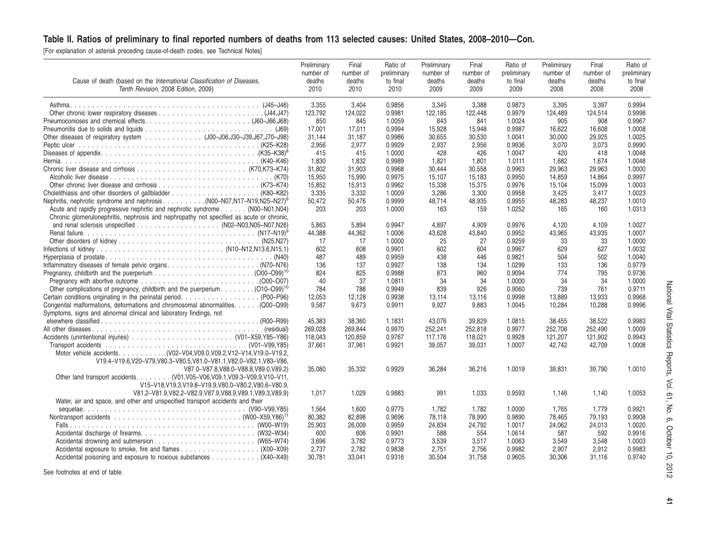## Table II. Ratios of preliminary to final reported numbers of deaths from 113 selected causes: United States, 2008-2010-Con.

[For explanation of asterisk preceding cause-of-death codes, see Technical Notes]

|                                                                                                                        | Preliminary   | Final         | Ratio of         | Preliminary   | Final         | Ratio of         | Preliminary   | Final         | Ratio of         |
|------------------------------------------------------------------------------------------------------------------------|---------------|---------------|------------------|---------------|---------------|------------------|---------------|---------------|------------------|
|                                                                                                                        | number of     | number of     | preliminary      | number of     | number of     | preliminary      | number of     | number of     | preliminary      |
| Cause of death (based on the International Classification of Diseases,                                                 | deaths        | deaths        | to final         | deaths        | deaths        | to final         | deaths        | deaths        | to final         |
| Tenth Revision, 2008 Edition, 2009)                                                                                    | 2010          | 2010          | 2010             | 2009          | 2009          | 2009             | 2008          | 2008          | 2008             |
|                                                                                                                        | 3,355         | 3,404         | 0.9856           | 3,345         | 3,388         | 0.9873           | 3,395         | 3,397         | 0.9994           |
|                                                                                                                        | 123,792       | 124,022       | 0.9981           | 122,185       | 122,448       | 0.9979           | 124,489       | 124,514       | 0.9998           |
|                                                                                                                        | 850           | 845           | 1.0059           | 843           | 841           | 1.0024           | 905           | 908           | 0.9967           |
|                                                                                                                        | 17.001        | 17.011        | 0.9994           | 15,928        | 15,948        | 0.9987           | 16,622        | 16,608        | 1.0008           |
| Other diseases of respiratory system (J00-J06,J30-J39,J67,J70-J98)                                                     | 31.144        | 31.187        | 0.9986           | 30.655        | 30.530        | 1.0041           | 30.000        | 29.925        | 1.0025           |
|                                                                                                                        | 2,956         | 2,977         | 0.9929           | 2,937         | 2,956         | 0.9936           | 3,070         | 3,073         | 0.9990           |
|                                                                                                                        | 415           | 415           | 1.0000           | 428           | 426           | 1.0047           | 420           | 418           | 1.0048           |
|                                                                                                                        | 1.830         | 1,832         | 0.9989           | 1.821         | 1,801         | 1.0111           | 1.682         | 1.674         | 1.0048           |
|                                                                                                                        | 31.802        | 31.903        | 0.9968           | 30.444        | 30.558        | 0.9963           | 29,963        | 29.963        | 1.0000           |
|                                                                                                                        | 15.950        | 15.990        | 0.9975           | 15.107        | 15.183        | 0.9950           | 14.859        | 14.864        | 0.9997           |
|                                                                                                                        | 15,852        | 15,913        | 0.9962           | 15,338        | 15,375        | 0.9976           | 15,104        | 15,099        | 1.0003           |
|                                                                                                                        | 3.335         | 3.332         | 1.0009           | 3.286         | 3,300         | 0.9958           | 3,425         | 3.417         | 1.0023           |
| Acute and rapidly progressive nephritic and nephrotic syndrome (N00-N01, N04)                                          | 50.472<br>203 | 50,476<br>203 | 0.9999<br>1.0000 | 48.714<br>163 | 48,935<br>159 | 0.9955<br>1.0252 | 48,283<br>165 | 48.237<br>160 | 1.0010<br>1.0313 |
| Chronic glomerulonephritis, nephrosis and nephropathy not specified as acute or chronic.                               |               |               |                  |               |               |                  |               |               |                  |
|                                                                                                                        | 5,863         | 5,894         | 0.9947           | 4,897         | 4,909         | 0.9976           | 4,120         | 4,109         | 1.0027           |
|                                                                                                                        | 44,388        | 44,362        | 1.0006           | 43,628        | 43,840        | 0.9952           | 43,965        | 43,935        | 1.0007           |
|                                                                                                                        | 17            | 17            | 1.0000           | 25            | 27            | 0.9259           | 33            | 33            | 1.0000           |
|                                                                                                                        | 602           | 608           | 0.9901           | 602           | 604           | 0.9967           | 629           | 627           | 1.0032           |
|                                                                                                                        | 487           | 489           | 0.9959           | 438           | 446           | 0.9821           | 504           | 502           | 1.0040           |
|                                                                                                                        | 136           | 137           | 0.9927           | 138           | 134           | 1.0299           | 133           | 136           | 0.9779           |
|                                                                                                                        | 824           | 825           | 0.9988           | 873           | 960           | 0.9094           | 774           | 795           | 0.9736           |
|                                                                                                                        | 40            | 37            | 1.0811           | 34            | 34            | 1.0000           | 34            | 34            | 1.0000           |
| Other complications of pregnancy, childbirth and the puerperium 010–099) <sup>10</sup>                                 | 784           | 788           | 0.9949           | 839           | 926           | 0.9060           | 739           | 761           | 0.9711           |
|                                                                                                                        | 12.053        | 12.128        | 0.9938           | 13.114        | 13.116        | 0.9998           | 13.889        | 13,933        | 0.9968           |
| Congenital malformations, deformations and chromosomal abnormalities. (Q00-Q99)                                        | 9.587         | 9,673         | 0.9911           | 9,927         | 9,883         | 1.0045           | 10,284        | 10,288        | 0.9996           |
| Symptoms, signs and abnormal clinical and laboratory findings, not                                                     |               |               |                  |               |               |                  |               |               |                  |
|                                                                                                                        | 45.383        | 38.360        | 1.1831           | 43,076        | 39,829        | 1.0815           | 38,455        | 38,522        | 0.9983           |
|                                                                                                                        | 269.028       | 269.844       | 0.9970           | 252.241       | 252.818       | 0.9977           | 252.706       | 252.490       | 1.0009           |
|                                                                                                                        | 118.043       | 120,859       | 0.9767           | 117.176       | 118,021       | 0.9928           | 121,207       | 121.902       | 0.9943           |
|                                                                                                                        | 37,661        | 37,961        | 0.9921           | 39,057        | 39,031        | 1.0007           | 42,742        | 42,709        | 1.0008           |
|                                                                                                                        |               |               |                  |               |               |                  |               |               |                  |
| V19.4-V19.6, V20-V79, V80.3-V80.5, V81.0-V81.1, V82.0-V82.1, V83-V86,                                                  |               |               | 0.9929           |               |               |                  |               |               |                  |
| V87.0-V87.8, V88.0-V88.8, V89.0, V89.2)<br>Other land transport accidents. (V01, V05-V06, V09.1, V09.3-V09.9, V10-V11, | 35,080        | 35,332        |                  | 36,284        | 36,216        | 1.0019           | 39,831        | 39,790        | 1.0010           |
| V15-V18, V19.3, V19.8-V19.9, V80.0-V80.2, V80.6-V80.9,                                                                 |               |               |                  |               |               |                  |               |               |                  |
| V81.2-V81.9, V82.2-V82.9, V87.9, V88.9, V89.1, V89.3, V89.9)                                                           | 1,017         | 1,029         | 0.9883           | 991           | 1,033         | 0.9593           | 1,146         | 1,140         | 1.0053           |
| Water, air and space, and other and unspecified transport accidents and their                                          |               |               |                  |               |               |                  |               |               |                  |
|                                                                                                                        | 1.564         | 1.600         | 0.9775           | 1.782         | 1.782         | 1.0000           | 1.765         | 1.779         | 0.9921           |
|                                                                                                                        | 80.382        | 82.898        | 0.9696           | 78.118        | 78.990        | 0.9890           | 78,465        | 79,193        | 0.9908           |
|                                                                                                                        | 25,903        | 26,009        | 0.9959           | 24,834        | 24,792        | 1.0017           | 24,062        | 24,013        | 1.0020           |
|                                                                                                                        | 600           | 606           | 0.9901           | 588           | 554           | 1.0614           | 587           | 592           | 0.9916           |
|                                                                                                                        | 3.696         | 3.782         | 0.9773           | 3.539         | 3.517         | 1.0063           | 3,549         | 3,548         | 1.0003           |
|                                                                                                                        | 2.737         | 2.782         | 0.9838           | 2.751         | 2,756         | 0.9982           | 2,907         | 2,912         | 0.9983           |
|                                                                                                                        | 30.781        | 33.041        | 0.9316           | 30,504        | 31.758        | 0.9605           | 30.306        | 31.116        | 0.9740           |
|                                                                                                                        |               |               |                  |               |               |                  |               |               |                  |

See footnotes at end of table.

**41**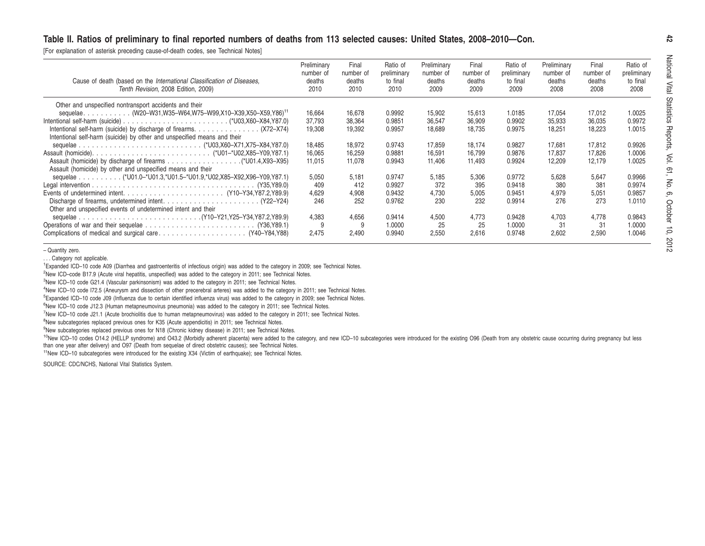#### Table II. Ratios of preliminary to final reported numbers of deaths from 113 selected causes: United States, 2008–2010—Con.

[For explanation of asterisk preceding cause-of-death codes, see Technical Notes]

| Cause of death (based on the International Classification of Diseases,<br>Tenth Revision, 2008 Edition, 2009) | Preliminary<br>number of<br>deaths<br>2010 | Final<br>number of<br>deaths<br>2010 | Ratio of<br>preliminary<br>to final<br>2010 | Preliminary<br>number of<br>deaths<br>2009 | Final<br>number of<br>deaths<br>2009 | Ratio of<br>preliminary<br>to final<br>2009 | Preliminary<br>number of<br>deaths<br>2008 | Final<br>number of<br>deaths<br>2008 | Ratio of<br>preliminary<br>to final<br>2008 |
|---------------------------------------------------------------------------------------------------------------|--------------------------------------------|--------------------------------------|---------------------------------------------|--------------------------------------------|--------------------------------------|---------------------------------------------|--------------------------------------------|--------------------------------------|---------------------------------------------|
| Other and unspecified nontransport accidents and their                                                        |                                            |                                      |                                             |                                            |                                      |                                             |                                            |                                      |                                             |
|                                                                                                               | 16,664                                     | 16.678                               | 0.9992                                      | 15.902                                     | 15.613                               | 1.0185                                      | 17.054                                     | 17.012                               | 1.0025                                      |
|                                                                                                               | 37,793                                     | 38,364                               | 0.9851                                      | 36,547                                     | 36,909                               | 0.9902                                      | 35,933                                     | 36,035                               | 0.9972                                      |
|                                                                                                               | 19,308                                     | 19,392                               | 0.9957                                      | 18,689                                     | 18.735                               | 0.9975                                      | 18,251                                     | 18,223                               | 1.0015                                      |
| Intentional self-harm (suicide) by other and unspecified means and their                                      |                                            |                                      |                                             |                                            |                                      |                                             |                                            |                                      |                                             |
|                                                                                                               | 18,485                                     | 18.972                               | 0.9743                                      | 17.859                                     | 18.174                               | 0.9827                                      | 17.681                                     | 17.812                               | 0.9926                                      |
|                                                                                                               | 16.065                                     | 16.259                               | 0.9881                                      | 16.591                                     | 16.799                               | 0.9876                                      | 17.837                                     | 17.826                               | 1.0006                                      |
|                                                                                                               | 11,015                                     | 11,078                               | 0.9943                                      | 11,406                                     | 11,493                               | 0.9924                                      | 12,209                                     | 12,179                               | 1.0025                                      |
| Assault (homicide) by other and unspecified means and their                                                   |                                            |                                      |                                             |                                            |                                      |                                             |                                            |                                      |                                             |
|                                                                                                               | 5.050                                      | 5.181                                | 0.9747                                      | 5.185                                      | 5.306                                | 0.9772                                      | 5.628                                      | 5.647                                | 0.9966                                      |
|                                                                                                               | 409                                        | 412                                  | 0.9927                                      | 372                                        | 395                                  | 0.9418                                      | 380                                        | 381                                  | 0.9974                                      |
|                                                                                                               | 4.629                                      | 4.908                                | 0.9432                                      | 4.730                                      | 5,005                                | 0.9451                                      | 4.979                                      | 5.051                                | 0.9857                                      |
|                                                                                                               | 246                                        | 252                                  | 0.9762                                      | 230                                        | 232                                  | 0.9914                                      | 276                                        | 273                                  | 1.0110                                      |
| Other and unspecified events of undetermined intent and their                                                 |                                            |                                      |                                             |                                            |                                      |                                             |                                            |                                      |                                             |
|                                                                                                               | 4.383                                      | 4,656                                | 0.9414                                      | 4.500                                      | 4.773                                | 0.9428                                      | 4.703                                      | 4.778                                | 0.9843                                      |
|                                                                                                               | 9                                          | 9                                    | 1.0000                                      | 25                                         | 25                                   | 1.0000                                      | 31                                         | 31                                   | 1.0000                                      |
|                                                                                                               | 2.475                                      | 2,490                                | 0.9940                                      | 2,550                                      | 2.616                                | 0.9748                                      | 2.602                                      | 2,590                                | 1.0046                                      |

– Quantity zero.

. . . Category not applicable.

1 Expanded ICD–10 code A09 (Diarrhea and gastroenteritis of infectious origin) was added to the category in 2009; see Technical Notes.

<sup>2</sup>New ICD–code B17.9 (Acute viral hepatitis, unspecified) was added to the category in 2011; see Technical Notes.

<sup>3</sup>New ICD–10 code G21.4 (Vascular parkinsonism) was added to the category in 2011; see Technical Notes.

<sup>4</sup>New ICD–10 code I72.5 (Aneurysm and dissection of other precerebral arteres) was added to the category in 2011; see Technical Notes.

5 Expanded ICD–10 code J09 (Influenza due to certain identified influenza virus) was added to the category in 2009; see Technical Notes.

<sup>6</sup>New ICD–10 code J12.3 (Human metapneumovirus pneumonia) was added to the category in 2011; see Technical Notes.

<sup>7</sup>New ICD–10 code J21.1 (Acute brochiolitis due to human metapneumovirus) was added to the category in 2011; see Technical Notes.

<sup>8</sup>New subcategories replaced previous ones for K35 (Acute appendicitis) in 2011; see Technical Notes.

<sup>9</sup>New subcategories replaced previous ones for N18 (Chronic kidney disease) in 2011; see Technical Notes.

<sup>10</sup>New ICD-10 codes O14.2 (HELLP syndrome) and O43.2 (Morbidly adherent placenta) were added to the category, and new ICD-10 subcategories were introduced for the existing O96 (Death from any obstetric cause occurring dur than one year after delivery) and O97 (Death from sequelae of direct obstetric causes); see Technical Notes.

<sup>11</sup>New ICD–10 subcategories were introduced for the existing X34 (Victim of earthquake); see Technical Notes.

SOURCE: CDC/NCHS, National Vital Statistics System.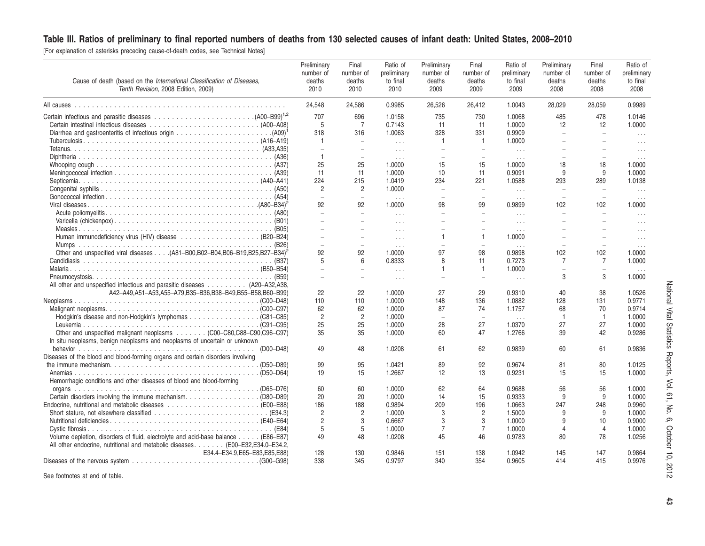## <span id="page-42-0"></span>Table III. Ratios of preliminary to final reported numbers of deaths from 130 selected causes of infant death: United States, 2008-2010

[For explanation of asterisks preceding cause-of-death codes, see Technical Notes]

See footnotes at end of table.

| Cause of death (based on the International Classification of Diseases,<br>Tenth Revision, 2008 Edition, 2009) | Preliminary<br>number of<br>deaths<br>2010 | Final<br>number of<br>deaths<br>2010 | Ratio of<br>preliminary<br>to final<br>2010 | Preliminary<br>number of<br>deaths<br>2009 | Final<br>number of<br>deaths<br>2009 | Ratio of<br>preliminary<br>to final<br>2009 | Preliminary<br>number of<br>deaths<br>2008 | Final<br>number of<br>deaths<br>2008 | Ratio of<br>preliminary<br>to final<br>2008 |
|---------------------------------------------------------------------------------------------------------------|--------------------------------------------|--------------------------------------|---------------------------------------------|--------------------------------------------|--------------------------------------|---------------------------------------------|--------------------------------------------|--------------------------------------|---------------------------------------------|
|                                                                                                               | 24,548                                     | 24,586                               | 0.9985                                      | 26,526                                     | 26,412                               | 1.0043                                      | 28,029                                     | 28.059                               | 0.9989                                      |
|                                                                                                               | 707                                        | 696                                  | 1.0158                                      | 735                                        | 730                                  | 1.0068                                      | 485                                        | 478                                  | 1.0146                                      |
|                                                                                                               | 5                                          | $\overline{7}$                       | 0.7143                                      | 11                                         | 11                                   | 1.0000                                      | 12                                         | 12                                   | 1.0000                                      |
|                                                                                                               | 318                                        | 316                                  | 1.0063                                      | 328                                        | 331                                  | 0.9909                                      |                                            | $\overline{\phantom{a}}$             | $\cdots$                                    |
|                                                                                                               | $\overline{1}$                             | $\overline{\phantom{a}}$             | $\ldots$                                    | $\mathbf{1}$                               | $\overline{1}$                       | 1.0000                                      |                                            |                                      | $\cdots$                                    |
|                                                                                                               |                                            | $\overline{\phantom{0}}$             | $\ldots$ .                                  | $\overline{\phantom{a}}$                   | $\overline{\phantom{0}}$             | $\ldots$ .                                  |                                            |                                      | $\cdots$                                    |
|                                                                                                               | -1                                         | $\overline{\phantom{a}}$             | $\ldots$                                    | $\overline{\phantom{a}}$                   | $\equiv$                             | $\ldots$                                    |                                            | $\overline{\phantom{a}}$             | $\ldots$                                    |
|                                                                                                               | 25                                         | 25                                   | 1.0000                                      | 15                                         | 15                                   | 1.0000                                      | 18                                         | 18                                   | 1.0000                                      |
|                                                                                                               | 11                                         | 11                                   | 1.0000                                      | 10                                         | 11                                   | 0.9091                                      | g                                          | 9                                    | 1.0000                                      |
|                                                                                                               | 224                                        | 215                                  | 1.0419                                      | 234                                        | 221                                  | 1.0588                                      | 293                                        | 289                                  | 1.0138                                      |
|                                                                                                               | $\overline{2}$                             | 2                                    | 1.0000                                      | $\overline{\phantom{a}}$                   | $\overline{\phantom{0}}$             | $\ldots$                                    | ÷                                          | $\overline{\phantom{a}}$             | $\ldots$                                    |
|                                                                                                               | $\overline{\phantom{0}}$                   | $\overline{\phantom{a}}$             | $\ldots$                                    | $\overline{\phantom{0}}$                   | $\overline{\phantom{0}}$             | $\sim$ . $\sim$                             |                                            | $\overline{\phantom{a}}$             | $\cdots$                                    |
|                                                                                                               | 92                                         | 92                                   | 1.0000                                      | 98                                         | 99                                   | 0.9899                                      | 102                                        | 102                                  | 1.0000                                      |
|                                                                                                               |                                            | $\overline{\phantom{0}}$             | $\cdots$                                    | $\overline{\phantom{0}}$                   |                                      | $\cdots$                                    |                                            |                                      | $\cdots$                                    |
|                                                                                                               |                                            |                                      | $\ldots$                                    | $\overline{\phantom{0}}$                   | ÷                                    | $\cdots$                                    |                                            |                                      | $\cdots$                                    |
|                                                                                                               |                                            |                                      | $\cdots$                                    | $\overline{\phantom{a}}$                   | ÷                                    | $\ldots$                                    |                                            |                                      | $\cdots$                                    |
|                                                                                                               |                                            | $\overline{\phantom{0}}$             | $\cdot$ $\cdot$ $\cdot$                     | $\mathbf{1}$                               | 1                                    | 1.0000                                      |                                            |                                      | $\ldots$                                    |
|                                                                                                               |                                            | $\sim$                               | $\cdot$ $\cdot$ $\cdot$                     | $\overline{\phantom{a}}$                   | $\equiv$                             | $\cdot$ $\cdot$ $\cdot$                     |                                            | ۰                                    | $\sim 100$                                  |
| Other and unspecified viral diseases (A81-B00,B02-B04,B06-B19,B25,B27-B34) <sup>2</sup>                       | 92                                         | 92                                   | 1.0000                                      | 97                                         | 98                                   | 0.9898                                      | 102                                        | 102                                  | 1.0000                                      |
|                                                                                                               | 5                                          | 6                                    | 0.8333                                      | $\mathbf{8}$                               | 11                                   | 0.7273                                      | $\overline{7}$                             | $\overline{7}$                       | 1.0000                                      |
|                                                                                                               |                                            |                                      | $\cdots$                                    | 1                                          | $\overline{1}$                       | 1.0000                                      | З                                          | 3                                    | $\cdots$                                    |
| All other and unspecified infectious and parasitic diseases (A20-A32,A38,                                     |                                            | $\overline{\phantom{0}}$             | $\ldots$ .                                  | $\overline{\phantom{a}}$                   | $\qquad \qquad -$                    | $\ldots$                                    |                                            |                                      | 1.0000                                      |
| A42-A49, A51-A53, A55-A79, B35-B36, B38-B49, B55-B58, B60-B99)                                                | 22                                         | 22                                   | 1.0000                                      | 27                                         | 29                                   | 0.9310                                      | 40                                         | 38                                   | 1.0526                                      |
|                                                                                                               | 110                                        | 110                                  | 1.0000                                      | 148                                        | 136                                  | 1.0882                                      | 128                                        | 131                                  | 0.9771                                      |
|                                                                                                               | 62                                         | 62                                   | 1.0000                                      | 87                                         | 74                                   | 1.1757                                      | 68                                         | 70                                   | 0.9714                                      |
| Hodgkin's disease and non-Hodgkin's lymphomas (C81-C85)                                                       | $\overline{2}$                             | $\overline{2}$                       | 1.0000                                      | $\overline{\phantom{0}}$                   | $\overline{a}$                       |                                             | $\overline{1}$                             | $\overline{1}$                       | 1.0000                                      |
|                                                                                                               | 25                                         | 25                                   | 1.0000                                      | 28                                         | 27                                   | $\cdots$<br>1.0370                          | 27                                         | 27                                   | 1.0000                                      |
| Other and unspecified malignant neoplasms (C00-C80,C88-C90,C96-C97)                                           | 35                                         | 35                                   | 1.0000                                      | 60                                         | 47                                   | 1.2766                                      | 39                                         | 42                                   | 0.9286                                      |
| In situ neoplasms, benign neoplasms and neoplasms of uncertain or unknown                                     |                                            |                                      |                                             |                                            |                                      |                                             |                                            |                                      |                                             |
| (D00-D48)                                                                                                     | 49                                         | 48                                   | 1.0208                                      | 61                                         | 62                                   | 0.9839                                      | 60                                         | 61                                   | 0.9836                                      |
| Diseases of the blood and blood-forming organs and certain disorders involving                                |                                            |                                      |                                             |                                            |                                      |                                             |                                            |                                      |                                             |
|                                                                                                               | 99                                         | 95                                   | 1.0421                                      | 89                                         | 92                                   | 0.9674                                      | 81                                         | 80                                   | 1.0125                                      |
| . (D50–D64)                                                                                                   | 19                                         | 15                                   | 1.2667                                      | 12                                         | 13                                   | 0.9231                                      | 15                                         | 15                                   | 1.0000                                      |
| Hemorrhagic conditions and other diseases of blood and blood-forming                                          |                                            |                                      |                                             |                                            |                                      |                                             |                                            |                                      |                                             |
|                                                                                                               | 60                                         | 60                                   | 1.0000                                      | 62                                         | 64                                   | 0.9688                                      | 56                                         | 56                                   | 1.0000                                      |
|                                                                                                               | 20                                         | 20                                   | 1.0000                                      | 14                                         | 15                                   | 0.9333                                      | q                                          | 9                                    | 1.0000                                      |
|                                                                                                               | 186                                        | 188                                  | 0.9894                                      | 209                                        | 196                                  | 1.0663                                      | 247                                        | 248                                  | 0.9960                                      |
|                                                                                                               | $\overline{2}$                             | 2                                    | 1.0000                                      | 3                                          | $\overline{c}$                       | 1.5000                                      | a                                          | 9                                    | 1.0000                                      |
|                                                                                                               | $\overline{2}$                             | 3                                    | 0.6667                                      | 3                                          | 3                                    | 1.0000                                      |                                            | 10                                   | 0.9000                                      |
|                                                                                                               | 5                                          | 5                                    | 1.0000                                      | $\overline{7}$                             | 7                                    | 1.0000                                      |                                            | $\overline{4}$                       | 1.0000                                      |
| Volume depletion, disorders of fluid, electrolyte and acid-base balance (E86-E87)                             | 49                                         | 48                                   | 1.0208                                      | 45                                         | 46                                   | 0.9783                                      | 80                                         | 78                                   | 1.0256                                      |
| All other endocrine, nutritional and metabolic diseases (E00–E32,E34.0–E34.2.                                 |                                            |                                      |                                             |                                            |                                      |                                             |                                            |                                      |                                             |
| E34.4-E34.9, E65-E83, E85, E88)                                                                               | 128                                        | 130                                  | 0.9846                                      | 151                                        | 138                                  | 1.0942                                      | 145                                        | 147                                  | 0.9864                                      |
|                                                                                                               | 338                                        | 345                                  | 0.9797                                      | 340                                        | 354                                  | 0.9605                                      | 414                                        | 415                                  | 0.9976                                      |
|                                                                                                               |                                            |                                      |                                             |                                            |                                      |                                             |                                            |                                      |                                             |

 $43$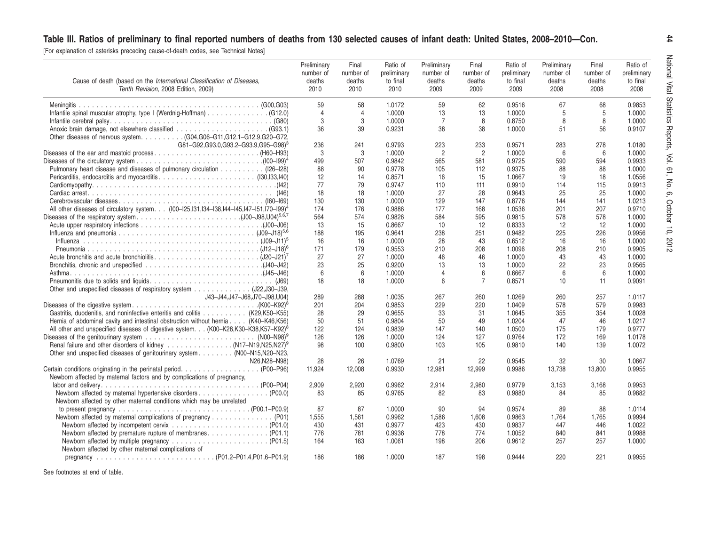## Table III. Ratios of preliminary to final reported numbers of deaths from 130 selected causes of infant death: United States, 2008-2010-Con.

[For explanation of asterisks preceding cause-of-death codes, see Technical Notes]

| Cause of death (based on the International Classification of Diseases,<br>Tenth Revision, 2008 Edition, 2009) | Preliminary<br>number of<br>deaths<br>2010 | Final<br>number of<br>deaths<br>2010 | Ratio of<br>preliminary<br>to final<br>2010 | Preliminary<br>number of<br>deaths<br>2009 | Final<br>number of<br>deaths<br>2009 | Ratio of<br>preliminary<br>to final<br>2009 | Preliminary<br>number of<br>deaths<br>2008 | Final<br>number of<br>deaths<br>2008 | Ratio of<br>preliminary<br>to final<br>2008 |
|---------------------------------------------------------------------------------------------------------------|--------------------------------------------|--------------------------------------|---------------------------------------------|--------------------------------------------|--------------------------------------|---------------------------------------------|--------------------------------------------|--------------------------------------|---------------------------------------------|
|                                                                                                               | 59                                         | 58                                   | 1.0172                                      | 59                                         | 62                                   | 0.9516                                      | 67                                         | 68                                   | 0.9853                                      |
|                                                                                                               | $\overline{4}$                             | $\overline{4}$                       | 1.0000                                      | 13                                         | 13                                   | 1.0000                                      | 5                                          | 5                                    | 1.0000                                      |
|                                                                                                               | 3                                          | 3                                    | 1.0000                                      | $\overline{7}$                             | 8                                    | 0.8750                                      | 8                                          | 8                                    | 1.0000                                      |
|                                                                                                               | 36                                         | 39                                   | 0.9231                                      | 38                                         | 38                                   | 1.0000                                      | 51                                         | 56                                   | 0.9107                                      |
| Other diseases of nervous system. (G04,G06-G11,G12.1-G12.9,G20-G72,                                           |                                            |                                      |                                             |                                            |                                      |                                             |                                            |                                      |                                             |
| G81-G92, G93.0, G93.2-G93.9, G95-G98) <sup>3</sup>                                                            | 236                                        | 241                                  | 0.9793                                      | 223                                        | 233                                  | 0.9571                                      | 283                                        | 278                                  | 1.0180                                      |
|                                                                                                               | 3                                          | 3                                    | 1.0000                                      | $\overline{2}$                             | 2                                    | 1.0000                                      | 6                                          | 6                                    | 1.0000                                      |
|                                                                                                               | 499                                        | 507                                  | 0.9842                                      | 565                                        | 581                                  | 0.9725                                      | 590                                        | 594                                  | 0.9933                                      |
| Pulmonary heart disease and diseases of pulmonary circulation (126–128)                                       | 88                                         | 90                                   | 0.9778                                      | 105                                        | 112                                  | 0.9375                                      | 88                                         | 88                                   | 1.0000                                      |
|                                                                                                               | 12                                         | 14                                   | 0.8571                                      | 16                                         | 15                                   | 1.0667                                      | 19                                         | 18                                   | 1.0556                                      |
|                                                                                                               | 77                                         | 79                                   | 0.9747                                      | 110                                        | 111                                  | 0.9910                                      | 114                                        | 115                                  | 0.9913                                      |
|                                                                                                               | 18                                         | 18                                   | 1.0000                                      | 27                                         | 28                                   | 0.9643                                      | 25                                         | 25                                   | 1.0000                                      |
|                                                                                                               | 130                                        | 130                                  | 1.0000                                      | 129                                        | 147                                  | 0.8776                                      | 144                                        | 141                                  | 1.0213                                      |
| All other diseases of circulatory system. (100-125,131,134-138,144-145,147-151,170-199) <sup>4</sup>          | 174                                        | 176                                  | 0.9886                                      | 177                                        | 168                                  | 1.0536                                      | 201                                        | 207                                  | 0.9710                                      |
|                                                                                                               | 564                                        | 574                                  | 0.9826                                      | 584                                        | 595                                  | 0.9815                                      | 578                                        | 578                                  | 1.0000                                      |
|                                                                                                               | 13                                         | 15                                   | 0.8667                                      | 10                                         | 12                                   | 0.8333                                      | 12                                         | 12                                   | 1.0000                                      |
|                                                                                                               | 188                                        | 195                                  | 0.9641                                      | 238                                        | 251                                  | 0.9482                                      | 225                                        | 226                                  | 0.9956                                      |
|                                                                                                               | 16<br>171                                  | 16                                   | 1.0000<br>0.9553                            | 28                                         | 43                                   | 0.6512<br>1.0096                            | 16<br>208                                  | 16                                   | 1.0000<br>0.9905                            |
|                                                                                                               | 27                                         | 179<br>27                            | 1.0000                                      | 210<br>46                                  | 208<br>46                            | 1.0000                                      | 43                                         | 210<br>43                            | 1.0000                                      |
|                                                                                                               | 23                                         | 25                                   | 0.9200                                      | 13                                         | 13                                   | 1.0000                                      | 22                                         | 23                                   | 0.9565                                      |
|                                                                                                               | 6                                          | 6                                    | 1.0000                                      | $\overline{4}$                             | 6                                    | 0.6667                                      | 6                                          | 6                                    | 1.0000                                      |
|                                                                                                               | 18                                         | 18                                   | 1.0000                                      | 6                                          | $\overline{7}$                       | 0.8571                                      | 10                                         | 11                                   | 0.9091                                      |
| Other and unspecified diseases of respiratory system (J22,J30-J39,                                            |                                            |                                      |                                             |                                            |                                      |                                             |                                            |                                      |                                             |
| J43-J44,J47-J68,J70-J98,U04)                                                                                  | 289                                        | 288                                  | 1.0035                                      | 267                                        | 260                                  | 1.0269                                      | 260                                        | 257                                  | 1.0117                                      |
|                                                                                                               | 201                                        | 204                                  | 0.9853                                      | 229                                        | 220                                  | 1.0409                                      | 578                                        | 579                                  | 0.9983                                      |
| Gastritis, duodenitis, and noninfective enteritis and colitis (K29,K50–K55)                                   | 28                                         | 29                                   | 0.9655                                      | 33                                         | 31                                   | 1.0645                                      | 355                                        | 354                                  | 1.0028                                      |
| Hernia of abdominal cavity and intestinal obstruction without hernia (K40–K46,K56)                            | 50                                         | 51                                   | 0.9804                                      | 50                                         | 49                                   | 1.0204                                      | 47                                         | 46                                   | 1.0217                                      |
| All other and unspecified diseases of digestive system. (K00-K28,K30-K38,K57-K92) <sup>8</sup>                | 122                                        | 124                                  | 0.9839                                      | 147                                        | 140                                  | 1.0500                                      | 175                                        | 179                                  | 0.9777                                      |
|                                                                                                               | 126                                        | 126                                  | 1.0000                                      | 124                                        | 127                                  | 0.9764                                      | 172                                        | 169                                  | 1.0178                                      |
| Renal failure and other disorders of kidney (N17-N19, N25, N27) <sup>9</sup>                                  | 98                                         | 100                                  | 0.9800                                      | 103                                        | 105                                  | 0.9810                                      | 140                                        | 139                                  | 1.0072                                      |
| Other and unspecified diseases of genitourinary system (N00-N15,N20-N23,                                      |                                            |                                      |                                             |                                            |                                      |                                             |                                            |                                      |                                             |
| N26.N28-N98)                                                                                                  | 28                                         | 26                                   | 1.0769                                      | 21                                         | 22                                   | 0.9545                                      | 32                                         | 30                                   | 1.0667                                      |
| Certain conditions originating in the perinatal period. (P00-P96)                                             | 11,924                                     | 12,008                               | 0.9930                                      | 12,981                                     | 12,999                               | 0.9986                                      | 13,738                                     | 13,800                               | 0.9955                                      |
| Newborn affected by maternal factors and by complications of pregnancy,                                       |                                            |                                      |                                             |                                            |                                      |                                             |                                            |                                      |                                             |
|                                                                                                               | 2.909                                      | 2,920                                | 0.9962                                      | 2.914                                      | 2,980                                | 0.9779                                      | 3,153                                      | 3,168                                | 0.9953                                      |
| Newborn affected by maternal hypertensive disorders (P00.0)                                                   | 83                                         | 85                                   | 0.9765                                      | 82                                         | 83                                   | 0.9880                                      | 84                                         | 85                                   | 0.9882                                      |
| Newborn affected by other maternal conditions which may be unrelated                                          |                                            |                                      |                                             |                                            |                                      |                                             |                                            |                                      |                                             |
|                                                                                                               | 87                                         | 87                                   | 1.0000                                      | 90                                         | 94                                   | 0.9574                                      | 89                                         | 88                                   | 1.0114                                      |
| Newborn affected by maternal complications of pregnancy (P01)                                                 | 1,555                                      | 1,561                                | 0.9962                                      | 1,586                                      | 1,608                                | 0.9863                                      | 1,764                                      | 1,765                                | 0.9994                                      |
|                                                                                                               | 430                                        | 431                                  | 0.9977                                      | 423                                        | 430                                  | 0.9837                                      | 447                                        | 446                                  | 1.0022                                      |
| Newborn affected by premature rupture of membranes (P01.1)                                                    | 776                                        | 781                                  | 0.9936                                      | 778                                        | 774                                  | 1.0052                                      | 840                                        | 841                                  | 0.9988                                      |
|                                                                                                               | 164                                        | 163                                  | 1.0061                                      | 198                                        | 206                                  | 0.9612                                      | 257                                        | 257                                  | 1.0000                                      |
| Newborn affected by other maternal complications of                                                           |                                            |                                      |                                             |                                            |                                      |                                             |                                            |                                      |                                             |
|                                                                                                               | 186                                        | 186                                  | 1.0000                                      | 187                                        | 198                                  | 0.9444                                      | 220                                        | 221                                  | 0.9955                                      |
|                                                                                                               |                                            |                                      |                                             |                                            |                                      |                                             |                                            |                                      |                                             |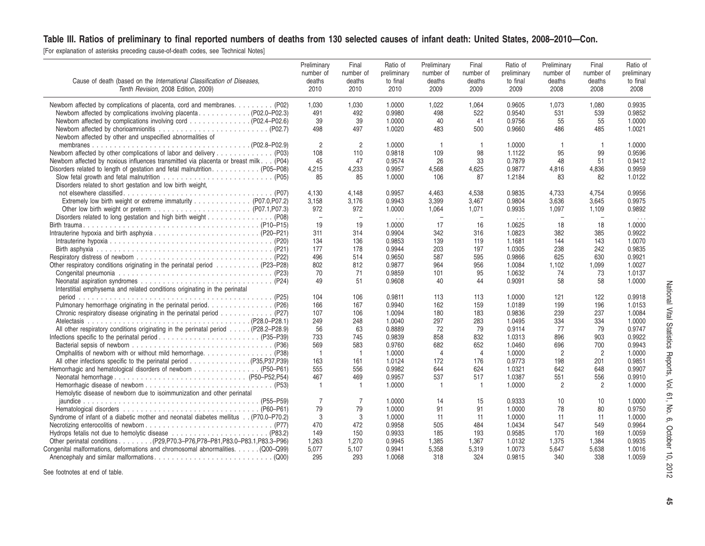## Table III. Ratios of preliminary to final reported numbers of deaths from 130 selected causes of infant death: United States, 2008-2010-Con.

[For explanation of asterisks preceding cause-of-death codes, see Technical Notes]

| Cause of death (based on the International Classification of Diseases,                                 | Preliminary<br>number of<br>deaths | Final<br>number of<br>deaths | Ratio of<br>preliminary<br>to final | Preliminary<br>number of<br>deaths | Final<br>number of<br>deaths | Ratio of<br>preliminary<br>to final | Preliminary<br>number of<br>deaths | Final<br>number of<br>deaths | Ratio of<br>preliminary<br>to final |
|--------------------------------------------------------------------------------------------------------|------------------------------------|------------------------------|-------------------------------------|------------------------------------|------------------------------|-------------------------------------|------------------------------------|------------------------------|-------------------------------------|
| Tenth Revision, 2008 Edition, 2009)                                                                    | 2010                               | 2010                         | 2010                                | 2009                               | 2009                         | 2009                                | 2008                               | 2008                         | 2008                                |
| Newborn affected by complications of placenta, cord and membranes. (P02)                               | 1,030                              | 1,030                        | 1.0000                              | 1,022                              | 1,064                        | 0.9605                              | 1,073                              | 1,080                        | 0.9935                              |
| Newborn affected by complications involving placenta (P02.0–P02.3)                                     | 491                                | 492                          | 0.9980                              | 498                                | 522                          | 0.9540                              | 531                                | 539                          | 0.9852                              |
|                                                                                                        | 39                                 | 39                           | 1.0000                              | 40                                 | 41                           | 0.9756                              | 55                                 | 55                           | 1.0000                              |
| Newborn affected by chorioamnionitis $\ldots \ldots \ldots \ldots \ldots \ldots \ldots \ldots$ (P02.7) | 498                                | 497                          | 1.0020                              | 483                                | 500                          | 0.9660                              | 486                                | 485                          | 1.0021                              |
| Newborn affected by other and unspecified abnormalities of                                             |                                    |                              |                                     |                                    |                              |                                     |                                    |                              |                                     |
|                                                                                                        | $\overline{2}$                     | $\overline{2}$               | 1.0000                              | $\overline{1}$                     | $\overline{1}$               | 1.0000                              | $\overline{1}$                     | $\overline{1}$               | 1.0000                              |
|                                                                                                        | 108                                | 110                          | 0.9818                              | 109                                | 98                           | 1.1122                              | 95                                 | 99                           | 0.9596                              |
| Newborn affected by noxious influences transmitted via placenta or breast milk (P04)                   | 45                                 | 47                           | 0.9574                              | 26                                 | 33                           | 0.7879                              | 48                                 | 51                           | 0.9412                              |
| Disorders related to length of gestation and fetal malnutrition (P05–P08)                              | 4,215                              | 4,233                        | 0.9957                              | 4,568                              | 4,625                        | 0.9877                              | 4,816                              | 4,836                        | 0.9959                              |
|                                                                                                        | 85                                 | 85                           | 1.0000                              | 106                                | 87                           | 1.2184                              | 83                                 | 82                           | 1.0122                              |
| Disorders related to short gestation and low birth weight,                                             |                                    |                              |                                     |                                    |                              |                                     |                                    |                              |                                     |
|                                                                                                        | 4,130                              | 4,148                        | 0.9957                              | 4.463                              | 4,538                        | 0.9835                              | 4,733                              | 4,754                        | 0.9956                              |
| Extremely low birth weight or extreme immaturity (P07.0, P07.2)                                        | 3,158                              | 3,176                        | 0.9943                              | 3,399                              | 3,467                        | 0.9804                              | 3,636                              | 3,645                        | 0.9975                              |
|                                                                                                        | 972                                | 972                          | 1.0000                              | 1,064                              | 1.071                        | 0.9935                              | 1.097                              | 1.109                        | 0.9892                              |
|                                                                                                        | $\equiv$                           | $\overline{\phantom{a}}$     | $\ldots$                            | $\overline{\phantom{a}}$           | $\overline{\phantom{a}}$     | $\sim$ $\sim$ $\sim$                |                                    |                              | $\cdots$                            |
|                                                                                                        | 19                                 | 19                           | 1.0000                              | 17                                 | 16                           | 1.0625                              | 18                                 | 18                           | 1.0000                              |
|                                                                                                        | 311                                | 314                          | 0.9904                              | 342                                | 316                          | 1.0823                              | 382                                | 385                          | 0.9922                              |
|                                                                                                        | 134                                | 136                          | 0.9853                              | 139                                | 119                          | 1.1681                              | 144                                | 143                          | 1.0070                              |
|                                                                                                        | 177                                | 178                          | 0.9944                              | 203                                | 197                          | 1.0305                              | 238                                | 242                          | 0.9835                              |
|                                                                                                        | 496                                | 514                          | 0.9650                              | 587                                | 595                          | 0.9866                              | 625                                | 630                          | 0.9921                              |
| Other respiratory conditions originating in the perinatal period (P23–P28)                             | 802                                | 812                          | 0.9877                              | 964                                | 956                          | 1.0084                              | 1.102                              | 1.099                        | 1.0027                              |
|                                                                                                        | 70                                 | 71                           | 0.9859                              | 101                                | 95                           | 1.0632                              | 74                                 | 73                           | 1.0137                              |
|                                                                                                        | 49                                 | 51                           | 0.9608                              | 40                                 | 44                           | 0.9091                              | 58                                 | 58                           | 1.0000                              |
| Interstitial emphysema and related conditions originating in the perinatal                             |                                    |                              |                                     |                                    |                              |                                     |                                    |                              |                                     |
|                                                                                                        | 104                                | 106                          | 0.9811                              | 113                                | 113                          | 1.0000                              | 121                                | 122                          | 0.9918                              |
|                                                                                                        | 166                                | 167                          | 0.9940                              | 162                                | 159                          | 1.0189                              | 199                                | 196                          | 1.0153                              |
| Chronic respiratory disease originating in the perinatal period (P27)                                  | 107                                | 106                          | 1.0094                              | 180                                | 183                          | 0.9836                              | 239                                | 237                          | 1.0084                              |
|                                                                                                        | 249                                | 248                          | 1.0040                              | 297                                | 283                          | 1.0495                              | 334                                | 334                          | 1.0000                              |
| All other respiratory conditions originating in the perinatal period (P28.2-P28.9)                     | 56                                 | 63                           | 0.8889                              | 72                                 | 79                           | 0.9114                              | 77                                 | 79                           | 0.9747                              |
|                                                                                                        | 733                                | 745                          | 0.9839<br>0.9760                    | 858                                | 832                          | 1.0313                              | 896                                | 903                          | 0.9922                              |
|                                                                                                        | 569<br>$\overline{1}$              | 583<br>$\overline{1}$        | 1.0000                              | 682<br>$\overline{4}$              | 652<br>$\overline{4}$        | 1.0460<br>1.0000                    | 696                                | 700                          | 0.9943<br>1.0000                    |
|                                                                                                        | 163                                | 161                          | 1.0124                              | 172                                | 176                          | 0.9773                              | $\overline{2}$<br>198              | $\overline{2}$<br>201        | 0.9851                              |
|                                                                                                        | 555                                | 556                          | 0.9982                              | 644                                | 624                          | 1.0321                              | 642                                | 648                          | 0.9907                              |
|                                                                                                        | 467                                | 469                          | 0.9957                              | 537                                | 517                          | 1.0387                              | 551                                | 556                          | 0.9910                              |
|                                                                                                        | -1                                 | $\overline{1}$               | 1.0000                              | -1                                 | $\overline{1}$               | 1.0000                              | $\overline{2}$                     | 2                            | 1.0000                              |
| Hemolytic disease of newborn due to isoimmunization and other perinatal                                |                                    |                              |                                     |                                    |                              |                                     |                                    |                              |                                     |
|                                                                                                        | $\overline{7}$                     | 7                            | 1.0000                              | 14                                 | 15                           | 0.9333                              | 10                                 | 10                           | 1.0000                              |
|                                                                                                        | 79                                 | 79                           | 1.0000                              | 91                                 | 91                           | 1.0000                              | 78                                 | 80                           | 0.9750                              |
| Syndrome of infant of a diabetic mother and neonatal diabetes mellitus (P70.0-P70.2)                   | 3                                  | 3                            | 1.0000                              | 11                                 | 11                           | 1.0000                              | 11                                 | 11                           | 1.0000                              |
|                                                                                                        | 470                                | 472                          | 0.9958                              | 505                                | 484                          | 1.0434                              | 547                                | 549                          | 0.9964                              |
|                                                                                                        | 149                                | 150                          | 0.9933                              | 185                                | 193                          | 0.9585                              | 170                                | 169                          | 1.0059                              |
| Other perinatal conditions (P29, P70.3-P76, P78-P81, P83.0-P83.1, P83.3-P96)                           | 1.263                              | 1,270                        | 0.9945                              | 1,385                              | 1,367                        | 1.0132                              | 1.375                              | 1.384                        | 0.9935                              |
| Congenital malformations, deformations and chromosomal abnormalities. (Q00-Q99)                        | 5.077                              | 5,107                        | 0.9941                              | 5,358                              | 5,319                        | 1.0073                              | 5,647                              | 5,638                        | 1.0016                              |
|                                                                                                        | 295                                | 293                          | 1.0068                              | 318                                | 324                          | 0.9815                              | 340                                | 338                          | 1.0059                              |
|                                                                                                        |                                    |                              |                                     |                                    |                              |                                     |                                    |                              |                                     |

See footnotes at end of table.

 $45$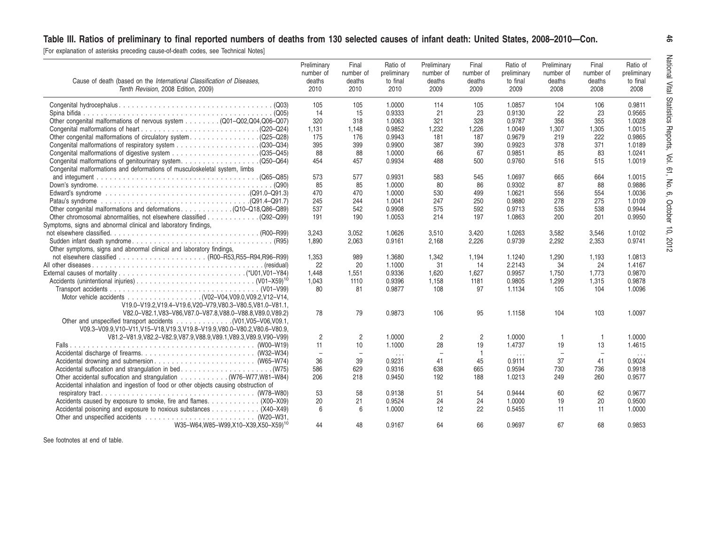## Table III. Ratios of preliminary to final reported numbers of deaths from 130 selected causes of infant death: United States, 2008-2010-Con.

[For explanation of asterisks preceding cause-of-death codes, see Technical Notes]

| Cause of death (based on the International Classification of Diseases,<br>Tenth Revision, 2008 Edition, 2009) | Preliminary<br>number of<br>deaths<br>2010 | Final<br>number of<br>deaths<br>2010 | Ratio of<br>preliminary<br>to final<br>2010 | Preliminary<br>number of<br>deaths<br>2009 | Final<br>number of<br>deaths<br>2009 | Ratio of<br>preliminary<br>to final<br>2009 | Preliminary<br>number of<br>deaths<br>2008 | Final<br>number of<br>deaths<br>2008 | Ratio of<br>preliminary<br>to final<br>2008 |
|---------------------------------------------------------------------------------------------------------------|--------------------------------------------|--------------------------------------|---------------------------------------------|--------------------------------------------|--------------------------------------|---------------------------------------------|--------------------------------------------|--------------------------------------|---------------------------------------------|
|                                                                                                               | 105                                        | 105                                  | 1.0000                                      | 114                                        | 105                                  | 1.0857                                      | 104                                        | 106                                  | 0.9811                                      |
|                                                                                                               | 14                                         | 15                                   | 0.9333                                      | 21                                         | 23                                   | 0.9130                                      | 22                                         | 23                                   | 0.9565                                      |
| Other congenital malformations of nervous system (Q01-Q02,Q04,Q06-Q07)                                        | 320                                        | 318                                  | 1.0063                                      | 321                                        | 328                                  | 0.9787                                      | 356                                        | 355                                  | 1.0028                                      |
|                                                                                                               | 1,131                                      | 1,148                                | 0.9852                                      | 1,232                                      | 1,226                                | 1.0049                                      | 1,307                                      | 1,305                                | 1.0015                                      |
| Other congenital malformations of circulatory system (Q25-Q28)                                                | 175                                        | 176                                  | 0.9943                                      | 181                                        | 187                                  | 0.9679                                      | 219                                        | 222                                  | 0.9865                                      |
|                                                                                                               | 395                                        | 399                                  | 0.9900                                      | 387                                        | 390                                  | 0.9923                                      | 378                                        | 371                                  | 1.0189                                      |
|                                                                                                               | 88                                         | 88                                   | 1.0000                                      | 66                                         | 67                                   | 0.9851                                      | 85                                         | 83                                   | 1.0241                                      |
|                                                                                                               | 454                                        | 457                                  | 0.9934                                      | 488                                        | 500                                  | 0.9760                                      | 516                                        | 515                                  | 1.0019                                      |
| Congenital malformations and deformations of musculoskeletal system, limbs                                    |                                            |                                      |                                             |                                            |                                      |                                             |                                            |                                      |                                             |
|                                                                                                               | 573                                        | 577                                  | 0.9931                                      | 583                                        | 545                                  | 1.0697                                      | 665                                        | 664                                  | 1.0015                                      |
|                                                                                                               | 85                                         | 85                                   | 1.0000                                      | 80                                         | 86                                   | 0.9302                                      | 87                                         | 88                                   | 0.9886                                      |
|                                                                                                               | 470                                        | 470                                  | 1.0000                                      | 530                                        | 499                                  | 1.0621                                      | 556                                        | 554                                  | 1.0036                                      |
|                                                                                                               | 245                                        | 244                                  | 1.0041                                      | 247                                        | 250                                  | 0.9880                                      | 278                                        | 275                                  | 1.0109                                      |
|                                                                                                               | 537                                        | 542                                  | 0.9908                                      | 575                                        | 592                                  | 0.9713                                      | 535                                        | 538                                  | 0.9944                                      |
|                                                                                                               | 191                                        | 190                                  | 1.0053                                      | 214                                        | 197                                  | 1.0863                                      | 200                                        | 201                                  | 0.9950                                      |
| Symptoms, signs and abnormal clinical and laboratory findings,                                                |                                            |                                      |                                             |                                            |                                      |                                             |                                            |                                      |                                             |
|                                                                                                               | 3.243                                      | 3,052                                | 1.0626                                      | 3.510                                      | 3.420                                | 1.0263                                      | 3,582                                      | 3.546                                | 1.0102                                      |
|                                                                                                               | 1.890                                      | 2,063                                | 0.9161                                      | 2,168                                      | 2,226                                | 0.9739                                      | 2.292                                      | 2,353                                | 0.9741                                      |
| Other symptoms, signs and abnormal clinical and laboratory findings,                                          |                                            |                                      |                                             |                                            |                                      |                                             |                                            |                                      |                                             |
|                                                                                                               | 1.353                                      | 989                                  | 1.3680                                      | 1.342                                      | 1.194                                | 1.1240                                      | 1,290                                      | 1.193                                | 1.0813                                      |
|                                                                                                               | 22                                         | 20                                   | 1.1000                                      | 31                                         | 14                                   | 2.2143                                      | 34                                         | 24                                   | 1.4167                                      |
|                                                                                                               | 1.448                                      | 1.551                                | 0.9336                                      | 1.620                                      | 1,627                                | 0.9957                                      | 1.750                                      | 1.773                                | 0.9870                                      |
|                                                                                                               | 1,043                                      | 1110                                 | 0.9396                                      | 1,158                                      | 1181                                 | 0.9805                                      | 1,299                                      | 1,315                                | 0.9878                                      |
|                                                                                                               | 80                                         | 81                                   | 0.9877                                      | 108                                        | 97                                   | 1.1134                                      | 105                                        | 104                                  | 1.0096                                      |
|                                                                                                               |                                            |                                      |                                             |                                            |                                      |                                             |                                            |                                      |                                             |
| V19.0-V19.2, V19.4-V19.6, V20-V79, V80.3-V80.5, V81.0-V81.1,                                                  |                                            |                                      |                                             |                                            |                                      |                                             |                                            |                                      |                                             |
| V82.0-V82.1, V83-V86, V87.0-V87.8, V88.0-V88.8, V89.0, V89.2)                                                 | 78                                         | 79                                   | 0.9873                                      | 106                                        | 95                                   | 1.1158                                      | 104                                        | 103                                  | 1.0097                                      |
|                                                                                                               |                                            |                                      |                                             |                                            |                                      |                                             |                                            |                                      |                                             |
| V09.3-V09.9, V10-V11, V15-V18, V19.3, V19.8-V19.9, V80.0-V80.2, V80.6-V80.9,                                  |                                            |                                      |                                             |                                            |                                      |                                             |                                            |                                      |                                             |
| V81.2-V81.9, V82.2-V82.9, V87.9, V88.9, V89.1, V89.3, V89.9, V90-V99)                                         | 2                                          | 2                                    | 1.0000                                      | $\overline{2}$                             | $\overline{2}$                       | 1.0000                                      | $\overline{1}$                             | $\mathbf{1}$                         | 1.0000                                      |
|                                                                                                               | 11                                         | 10 <sup>1</sup>                      | 1.1000                                      | 28                                         | 19                                   | 1.4737                                      | 19                                         | 13                                   | 1.4615                                      |
|                                                                                                               | $\overline{\phantom{a}}$                   | $\overline{\phantom{a}}$             |                                             | $\overline{\phantom{a}}$                   | -1                                   |                                             | $\overline{\phantom{a}}$                   | $\overline{\phantom{0}}$             |                                             |
|                                                                                                               | 36                                         | 39                                   | $\sim$ $\sim$ $\sim$<br>0.9231              | 41                                         | 45                                   | $\cdots$<br>0.9111                          | 37                                         | 41                                   | $\ldots$<br>0.9024                          |
|                                                                                                               | 586                                        | 629                                  | 0.9316                                      | 638                                        | 665                                  | 0.9594                                      | 730                                        | 736                                  | 0.9918                                      |
| Other accidental suffocation and strangulation (W76–W77, W81–W84)                                             | 206                                        | 218                                  | 0.9450                                      | 192                                        | 188                                  | 1.0213                                      | 249                                        | 260                                  | 0.9577                                      |
| Accidental inhalation and ingestion of food or other objects causing obstruction of                           |                                            |                                      |                                             |                                            |                                      |                                             |                                            |                                      |                                             |
|                                                                                                               | 53                                         | 58                                   | 0.9138                                      | 51                                         | 54                                   | 0.9444                                      | 60                                         | 62                                   | 0.9677                                      |
|                                                                                                               | 20                                         | 21                                   | 0.9524                                      | 24                                         | 24                                   | 1.0000                                      | 19                                         | 20                                   | 0.9500                                      |
| Accidental poisoning and exposure to noxious substances (X40–X49)                                             | 6                                          | 6                                    | 1.0000                                      | 12                                         | 22                                   | 0.5455                                      | 11                                         | 11                                   | 1.0000                                      |
|                                                                                                               |                                            |                                      |                                             |                                            |                                      |                                             |                                            |                                      |                                             |
| W35-W64.W85-W99.X10-X39.X50-X59) <sup>10</sup>                                                                | 44                                         | 48                                   | 0.9167                                      | 64                                         | 66                                   | 0.9697                                      | 67                                         | 68                                   | 0.9853                                      |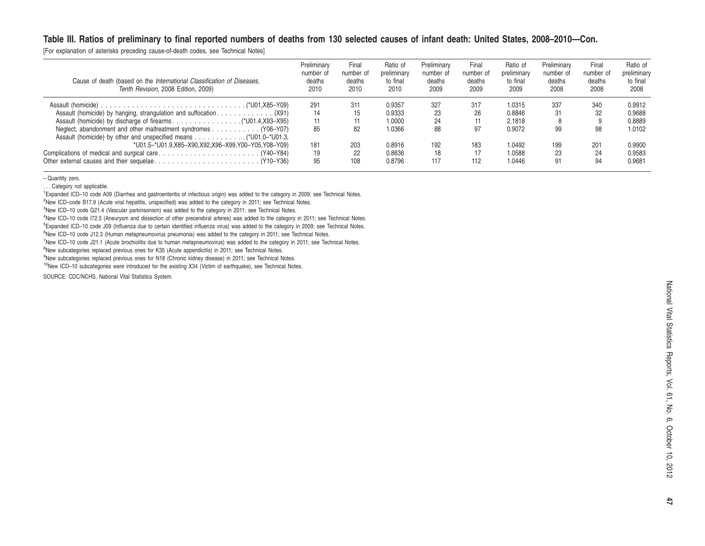#### Table III. Ratios of preliminary to final reported numbers of deaths from 130 selected causes of infant death: United States, 2008–2010—Con.

[For explanation of asterisks preceding cause-of-death codes, see Technical Notes]

| Cause of death (based on the International Classification of Diseases.<br>Tenth Revision, 2008 Edition, 2009) | Preliminary<br>number of<br>deaths<br>2010 | Final<br>number of<br>deaths<br>2010 | Ratio of<br>preliminary<br>to final<br>2010 | Preliminary<br>number of<br>deaths<br>2009 | Final<br>number of<br>deaths<br>2009 | Ratio of<br>preliminary<br>to final<br>2009 | Preliminary<br>number of<br>deaths<br>2008 | Final<br>number of<br>deaths<br>2008 | Ratio of<br>preliminary<br>to final<br>2008 |
|---------------------------------------------------------------------------------------------------------------|--------------------------------------------|--------------------------------------|---------------------------------------------|--------------------------------------------|--------------------------------------|---------------------------------------------|--------------------------------------------|--------------------------------------|---------------------------------------------|
|                                                                                                               | 291                                        | 311                                  | 0.9357                                      | 327                                        | 317                                  | 1.0315                                      | 337                                        | 340                                  | 0.9912                                      |
|                                                                                                               | 14                                         | 15                                   | 0.9333                                      | 23                                         | 26                                   | 0.8846                                      | 31                                         | 32                                   | 0.9688                                      |
|                                                                                                               |                                            |                                      | 1.0000                                      | 24                                         |                                      | 2.1818                                      |                                            |                                      | 0.8889                                      |
|                                                                                                               | 85                                         | 82                                   | .0366                                       | 88                                         | 97                                   | 0.9072                                      | 99                                         | 98                                   | 1.0102                                      |
| *U01.5-*U01.9,X85-X90,X92,X96-X99,Y00-Y05,Y08-Y09)                                                            | 181                                        | 203                                  | 0.8916                                      | 192                                        | 183                                  | 1.0492                                      | 199                                        | 201                                  | 0.9900                                      |
|                                                                                                               | 19                                         | 22                                   | 0.8636                                      | 18                                         | 17                                   | 1.0588                                      | 23                                         | 24                                   | 0.9583                                      |
|                                                                                                               | 95                                         | 108                                  | 0.8796                                      | 117                                        | 112                                  | 1.0446                                      | 91                                         | 94                                   | 0.9681                                      |

– Quantity zero.

. . . Category not applicable.

1 Expanded ICD–10 code A09 (Diarrhea and gastroenteritis of infectious origin) was added to the category in 2009; see Technical Notes.

<sup>2</sup>New ICD–code B17.9 (Acute viral hepatitis, unspecified) was added to the category in 2011; see Technical Notes.

<sup>3</sup>New ICD–10 code G21.4 (Vascular parkinsonism) was added to the category in 2011; see Technical Notes.

<sup>4</sup>New ICD–10 code I72.5 (Aneurysm and dissection of other precerebral arteres) was added to the category in 2011; see Technical Notes.

5 Expanded ICD–10 code J09 (Influenza due to certain identified influenza virus) was added to the category in 2009; see Technical Notes.

<sup>6</sup>New ICD–10 code J12.3 (Human metapneumovirus pneumonia) was added to the category in 2011; see Technical Notes.

<sup>7</sup>New ICD–10 code J21.1 (Acute brochiolitis due to human metapneumovirus) was added to the category in 2011; see Technical Notes.

<sup>8</sup>New subcategories replaced previous ones for K35 (Acute appendicitis) in 2011; see Technical Notes.

<sup>9</sup>New subcategories replaced previous ones for N18 (Chronic kidney disease) in 2011; see Technical Notes.

<sup>10</sup>New ICD–10 subcategories were introduced for the existing X34 (Victim of earthguake), see Technical Notes.

SOURCE: CDC/NCHS, National Vital Statistics System.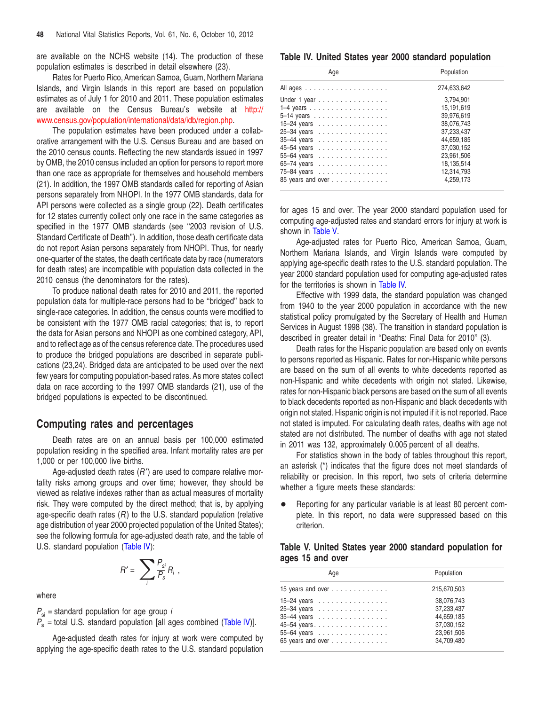<span id="page-47-0"></span>are available on the NCHS website (14). The production of these population estimates is described in detail elsewhere (23).

Rates for Puerto Rico, American Samoa, Guam, Northern Mariana Islands, and Virgin Islands in this report are based on population estimates as of July 1 for 2010 and 2011. These population estimates are available on the Census Bureau's website at http:// [www.census.gov/population/international/data/idb/region.php.](http://www.census.gov/population/international/data/idb/region.php)

The population estimates have been produced under a collaborative arrangement with the U.S. Census Bureau and are based on the 2010 census counts. Reflecting the new standards issued in 1997 by OMB, the 2010 census included an option for persons to report more than one race as appropriate for themselves and household members (21). In addition, the 1997 OMB standards called for reporting of Asian persons separately from NHOPI. In the 1977 OMB standards, data for API persons were collected as a single group (22). Death certificates for 12 states currently collect only one race in the same categories as specified in the 1977 OMB standards (see ''2003 revision of U.S. Standard Certificate of Death''). In addition, those death certificate data do not report Asian persons separately from NHOPI. Thus, for nearly one-quarter of the states, the death certificate data by race (numerators for death rates) are incompatible with population data collected in the 2010 census (the denominators for the rates).

To produce national death rates for 2010 and 2011, the reported population data for multiple-race persons had to be ''bridged'' back to single-race categories. In addition, the census counts were modified to be consistent with the 1977 OMB racial categories; that is, to report the data for Asian persons and NHOPI as one combined category, API, and to reflect age as of the census reference date. The procedures used to produce the bridged populations are described in separate publications (23,24). Bridged data are anticipated to be used over the next few years for computing population-based rates. As more states collect data on race according to the 1997 OMB standards (21), use of the bridged populations is expected to be discontinued.

#### **Computing rates and percentages**

Death rates are on an annual basis per 100,000 estimated population residing in the specified area. Infant mortality rates are per 1,000 or per 100,000 live births.

Age-adjusted death rates  $(R')$  are used to compare relative mortality risks among groups and over time; however, they should be viewed as relative indexes rather than as actual measures of mortality risk. They were computed by the direct method; that is, by applying age-specific death rates  $(R_{\mathsf{i}})$  to the U.S. standard population (relative age distribution of year 2000 projected population of the United States); see the following formula for age-adjusted death rate, and the table of U.S. standard population (Table IV):

$$
R' = \sum_{i} \frac{P_{si}}{P_s} R_i ,
$$

where

 $P_{si}$  = standard population for age group *i* 

 $P_{\rm s}$  = total U.S. standard population [all ages combined (Table IV)].

Age-adjusted death rates for injury at work were computed by applying the age-specific death rates to the U.S. standard population

| Table IV. United States year 2000 standard population |  |  |  |
|-------------------------------------------------------|--|--|--|
|-------------------------------------------------------|--|--|--|

| Age                                                                                                                                                             | Population                                                                                                                |  |  |
|-----------------------------------------------------------------------------------------------------------------------------------------------------------------|---------------------------------------------------------------------------------------------------------------------------|--|--|
|                                                                                                                                                                 | 274,633,642                                                                                                               |  |  |
| Under 1 year<br>1-4 years<br>5-14 years<br>15-24 years $\ldots \ldots \ldots \ldots$<br>25-34 years<br>35-44 years<br>45-54 years<br>55-64 years<br>65-74 years | 3.794.901<br>15.191.619<br>39.976.619<br>38.076.743<br>37.233.437<br>44.659.185<br>37.030.152<br>23.961.506<br>18.135.514 |  |  |
| 75-84 years<br>85 years and over                                                                                                                                | 12.314.793<br>4.259.173                                                                                                   |  |  |

for ages 15 and over. The year 2000 standard population used for computing age-adjusted rates and standard errors for injury at work is shown in Table V.

Age-adjusted rates for Puerto Rico, American Samoa, Guam, Northern Mariana Islands, and Virgin Islands were computed by applying age-specific death rates to the U.S. standard population. The year 2000 standard population used for computing age-adjusted rates for the territories is shown in Table IV.

Effective with 1999 data, the standard population was changed from 1940 to the year 2000 population in accordance with the new statistical policy promulgated by the Secretary of Health and Human Services in August 1998 (38). The transition in standard population is described in greater detail in ''Deaths: Final Data for 2010'' (3).

Death rates for the Hispanic population are based only on events to persons reported as Hispanic. Rates for non-Hispanic white persons are based on the sum of all events to white decedents reported as non-Hispanic and white decedents with origin not stated. Likewise, rates for non-Hispanic black persons are based on the sum of all events to black decedents reported as non-Hispanic and black decedents with origin not stated. Hispanic origin is not imputed if it is not reported. Race not stated is imputed. For calculating death rates, deaths with age not stated are not distributed. The number of deaths with age not stated in 2011 was 132, approximately 0.005 percent of all deaths.

For statistics shown in the body of tables throughout this report, an asterisk (\*) indicates that the figure does not meet standards of reliability or precision. In this report, two sets of criteria determine whether a figure meets these standards:

Reporting for any particular variable is at least 80 percent complete. In this report, no data were suppressed based on this criterion.

#### **Table V. United States year 2000 standard population for ages 15 and over**

| Age                                                                                                                                | Population                                                                       |  |
|------------------------------------------------------------------------------------------------------------------------------------|----------------------------------------------------------------------------------|--|
| 15 years and over $\dots \dots \dots \dots$                                                                                        | 215,670,503                                                                      |  |
| 15-24 years $\ldots \ldots \ldots \ldots \ldots$<br>25-34 years<br>35-44 years<br>45-54 years.<br>55-64 years<br>65 years and over | 38.076.743<br>37.233.437<br>44.659.185<br>37.030.152<br>23,961,506<br>34.709.480 |  |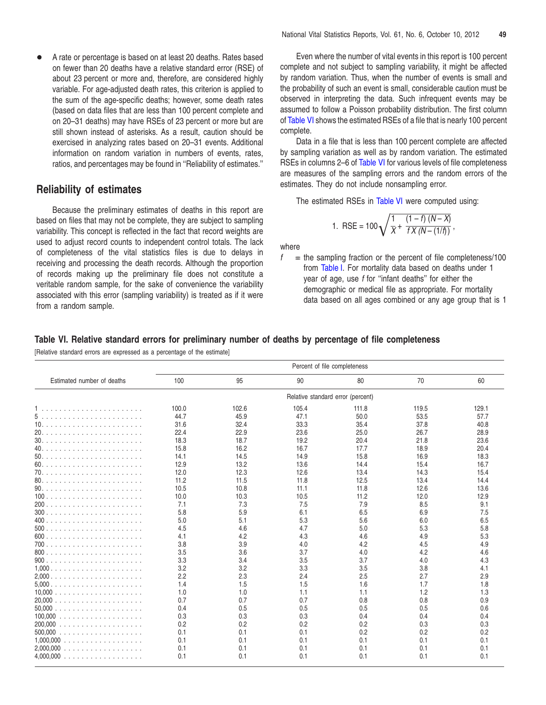<span id="page-48-0"></span>A rate or percentage is based on at least 20 deaths. Rates based on fewer than 20 deaths have a relative standard error (RSE) of about 23 percent or more and, therefore, are considered highly variable. For age-adjusted death rates, this criterion is applied to the sum of the age-specific deaths; however, some death rates (based on data files that are less than 100 percent complete and on 20–31 deaths) may have RSEs of 23 percent or more but are still shown instead of asterisks. As a result, caution should be exercised in analyzing rates based on 20–31 events. Additional information on random variation in numbers of events, rates, ratios, and percentages may be found in ''Reliability of estimates.''

#### **Reliability of estimates**

Because the preliminary estimates of deaths in this report are based on files that may not be complete, they are subject to sampling variability. This concept is reflected in the fact that record weights are used to adjust record counts to independent control totals. The lack of completeness of the vital statistics files is due to delays in receiving and processing the death records. Although the proportion of records making up the preliminary file does not constitute a veritable random sample, for the sake of convenience the variability associated with this error (sampling variability) is treated as if it were from a random sample.

Even where the number of vital events in this report is 100 percent complete and not subject to sampling variability, it might be affected by random variation. Thus, when the number of events is small and the probability of such an event is small, considerable caution must be observed in interpreting the data. Such infrequent events may be assumed to follow a Poisson probability distribution. The first column of Table VI shows the estimated RSEs of a file that is nearly 100 percent complete.

Data in a file that is less than 100 percent complete are affected by sampling variation as well as by random variation. The estimated RSEs in columns 2–6 of Table VI for various levels of file completeness are measures of the sampling errors and the random errors of the estimates. They do not include nonsampling error.

The estimated RSEs in Table VI were computed using:

1. RSE = 
$$
100 \sqrt{\frac{1}{X} + \frac{(1-f)(N-X)}{fX(N-(1/f))}}
$$
,

where

 $f$  = the [sampling](#page-34-0) fraction or the percent of file completeness/100 from Table I. For mortality data based on deaths under 1 year of age, use  $f$  for "infant deaths" for either the demographic or medical file as appropriate. For mortality data based on all ages combined or any age group that is 1

#### **Table VI. Relative standard errors for preliminary number of deaths by percentage of file completeness** [Relative standard errors are expressed as a percentage of the estimate]

|                            | Percent of file completeness |       |                                   |       |       |       |
|----------------------------|------------------------------|-------|-----------------------------------|-------|-------|-------|
| Estimated number of deaths | 100                          | 95    | 90                                | 80    | 70    | 60    |
|                            |                              |       | Relative standard error (percent) |       |       |       |
|                            | 100.0                        | 102.6 | 105.4                             | 111.8 | 119.5 | 129.1 |
|                            | 44.7                         | 45.9  | 47.1                              | 50.0  | 53.5  | 57.7  |
|                            | 31.6                         | 32.4  | 33.3                              | 35.4  | 37.8  | 40.8  |
|                            | 22.4                         | 22.9  | 23.6                              | 25.0  | 26.7  | 28.9  |
|                            | 18.3                         | 18.7  | 19.2                              | 20.4  | 21.8  | 23.6  |
|                            | 15.8                         | 16.2  | 16.7                              | 17.7  | 18.9  | 20.4  |
|                            | 14.1                         | 14.5  | 14.9                              | 15.8  | 16.9  | 18.3  |
|                            | 12.9                         | 13.2  | 13.6                              | 14.4  | 15.4  | 16.7  |
|                            | 12.0                         | 12.3  | 12.6                              | 13.4  | 14.3  | 15.4  |
|                            | 11.2                         | 11.5  | 11.8                              | 12.5  | 13.4  | 14.4  |
|                            | 10.5                         | 10.8  | 11.1                              | 11.8  | 12.6  | 13.6  |
|                            | 10.0                         | 10.3  | 10.5                              | 11.2  | 12.0  | 12.9  |
|                            | 7.1                          | 7.3   | 7.5                               | 7.9   | 8.5   | 9.1   |
|                            | 5.8                          | 5.9   | 6.1                               | 6.5   | 6.9   | 7.5   |
|                            | 5.0                          | 5.1   | 5.3                               | 5.6   | 6.0   | 6.5   |
|                            | 4.5                          | 4.6   | 4.7                               | 5.0   | 5.3   | 5.8   |
|                            | 4.1                          | 4.2   | 4.3                               | 4.6   | 4.9   | 5.3   |
|                            | 3.8                          | 3.9   | 4.0                               | 4.2   | 4.5   | 4.9   |
|                            | 3.5                          | 3.6   | 3.7                               | 4.0   | 4.2   | 4.6   |
|                            | 3.3                          | 3.4   | 3.5                               | 3.7   | 4.0   | 4.3   |
|                            | 3.2                          | 3.2   | 3.3                               | 3.5   | 3.8   | 4.1   |
|                            | 2.2                          | 2.3   | 2.4                               | 2.5   | 2.7   | 2.9   |
| 5,000.<br>.                | 1.4                          | 1.5   | 1.5                               | 1.6   | 1.7   | 1.8   |
| 10,000                     | 1.0                          | 1.0   | 1.1                               | 1.1   | 1.2   | 1.3   |
| 20,000<br>.                | 0.7                          | 0.7   | 0.7                               | 0.8   | 0.8   | 0.9   |
| 50.000<br>.                | 0.4                          | 0.5   | 0.5                               | 0.5   | 0.5   | 0.6   |
|                            | 0.3                          | 0.3   | 0.3                               | 0.4   | 0.4   | 0.4   |
|                            | 0.2                          | 0.2   | 0.2                               | 0.2   | 0.3   | 0.3   |
|                            | 0.1                          | 0.1   | 0.1                               | 0.2   | 0.2   | 0.2   |
|                            | 0.1                          | 0.1   | 0.1                               | 0.1   | 0.1   | 0.1   |
|                            | 0.1                          | 0.1   | 0.1                               | 0.1   | 0.1   | 0.1   |
|                            | 0.1                          | 0.1   | 0.1                               | 0.1   | 0.1   | 0.1   |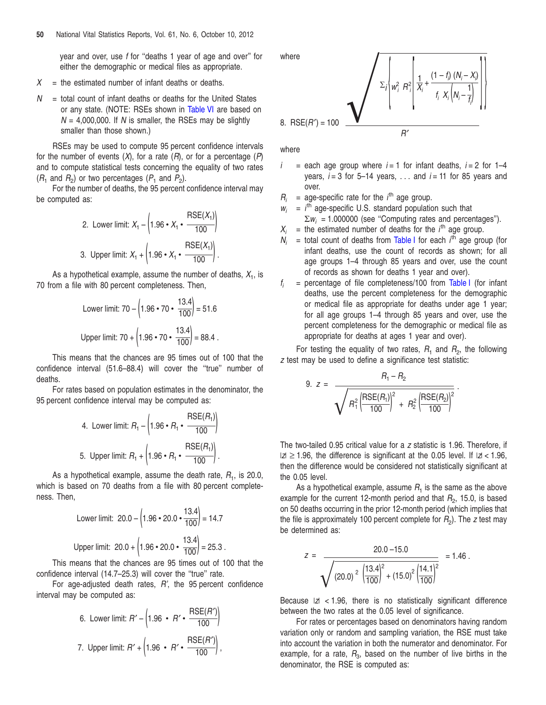year and over, use f for "deaths 1 year of age and over" for either the demographic or medical files as appropriate.

- $X =$  the estimated number of infant deaths or deaths.
- $N =$  total count of infant deaths or deaths for the United States or any state. (NOTE: RSEs shown in [Table](#page-48-0) VI are based on  $N = 4,000,000$ . If N is smaller, the RSEs may be slightly smaller than those shown.)

RSEs may be used to compute 95 percent confidence intervals for the number of events  $(X)$ , for a rate  $(R)$ , or for a percentage  $(P)$ and to compute statistical tests concerning the equality of two rates  $(R_1 \text{ and } R_2)$  or two percentages  $(P_1 \text{ and } P_2)$ .

For the number of deaths, the 95 percent confidence interval may be computed as:

2. Lower limit: 
$$
X_1 - \left(1.96 \cdot X_1 \cdot \frac{\text{BSE}(X_1)}{100}\right)
$$
  
3. Upper limit:  $X_1 + \left(1.96 \cdot X_1 \cdot \frac{\text{BSE}(X_1)}{100}\right)$ .

As a hypothetical example, assume the number of deaths,  $X_1$ , is 70 from a file with 80 percent completeness. Then,

Lower limit: 
$$
70 - \left(1.96 \cdot 70 \cdot \frac{13.4}{100}\right) = 51.6
$$
  
Upper limit:  $70 + \left(1.96 \cdot 70 \cdot \frac{13.4}{100}\right) = 88.4$ .

This means that the chances are 95 times out of 100 that the confidence interval (51.6–88.4) will cover the ''true'' number of deaths.

For rates based on population estimates in the denominator, the 95 percent confidence interval may be computed as:

4. Lower limit: 
$$
R_1 - \left(1.96 \cdot R_1 \cdot \frac{\text{RSE}(R_1)}{100}\right)
$$
  
5. Upper limit:  $R_1 + \left(1.96 \cdot R_1 \cdot \frac{\text{RSE}(R_1)}{100}\right)$ .

As a hypothetical example, assume the death rate,  $R_1$ , is 20.0, which is based on 70 deaths from a file with 80 percent completeness. Then,

Lower limit: 
$$
20.0 - \left(1.96 \cdot 20.0 \cdot \frac{13.4}{100}\right) = 14.7
$$
  
Upper limit:  $20.0 + \left(1.96 \cdot 20.0 \cdot \frac{13.4}{100}\right) = 25.3$ .

This means that the chances are 95 times out of 100 that the confidence interval (14.7–25.3) will cover the "true" rate.

For age-adjusted death rates, R', the 95 percent confidence interval may be computed as:

6. Lower limit: 
$$
R' - \left(1.96 \cdot R' \cdot \frac{\text{RSE}(R')}{100}\right)
$$
  
7. Upper limit:  $R' + \left(1.96 \cdot R' \cdot \frac{\text{RSE}(R')}{100}\right)$ ,

 $W$ 

where  
\n
$$
\sum_{i} \sqrt{\sum_{j} \left| \omega_{j}^{2} R_{j}^{2} \right|} \frac{1}{X_{i}} + \frac{(1 - f_{i}) (N_{i} - X_{i})}{f_{i} X_{i} (N_{i} - \frac{1}{f_{i}})}
$$
\n  
\n8. RSE(*R*') = 100

where

f i

- $i =$  each age group where  $i = 1$  for infant deaths,  $i = 2$  for 1-4 years,  $i = 3$  for 5-14 years, ... and  $i = 11$  for 85 years and over.
- R i = age-specific rate for the  $i<sup>th</sup>$  age group.
- $w_i$  =  $i^{\text{th}}$  age-specific U.S. standard population such that
	- $\Sigma w_i = 1.000000$  (see "Computing rates and percentages").
- $X_i$  = the estimated number of deaths for the i<sup>th</sup> age group.
- N, = total count of deaths from [Table](#page-34-0) I for each *i*<sup>th</sup> age group (for infant deaths, use the count of records as shown; for all age groups 1–4 through 85 years and over, use the count of records as shown for deaths 1 year and over).
- = percentage of file completeness/100 from [Table](#page-34-0) I (for infant deaths, use the percent completeness for the demographic or medical file as appropriate for deaths under age 1 year; for all age groups 1–4 through 85 years and over, use the percent completeness for the demographic or medical file as appropriate for deaths at ages 1 year and over).

For testing the equality of two rates,  $R_1$  and  $R_2$ , the following <sup>z</sup> test may be used to define a significance test statistic:

.

9. 
$$
z = \frac{R_1 - R_2}{\sqrt{R_1^2 \left(\frac{\text{RSE}(R_1)}{100}\right)^2 + R_2^2 \left(\frac{\text{RSE}(R_2)}{100}\right)^2}}
$$

The two-tailed 0.95 critical value for a <sup>z</sup> statistic is 1.96. Therefore, if  $|z| \ge 1.96$ , the difference is significant at the 0.05 level. If  $|z| < 1.96$ , then the difference would be considered not statistically significant at the 0.05 level.

As a hypothetical example, assume  $R_1$  is the same as the above example for the current 12-month period and that  $R_2$ , 15.0, is based on 50 deaths occurring in the prior 12-month period (which implies that the file is approximately 100 percent complete for  $R_2$ ). The *z* test may be determined as:

$$
z = \frac{20.0 - 15.0}{\sqrt{(20.0)^2 + \left(\frac{13.4}{100}\right)^2 + (15.0)^2 + \left(\frac{14.1}{100}\right)^2}} = 1.46.
$$

Because  $|z| < 1.96$ , there is no statistically significant difference between the two rates at the 0.05 level of significance.

For rates or percentages based on denominators having random variation only or random and sampling variation, the RSE must take into account the variation in both the numerator and denominator. For example, for a rate,  $R_3$ , based on the number of live births in the denominator, the RSE is computed as: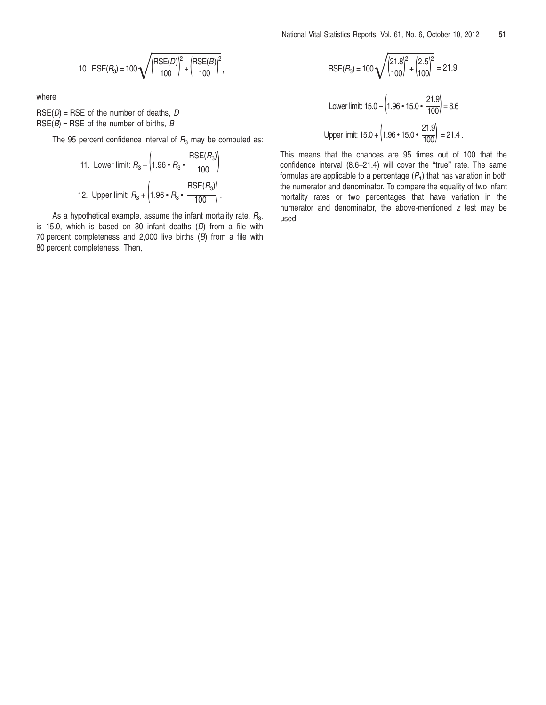10. RSE(
$$
B_3
$$
) = 100  $\sqrt{\left(\frac{\text{RSE}(D)}{100}\right)^2 + \left(\frac{\text{RSE}(B)}{100}\right)^2}$ ,

where

 $RSE(D) = RSE$  of the number of deaths, D  $RSE(B) = RSE$  of the number of births,  $B$ 

The 95 percent confidence interval of  $R_3$  may be computed as:

11. Lower limit: 
$$
R_3 - \left(1.96 \cdot R_3 \cdot \frac{\text{RSE}(R_3)}{100}\right)
$$
  
12. Upper limit:  $R_3 + \left(1.96 \cdot R_3 \cdot \frac{\text{RSE}(R_3)}{100}\right)$ .

As a hypothetical example, assume the infant mortality rate,  $R_{3}$ , is 15.0, which is based on 30 infant deaths  $(D)$  from a file with 70 percent completeness and 2,000 live births  $(B)$  from a file with 80 percent completeness. Then,

$$
\text{RSE}(R_3) = 100 \sqrt{\left|\frac{21.8}{100}\right|^2 + \left|\frac{2.5}{100}\right|^2} = 21.9
$$
\n
$$
\text{Lower limit: } 15.0 - \left(1.96 \cdot 15.0 \cdot \frac{21.9}{100}\right) = 8.6
$$
\n
$$
\text{Upper limit: } 15.0 + \left(1.96 \cdot 15.0 \cdot \frac{21.9}{100}\right) = 21.4
$$

This means that the chances are 95 times out of 100 that the confidence interval (8.6–21.4) will cover the "true" rate. The same formulas are applicable to a percentage  $(P_{1})$  that has variation in both the numerator and denominator. To compare the equality of two infant mortality rates or two percentages that have variation in the numerator and denominator, the above-mentioned <sup>z</sup> test may be used.